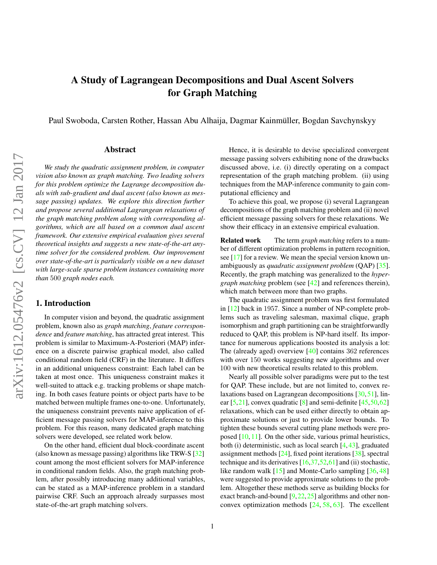# <span id="page-0-1"></span>A Study of Lagrangean Decompositions and Dual Ascent Solvers for Graph Matching

Paul Swoboda, Carsten Rother, Hassan Abu Alhaija, Dagmar Kainmuller, Bogdan Savchynskyy ¨

## Abstract

arXiv:1612.05476v2 [cs.CV] 12 Jan 2017 arXiv:1612.05476v2 [cs.CV] 12 Jan 2017

*We study the quadratic assignment problem, in computer vision also known as graph matching. Two leading solvers for this problem optimize the Lagrange decomposition duals with sub-gradient and dual ascent (also known as message passing) updates. We explore this direction further and propose several additional Lagrangean relaxations of the graph matching problem along with corresponding algorithms, which are all based on a common dual ascent framework. Our extensive empirical evaluation gives several theoretical insights and suggests a new state-of-the-art anytime solver for the considered problem. Our improvement over state-of-the-art is particularly visible on a new dataset with large-scale sparse problem instances containing more than* 500 *graph nodes each.*

## <span id="page-0-0"></span>1. Introduction

In computer vision and beyond, the quadratic assignment problem, known also as *graph matching*, *feature correspondence* and *feature matching*, has attracted great interest. This problem is similar to Maximum-A-Posteriori (MAP) inference on a discrete pairwise graphical model, also called conditional random field (CRF) in the literature. It differs in an additional uniqueness constraint: Each label can be taken at most once. This uniqueness constraint makes it well-suited to attack e.g. tracking problems or shape matching. In both cases feature points or object parts have to be matched between multiple frames one-to-one. Unfortunately, the uniqueness constraint prevents naive application of efficient message passing solvers for MAP-inference to this problem. For this reason, many dedicated graph matching solvers were developed, see related work below.

On the other hand, efficient dual block-coordinate ascent (also known as message passing) algorithms like TRW-S [\[32\]](#page-8-0) count among the most efficient solvers for MAP-inference in conditional random fields. Also, the graph matching problem, after possibly introducing many additional variables, can be stated as a MAP-inference problem in a standard pairwise CRF. Such an approach already surpasses most state-of-the-art graph matching solvers.

Hence, it is desirable to devise specialized convergent message passing solvers exhibiting none of the drawbacks discussed above, i.e. (i) directly operating on a compact representation of the graph matching problem. (ii) using techniques from the MAP-inference community to gain computational efficiency and

To achieve this goal, we propose (i) several Lagrangean decompositions of the graph matching problem and (ii) novel efficient message passing solvers for these relaxations. We show their efficacy in an extensive empirical evaluation.

Related work The term *graph matching* refers to a number of different optimization problems in pattern recognition, see [\[17\]](#page-8-1) for a review. We mean the special version known unambiguously as *quadratic assignment problem* (QAP) [\[35\]](#page-8-2). Recently, the graph matching was generalized to the *hypergraph matching* problem (see [\[42\]](#page-9-0) and references therein), which match between more than two graphs.

The quadratic assignment problem was first formulated in [\[12\]](#page-8-3) back in 1957. Since a number of NP-complete problems such as traveling salesman, maximal clique, graph isomorphism and graph partitioning can be straightforwardly reduced to QAP, this problem is NP-hard itself. Its importance for numerous applications boosted its analysis a lot: The (already aged) overview [\[40\]](#page-9-1) contains 362 references with over 150 works suggesting new algorithms and over 100 with new theoretical results related to this problem.

Nearly all possible solver paradigms were put to the test for QAP. These include, but are not limited to, convex relaxations based on Lagrangean decompositions [\[30,](#page-8-4) [51\]](#page-9-2), linear  $[5,21]$  $[5,21]$ , convex quadratic  $[8]$  and semi-definite  $[45,50,62]$  $[45,50,62]$  $[45,50,62]$ relaxations, which can be used either directly to obtain approximate solutions or just to provide lower bounds. To tighten these bounds several cutting plane methods were proposed [\[10,](#page-8-8) [11\]](#page-8-9). On the other side, various primal heuristics, both (i) deterministic, such as local search  $[4, 43]$  $[4, 43]$  $[4, 43]$ , graduated assignment methods [\[24\]](#page-8-11), fixed point iterations [\[38\]](#page-9-7), spectral technique and its derivatives  $[16,37,52,61]$  $[16,37,52,61]$  $[16,37,52,61]$  $[16,37,52,61]$  and (ii) stochastic, like random walk [\[15\]](#page-8-13) and Monte-Carlo sampling [\[36,](#page-9-11)[48\]](#page-9-12) were suggested to provide approximate solutions to the problem. Altogether these methods serve as building blocks for exact branch-and-bound  $[9,22,25]$  $[9,22,25]$  $[9,22,25]$  algorithms and other nonconvex optimization methods [\[24,](#page-8-11) [58,](#page-9-13) [63\]](#page-9-14). The excellent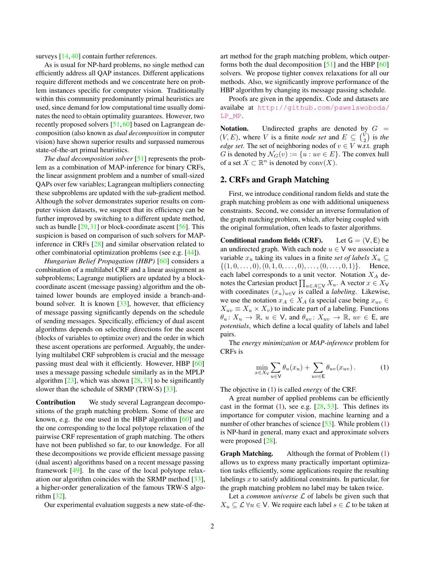<span id="page-1-1"></span>surveys [\[14,](#page-8-17) [40\]](#page-9-1) contain further references.

As is usual for NP-hard problems, no single method can efficiently address all QAP instances. Different applications require different methods and we concentrate here on problem instances specific for computer vision. Traditionally within this community predominantly primal heuristics are used, since demand for low computational time usually dominates the need to obtain optimality guarantees. However, two recently proposed solvers [\[51,](#page-9-2) [60\]](#page-9-15) based on Lagrangean decomposition (also known as *dual decomposition* in computer vision) have shown superior results and surpassed numerous state-of-the-art primal heuristics.

*The dual decomposition solver* [\[51\]](#page-9-2) represents the problem as a combination of MAP-inference for binary CRFs, the linear assignment problem and a number of small-sized QAPs over few variables; Lagrangean multipliers connecting these subproblems are updated with the sub-gradient method. Although the solver demonstrates superior results on computer vision datasets, we suspect that its efficiency can be further improved by switching to a different update method, such as bundle  $[29,31]$  $[29,31]$  or block-coordinate ascent  $[56]$ . This suspicion is based on comparison of such solvers for MAPinference in CRFs [\[28\]](#page-8-20) and similar observation related to other combinatorial optimization problems (see e.g. [\[44\]](#page-9-17)).

*Hungarian Belief Propagation (HBP)* [\[60\]](#page-9-15) considers a combination of a multilabel CRF and a linear assignment as subproblems; Lagrange mutipliers are updated by a blockcoordinate ascent (message passing) algorithm and the obtained lower bounds are employed inside a branch-andbound solver. It is known  $[33]$ , however, that efficiency of message passing significantly depends on the schedule of sending messages. Specifically, efficiency of dual ascent algorithms depends on selecting directions for the ascent (blocks of variables to optimize over) and the order in which these ascent operations are performed. Arguably, the underlying multilabel CRF subproblem is crucial and the message passing must deal with it efficiently. However, HBP [\[60\]](#page-9-15) uses a message passing schedule similarly as in the MPLP algorithm  $[23]$ , which was shown  $[28, 33]$  $[28, 33]$  $[28, 33]$  to be significantly slower than the schedule of SRMP (TRW-S) [\[33\]](#page-8-21).

Contribution We study several Lagrangean decompositions of the graph matching problem. Some of these are known, e.g. the one used in the HBP algorithm  $[60]$  and the one corresponding to the local polytope relaxation of the pairwise CRF representation of graph matching. The others have not been published so far, to our knowledge. For all these decompositions we provide efficient message passing (dual ascent) algorithms based on a recent message passing framework [\[49\]](#page-9-18). In the case of the local polytope relaxation our algorithm coincides with the SRMP method [\[33\]](#page-8-21), a higher-order generalization of the famous TRW-S algorithm [\[32\]](#page-8-0).

Our experimental evaluation suggests a new state-of-the-

art method for the graph matching problem, which outperforms both the dual decomposition  $[51]$  and the HBP  $[60]$ solvers. We propose tighter convex relaxations for all our methods. Also, we significantly improve performance of the HBP algorithm by changing its message passing schedule.

Proofs are given in the appendix. Code and datasets are availabe at [http://github.com/pawelswoboda/](http://github.com/pawelswoboda/LP_MP) [LP\\_MP](http://github.com/pawelswoboda/LP_MP).

Notation. Undirected graphs are denoted by  $G =$  $(V, E)$ , where V is a finite *node set* and  $E \subseteq {V_2 \choose 2}$  $\binom{V}{2}$  is *the edge set*. The set of neighboring nodes of  $v \in V$  w.r.t. graph G is denoted by  $\mathcal{N}_G(v) := \{u : uv \in E\}$ . The convex hull of a set  $X \subset \mathbb{R}^n$  is denoted by  $\text{conv}(X)$ .

### 2. CRFs and Graph Matching

First, we introduce conditional random fields and state the graph matching problem as one with additional uniqueness constraints. Second, we consider an inverse formulation of the graph matching problem, which, after being coupled with the original formulation, often leads to faster algorithms.

**Conditional random fields (CRF).** Let  $G = (V, E)$  be an undirected graph. With each node  $u \in V$  we associate a variable  $x_u$  taking its values in a finite *set of labels*  $X_u \subseteq$  $\{(1, 0, \ldots, 0), (0, 1, 0, \ldots, 0), \ldots, (0, \ldots, 0, 1)\}.$  Hence, each label corresponds to a unit vector. Notation  $X_A$  denotes the Cartesian product  $\prod_{u \in A \subseteq V} X_u$ . A vector  $x \in X_V$ with coordinates  $(x_u)_{u \in V}$  is called a *labeling*. Likewise, we use the notation  $x_A \in X_A$  (a special case being  $x_{uv} \in$  $X_{uv} \equiv X_u \times X_v$ ) to indicate part of a labeling. Functions  $\theta_u \colon X_u \to \mathbb{R}, u \in V$ , and  $\theta_{uv} \colon X_{uv} \to \mathbb{R}, uv \in \mathsf{E}$ , are *potentials*, which define a local quality of labels and label pairs.

The *energy minimization* or *MAP-inference* problem for CRFs is

<span id="page-1-0"></span>
$$
\min_{x \in X_V} \sum_{u \in V} \theta_u(x_u) + \sum_{uv \in E} \theta_{uv}(x_{uv}). \tag{1}
$$

The objective in [\(1\)](#page-1-0) is called *energy* of the CRF.

A great number of applied problems can be efficiently cast in the format  $(1)$ , see e.g.  $[28, 53]$  $[28, 53]$  $[28, 53]$ . This defines its importance for computer vision, machine learning and a number of other branches of science [\[53\]](#page-9-19). While problem [\(1\)](#page-1-0) is NP-hard in general, many exact and approximate solvers were proposed [\[28\]](#page-8-20).

Graph Matching. Although the format of Problem [\(1\)](#page-1-0) allows us to express many practically important optimization tasks efficiently, some applications require the resulting labelings  $x$  to satisfy additional constraints. In particular, for the graph matching problem no label may be taken twice.

Let a *common universe*  $\mathcal L$  of labels be given such that  $X_u \subseteq \mathcal{L} \ \forall u \in \mathsf{V}$ . We require each label  $s \in \mathcal{L}$  to be taken at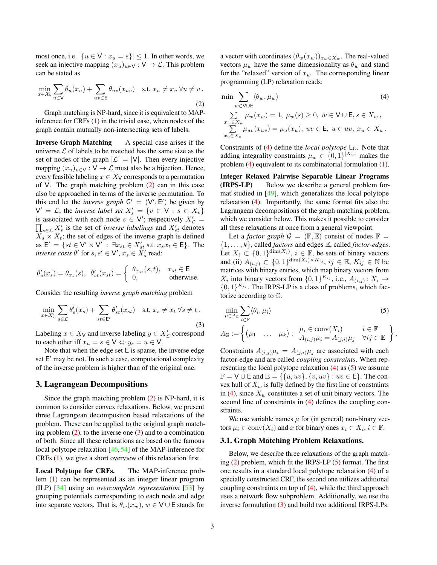<span id="page-2-5"></span>most once, i.e.  $|\{u \in V : x_u = s\}| \leq 1$ . In other words, we seek an injective mapping  $(x_u)_{u \in V} : V \to L$ . This problem can be stated as

<span id="page-2-0"></span>
$$
\min_{x \in \mathcal{X}_V} \sum_{u \in V} \theta_u(x_u) + \sum_{uv \in E} \theta_{uv}(x_{uv}) \quad \text{s.t. } x_u \neq x_v \,\forall u \neq v \,.
$$
\n(2)

Graph matching is NP-hard, since it is equivalent to MAPinference for CRFs [\(1\)](#page-1-0) in the trivial case, when nodes of the graph contain mutually non-intersecting sets of labels.

Inverse Graph Matching A special case arises if the universe  $\mathcal L$  of labels to be matched has the same size as the set of nodes of the graph  $|\mathcal{L}| = |V|$ . Then every injective mapping  $(x_u)_{u \in V} : V \to L$  must also be a bijection. Hence, every feasible labeling  $x \in X_V$  corresponds to a permutation of V. The graph matching problem [\(2\)](#page-2-0) can in this case also be approached in terms of the inverse permutation. To this end let the *inverse graph*  $G' = (V', E')$  be given by  $V' = \mathcal{L}$ ; the *inverse label set*  $X'_s = \{v \in V : s \in X_v\}$ is associated with each node  $s \in V'$ ; respectively  $X'_{\mathcal{L}} =$  $\prod_{s \in \mathcal{L}} X'_s$  is the set of *inverse labelings* and  $X'_{st}$  denotes  $X_s \times X_t$ ; the set of edges of the inverse graph is defined as  $E' = \{st \in V' \times V' : \exists x_{st} \in X'_{st} \text{ s.t. } x_s x_t \in E\}.$  The *inverse costs*  $\theta'$  for  $s, s' \in V', x_s \in X'_s$  read:

$$
\theta'_s(x_s) = \theta_{x_s}(s), \ \theta'_{st}(x_{st}) = \begin{cases} \ \theta_{x_{st}}(s,t), & x_{st} \in \mathsf{E} \\ \ 0, & \text{otherwise.} \end{cases}
$$

Consider the resulting *inverse graph matching* problem

<span id="page-2-1"></span>
$$
\min_{x \in X'_{\mathcal{L}}} \sum_{s \in \mathcal{L}} \theta'_s(x_s) + \sum_{st \in \mathsf{E}'} \theta'_{st}(x_{st}) \quad \text{s.t. } x_s \neq x_t \,\forall s \neq t \,. \tag{3}
$$

Labeling  $x \in X_V$  and inverse labeling  $y \in X'_\mathcal{L}$  correspond to each other iff  $x_u = s \in V \Leftrightarrow y_s = u \in V$ .

Note that when the edge set E is sparse, the inverse edge set  $E'$  may be not. In such a case, computational complexity of the inverse problem is higher than of the original one.

#### 3. Lagrangean Decompositions

Since the graph matching problem [\(2\)](#page-2-0) is NP-hard, it is common to consider convex relaxations. Below, we present three Lagrangean decompositon based relaxations of the problem. These can be applied to the original graph matching problem  $(2)$ , to the inverse one  $(3)$  and to a combination of both. Since all these relaxations are based on the famous local polytope relaxation [\[46,](#page-9-20) [54\]](#page-9-21) of the MAP-inference for CRFs [\(1\)](#page-1-0), we give a short overview of this relaxation first.

Local Polytope for CRFs. The MAP-inference problem [\(1\)](#page-1-0) can be represented as an integer linear program (ILP) [\[34\]](#page-8-23) using an *overcomplete representation* [\[53\]](#page-9-19) by grouping potentials corresponding to each node and edge into separate vectors. That is,  $\theta_w(x_w)$ ,  $w \in V \cup E$  stands for

a vector with coordinates  $(\theta_w(x_w))_{x_w \in X_w}$ . The real-valued vectors  $\mu_w$  have the same dimensionality as  $\theta_w$  and stand for the "relaxed" version of  $x_w$ . The corresponding linear programming (LP) relaxation reads:

<span id="page-2-2"></span>
$$
\min \sum_{w \in \mathsf{V} \cup \mathsf{E}} \langle \theta_w, \mu_w \rangle
$$
\n
$$
\sum_{\substack{x_w \in X_w \\ x_w \in X_w}} \mu_w(x_w) = 1, \ \mu_w(s) \ge 0, \ w \in \mathsf{V} \cup \mathsf{E}, s \in X_w,
$$
\n
$$
\sum_{x_v \in X_v} \mu_{uv}(x_{uv}) = \mu_u(x_u), \ uv \in \mathsf{E}, \ u \in uv, \ x_u \in X_u.
$$
\n(4)

Constraints of [\(4\)](#page-2-2) define the *local polytope* L<sub>G</sub>. Note that adding integrality constraints  $\mu_w \in \{0, 1\}^{|X_w|}$  makes the problem [\(4\)](#page-2-2) equivalent to its combinatorial formulation [\(1\)](#page-1-0).

Integer Relaxed Pairwise Separable Linear Programs (IRPS-LP) Below we describe a general problem format studied in [\[49\]](#page-9-18), which generalizes the local polytope relaxation [\(4\)](#page-2-2). Importantly, the same format fits also the Lagrangean decompositions of the graph matching problem, which we consider below. This makes it possible to consider all these relaxations at once from a general viewpoint.

Let a *factor graph*  $\mathcal{G} = (\mathbb{F}, \mathbb{E})$  consist of nodes  $\mathbb{F} =$ {1, . . . , k}, called *factors* and edges <sup>E</sup>, called *factor-edges*. Let  $X_i \subset \{0,1\}^{\dim(X_i)}, i \in \mathbb{F}$ , be sets of binary vectors and (ii)  $A_{(i,j)} \subset \{0,1\}^{\dim(X_i)\times K_{ij}}, \, ij \in \mathbb{E}, \, K_{ij} \in \mathbb{N}$  be matrices with binary entries, which map binary vectors from  $X_i$  into binary vectors from  $\{0,1\}^{K_{ij}}$ , i.e.,  $A_{(i,j)}: X_i \to$  $\{0, 1\}^{K_{ij}}$ . The IRPS-LP is a class of problems, which factorize according to G.

$$
\min_{\mu \in \Lambda_{\mathbb{G}}} \sum_{i \in \mathbb{F}} \langle \theta_i, \mu_i \rangle
$$
\n
$$
\Lambda_{\mathbb{G}} := \left\{ \begin{pmatrix} \mu_1 & \dots & \mu_i \in \text{conv}(X_i) & i \in \mathbb{F} \\ \mu_1 & \dots & \mu_k \end{pmatrix} : \begin{pmatrix} \mu_i \in \text{conv}(X_i) & i \in \mathbb{F} \\ A_{(i,j)}\mu_i = A_{(j,i)}\mu_j & \forall i j \in \mathbb{E} \end{pmatrix} \right\}
$$
\n
$$
(5)
$$

<span id="page-2-3"></span>.

Constraints  $A_{(i,j)}\mu_i = A_{(j,i)}\mu_j$  are associated with each factor-edge and are called *coupling constraints*. When representing the local polytope relaxation  $(4)$  as  $(5)$  we assume  $\mathbb{F} = \mathsf{V} \cup \mathsf{E}$  and  $\mathbb{E} = \{ \{u, uv\}, \{v, uv\} : uv \in \mathsf{E} \}.$  The convex hull of  $X_w$  is fully defined by the first line of constraints in [\(4\)](#page-2-2), since  $X_w$  constitutes a set of unit binary vectors. The second line of constraints in [\(4\)](#page-2-2) defines the coupling constraints.

We use variable names  $\mu$  for (in general) non-binary vectors  $\mu_i \in \text{conv}(X_i)$  and x for binary ones  $x_i \in X_i$ ,  $i \in \mathbb{F}$ .

#### <span id="page-2-4"></span>3.1. Graph Matching Problem Relaxations.

Below, we describe three relaxations of the graph matching [\(2\)](#page-2-0) problem, which fit the IRPS-LP [\(5\)](#page-2-3) format. The first one results in a standard local polytope relaxation [\(4\)](#page-2-2) of a specially constructed CRF, the second one utilizes additional coupling constraints on top of [\(4\)](#page-2-2), while the third approach uses a network flow subproblem. Additionally, we use the inverse formulation [\(3\)](#page-2-1) and build two additional IRPS-LPs.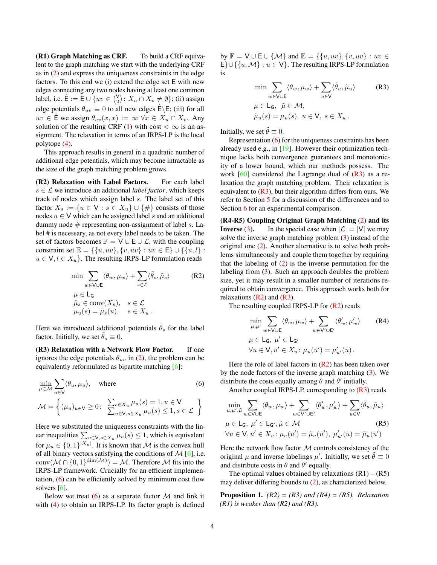<span id="page-3-3"></span>(R1) Graph Matching as CRF. To build a CRF equivalent to the graph matching we start with the underlying CRF as in [\(2\)](#page-2-0) and express the uniqueness constraints in the edge factors. To this end we (i) extend the edge set E with new edges connecting any two nodes having at least one common label, i.e.  $\hat{\mathsf{E}} := \bar{\mathsf{E}} \cup \{ uv \in \binom{\mathsf{V}}{2} : X_u \cap X_v \neq \emptyset \};$  (ii) assign edge potentials  $\theta_{uv} \equiv 0$  to all new edges  $\hat{\mathsf{E}} \setminus \mathsf{E}$ ; (iii) for all  $uv \in \mathsf{E}$  we assign  $\theta_{uv}(x, x) := \infty \ \forall x \in X_u \cap X_v$ . Any solution of the resulting CRF [\(1\)](#page-1-0) with cost  $< \infty$  is an assignment. The relaxation in terms of an IRPS-LP is the local polytope [\(4\)](#page-2-2).

This approach results in general in a quadratic number of additional edge potentials, which may become intractable as the size of the graph matching problem grows.

(R2) Relaxation with Label Factors. For each label  $s \in \mathcal{L}$  we introduce an additional *label factor*, which keeps track of nodes which assign label  $s$ . The label set of this factor  $X_s := \{u \in \mathsf{V} : s \in X_u\} \cup \{\#\}$  consists of those nodes  $u \in V$  which can be assigned label s and an additional dummy node  $#$  representing non-assignment of label s. Label # is necessary, as not every label needs to be taken. The set of factors becomes  $\mathbb{F} = \mathsf{V} \cup \mathsf{E} \cup \mathcal{L}$ , with the coupling constraint set  $\mathbb{E} = \{ \{u, uv\}, \{v, uv\} : uv \in \mathsf{E} \} \cup \{ \{u, l\} :$  $u \in V, l \in X_u$ . The resulting IRPS-LP formulation reads

$$
\min \sum_{w \in \mathsf{V} \cup \mathsf{E}} \langle \theta_w, \mu_w \rangle + \sum_{s \in \mathcal{L}} \langle \tilde{\theta}_s, \tilde{\mu}_s \rangle \tag{R2}
$$
\n
$$
\mu \in \mathsf{L}_{\mathsf{G}} \\
\tilde{\mu}_s \in \text{conv}(X_s), \quad s \in \mathcal{L} \\
\mu_u(s) = \tilde{\mu}_s(u), \quad s \in X_u.
$$

Here we introduced additional potentials  $\hat{\theta}_s$  for the label factor. Initially, we set  $\tilde{\theta}_s \equiv 0$ .

(R3) Relaxation with a Network Flow Factor. If one ignores the edge potentials  $\theta_{uv}$  in [\(2\)](#page-2-0), the problem can be equivalently reformulated as bipartite matching [\[6\]](#page-8-24):

$$
\min_{\mu \in \mathcal{M}} \sum_{u \in \mathcal{V}} \langle \theta_u, \mu_u \rangle, \quad \text{where} \tag{6}
$$
\n
$$
\mathcal{M} = \left\{ (\mu_u)_{u \in \mathcal{V}} \ge 0: \sum_{u \in \mathcal{V}, s \in X_u} \mu_u(s) = 1, u \in \mathcal{V} \right\}
$$
\n
$$
\mathcal{M} = \left\{ (\mu_u)_{u \in \mathcal{V}} \ge 0: \sum_{u \in \mathcal{V}, s \in X_u} \mu_u(s) \le 1, s \in \mathcal{L} \right\}
$$

Here we substituted the uniqueness constraints with the lin-  
ear inequalities 
$$
\sum_{u \in V, s \in X_u} \mu_u(s) \le 1
$$
, which is equivalent  
for  $\mu_u \in \{0,1\}^{|X_u|}$ . It is known that M is the convex hull  
of all binary vectors satisfying the conditions of M [6], i.e.  
conv $(M \cap \{0,1\}^{\dim(M)}) = M$ . Therefore M fits into the

IRPS-LP framework. Crucially for an efficient implementation, [\(6\)](#page-3-0) can be efficiently solved by minimum cost flow solvers [\[6\]](#page-8-24).

Below we treat  $(6)$  as a separate factor M and link it with [\(4\)](#page-2-2) to obtain an IRPS-LP. Its factor graph is defined

by  $\mathbb{F} = \mathsf{V} \cup \mathsf{E} \cup \{\mathcal{M}\}\$ and  $\mathbb{E} = \{\{u, uv\}, \{v, uv\} : uv \in$ E}∪{{u, M} :  $u \in V$ }. The resulting IRPS-LP formulation is

<span id="page-3-1"></span>
$$
\min \sum_{w \in \mathsf{V} \cup \mathsf{E}} \langle \theta_w, \mu_w \rangle + \sum_{u \in \mathsf{V}} \langle \tilde{\theta}_u, \tilde{\mu}_u \rangle \tag{R3}
$$
\n
$$
\mu \in \mathsf{L}_{\mathsf{G}}, \ \tilde{\mu} \in \mathcal{M},
$$
\n
$$
\tilde{\mu}_u(s) = \mu_u(s), \ u \in \mathsf{V}, \ s \in X_u.
$$

Initially, we set  $\tilde{\theta} \equiv 0$ .

Representation  $(6)$  for the uniqueness constraints has been already used e.g., in [\[19\]](#page-8-25). However their optimization technique lacks both convergence guarantees and monotonicity of a lower bound, which our methods possess. The work  $[60]$  considered the Lagrange dual of  $(R3)$  as a relaxation the graph matching problem. Their relaxation is equivalent to  $(R<sub>3</sub>)$ , but their algorithm differs from ours. We refer to Section [5](#page-5-0) for a discussion of the differences and to Section [6](#page-6-0) for an experimental comparison.

(R4-R5) Coupling Original Graph Matching [\(2\)](#page-2-0) and its **Inverse** [\(3\)](#page-2-1). In the special case when  $|\mathcal{L}| = |V|$  we may solve the inverse graph matching problem [\(3\)](#page-2-1) instead of the original one [\(2\)](#page-2-0). Another alternative is to solve both problems simultaneously and couple them together by requiring that the labeling of  $(2)$  is the inverse permutation for the labeling from [\(3\)](#page-2-1). Such an approach doubles the problem size, yet it may result in a smaller number of iterations required to obtain convergence. This approach works both for relaxations  $(R2)$  and  $(R3)$ .

<span id="page-3-2"></span>The resulting coupled IRPS-LP for  $(R2)$  reads

$$
\min_{\mu,\mu'} \sum_{w \in \mathsf{V} \cup \mathsf{E}} \langle \theta_w, \mu_w \rangle + \sum_{w \in \mathsf{V}' \cup \mathsf{E'}} \langle \theta'_w, \mu'_w \rangle \qquad \text{(R4)}
$$
\n
$$
\mu \in \mathsf{L}_{\mathsf{G}}, \ \mu' \in \mathsf{L}_{\mathsf{G'}}
$$
\n
$$
\forall u \in \mathsf{V}, u' \in X_u : \mu_u(u') = \mu'_{u'}(u) \, .
$$

<span id="page-3-0"></span>Here the role of label factors in  $(R2)$  has been taken over by the node factors of the inverse graph matching  $(3)$ . We distribute the costs equally among  $\theta$  and  $\theta'$  initially.

Another coupled IRPS-LP, corresponding to [\(R3\)](#page-3-1) reads

$$
\min_{\mu,\mu',\tilde{\mu}} \sum_{w \in \mathsf{V} \cup \mathsf{E}} \langle \theta_w, \mu_w \rangle + \sum_{w \in \mathsf{V'} \cup \mathsf{E'}} \langle \theta'_w, \mu'_w \rangle + \sum_{u \in \mathsf{V}} \langle \tilde{\theta}_u, \tilde{\mu}_u \rangle
$$
\n
$$
\mu \in \mathsf{L}_{\mathsf{G}}, \ \mu' \in \mathsf{L}_{\mathsf{G'}}, \tilde{\mu} \in \mathcal{M} \tag{R5}
$$
\n
$$
\forall u \in \mathsf{V}, u' \in X_u: \mu_u(u') = \tilde{\mu}_u(u'), \ \mu'_{u'}(u) = \tilde{\mu}_u(u')
$$

Here the network flow factor  $M$  controls consistency of the original  $\mu$  and inverse labelings  $\mu'$ . Initially, we set  $\tilde{\theta} \equiv 0$ and distribute costs in  $\theta$  and  $\theta'$  equally.

The optimal values obtained by relaxations  $(R1) - (R5)$ may deliver differing bounds to [\(2\)](#page-2-0), as characterized below.

<span id="page-3-4"></span>Proposition 1. *(R2) = (R3) and (R4) = (R5). Relaxation (R1) is weaker than (R2) and (R3).*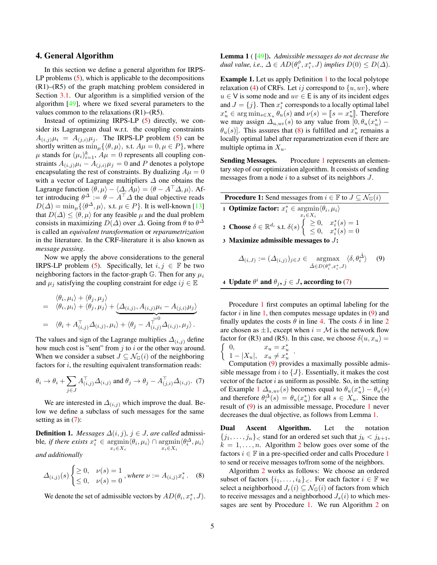#### <span id="page-4-11"></span>4. General Algorithm

In this section we define a general algorithm for IRPS-LP problems  $(5)$ , which is applicable to the decompositions (R1)–(R5) of the graph matching problem considered in Section [3.1.](#page-2-4) Our algorithm is a simplified version of the algorithm [\[49\]](#page-9-18), where we fixed several parameters to the values common to the relaxations (R1)–(R5).

Instead of optimizing IRPS-LP [\(5\)](#page-2-3) directly, we consider its Lagrangean dual w.r.t. the coupling constraints  $A_{(i,j)}\mu_i = A_{(j,i)}\mu_j$ . The IRPS-LP problem [\(5\)](#page-2-3) can be shortly written as  $\min_{\mu} \{ \langle \theta, \mu \rangle, \text{ s.t. } A\mu = 0, \mu \in P \}$ , where  $\mu$  stands for  $(\mu_i)_{i=1}^k$ ,  $A\mu = 0$  represents all coupling constraints  $A_{(i,j)}\mu_i - A_{(j,i)}\mu_j = 0$  and P denotes a polytope encapsulating the rest of constraints. By dualizing  $A\mu = 0$ with a vector of Lagrange multipliers  $\Delta$  one obtains the Lagrange function  $\langle \theta, \mu \rangle - \langle \Delta, A\mu \rangle = \langle \theta - A^{\top} \Delta, \mu \rangle$ . After introducing  $\theta^{\Delta} := \theta - A^{\top} \Delta$  the dual objective reads  $D(\Delta) = \min_{\mu} \{ \langle \theta^{\Delta}, \mu \rangle, \text{ s.t. } \mu \in P \}.$  It is well-known [\[13\]](#page-8-26) that  $D(\Delta) \le \langle \theta, \mu \rangle$  for any feasible  $\mu$  and the dual problem consists in maximizing  $D(\Delta)$  over  $\Delta$ . Going from  $\theta$  to  $\theta^{\Delta}$ is called an *equivalent transformation* or *reparametrization* in the literature. In the CRF-literature it is also known as *message passing*.

Now we apply the above considerations to the general IRPS-LP problem [\(5\)](#page-2-3). Specifically, let  $i, j \in \mathbb{F}$  be two neighboring factors in the factor-graph  $\mathbb G$ . Then for any  $\mu_i$ and  $\mu_i$  satisfying the coupling constraint for edge  $ij \in \mathbb{E}$ 

$$
\begin{aligned}\n&\langle \theta_i, \mu_i \rangle + \langle \theta_j, \mu_j \rangle \\
&= \langle \theta_i, \mu_i \rangle + \langle \theta_j, \mu_j \rangle + \underbrace{\langle \Delta_{(i,j)}, A_{(i,j)}\mu_i - A_{(j,i)}\mu_j \rangle}_{\mathcal{F}} \\
&= \langle \theta_i + A_{(i,j)}^\top \Delta_{(i,j)}, \mu_i \rangle + \langle \theta_j - A_{(i,j)}^\top \Delta_{(i,j)}, \mu_j \rangle.\n\end{aligned}
$$

The values and sign of the Lagrange multiplies  $\Delta(i,j)$  define how much cost is "sent" from  $j$  to  $i$  or the other way around. When we consider a subset  $J \subseteq \mathcal{N}_{\mathbb{G}}(i)$  of the neighboring factors for  $i$ , the resulting equivalent transformation reads:

<span id="page-4-0"></span>
$$
\theta_i \to \theta_i + \sum_{j \in J} A_{(i,j)}^{\top} \Delta_{(i,j)}
$$
 and  $\theta_j \to \theta_j - A_{(j,i)}^{\top} \Delta_{(i,j)}$ . (7)

We are interested in  $\Delta_{(i,j)}$  which improve the dual. Below we define a subclass of such messages for the same setting as in  $(7)$ :

<span id="page-4-1"></span>**Definition 1.** *Messages*  $\Delta(i, j)$ ,  $j \in J$ , are called admissible, *if there exists*  $x_i^* \in \operatorname{argmin}_{\theta} \langle \theta_i, \mu_i \rangle \cap \operatorname{argmin}_{\theta_i} \langle \theta_i^{\Delta}, \mu_i \rangle$  $x_i \in X_i$  $x_i \in X_i$ *and additionally*

<span id="page-4-2"></span>
$$
\Delta_{(i,j)}(s) \begin{cases} \geq 0, & \nu(s) = 1 \\ \leq 0, & \nu(s) = 0 \end{cases}, where \nu := A_{(i,j)} x_i^* \, . \quad (8)
$$

We denote the set of admissible vectors by  $AD(\theta_i, x_i^*, J)$ .

<span id="page-4-9"></span>Lemma 1 ( [\[49\]](#page-9-18)). *Admissible messages do not decrease the dual value, i.e.,*  $\Delta \in AD(\theta_i^{\phi}, x_i^*, J)$  *implies*  $D(0) \leq D(\Delta)$ *.* 

<span id="page-4-8"></span>Example 1. Let us apply Definition [1](#page-4-1) to the local polytope relaxation [\(4\)](#page-2-2) of CRFs. Let ij correspond to  $\{u, uv\}$ , where  $u \in V$  is some node and  $uv \in E$  is any of its incident edges and  $J = \{j\}$ . Then  $x_i^*$  corresponds to a locally optimal label  $x_u^* \in \arg \min_{s \in X_u} \theta_u(s)$  and  $\nu(s) = \llbracket s = x_u^* \rrbracket$ . Therefore we may assign  $\Delta_{u,uv}(s)$  to any value from  $[0, \theta_u(x_u^*) \theta_u(s)$ ]. This assures that [\(8\)](#page-4-2) is fulfilled and  $x^*_u$  remains a locally optimal label after reparametrization even if there are multiple optima in  $X_u$ .

Sending Messages. Procedure [1](#page-4-3) represents an elementary step of our optimization algorithm. It consists of sending messages from a node  $i$  to a subset of its neighbors  $J$ .

<span id="page-4-12"></span><span id="page-4-7"></span><span id="page-4-4"></span><span id="page-4-3"></span>

| <b>Procedure 1:</b> Send messages from $i \in \mathbb{F}$ to $J \subseteq \mathcal{N}_{\mathbb{G}}(i)$                                                                     |  |  |  |  |  |
|----------------------------------------------------------------------------------------------------------------------------------------------------------------------------|--|--|--|--|--|
| <b>1 Optimize factor:</b> $x_i^* \in \operatorname{argmin} \langle \theta_i, \mu_i \rangle$                                                                                |  |  |  |  |  |
| $x_i \in X_i$<br><b>2 Choose</b> $\delta \in \mathbb{R}^{d_i}$ s.t. $\delta(s)$ $\begin{cases} \geq 0, & x_i^*(s) = 1 \\ \leq 0, & x_i^*(s) = 0 \end{cases}$               |  |  |  |  |  |
| 3 Maximize admissible messages to $J$ :                                                                                                                                    |  |  |  |  |  |
| $\Delta_{(i,J)} := (\Delta_{(i,j)})_{j \in J} \in \mathop{\rm argmax}_{\hat{\Delta} \in D(\theta_i^{\phi}, x_i^*, J)} \langle \delta, \theta_i^{\hat{\Delta}} \rangle$ (9) |  |  |  |  |  |

<span id="page-4-6"></span><span id="page-4-5"></span>4 Update  $\theta^i$  and  $\theta_j, j \in J$ , according to [\(7\)](#page-4-0)

Procedure [1](#page-4-3) first computes an optimal labeling for the factor  $i$  in line [1,](#page-4-4) then computes message updates in  $(9)$  and finally updates the costs  $\theta$  in line [4.](#page-4-6) The costs  $\delta$  in line [2](#page-4-7) are chosen as  $\pm 1$ , except when  $i = M$  is the network flow factor for (R3) and (R5). In this case, we choose  $\delta(u, x_u)$  =  $\sqrt{2}$ 0,  $x_u = x_u^*$ .

$$
\left(1 - |X_u|, \quad x_u \neq x_u^* \right)
$$

 $1 - |X_u|$ ,  $x_u \neq x_u^*$ <br>Computation [\(9\)](#page-4-5) provides a maximally possible admissible message from i to  $\{J\}$ . Essentially, it makes the cost vector of the factor  $i$  as uniform as possible. So, in the setting of Example [1](#page-4-8)  $\Delta_{u,uv}(s)$  becomes equal to  $\theta_u(x_u^*) - \theta_u(s)$ and therefore  $\theta_i^{\Delta}(s) = \theta_u(x_u^*)$  for all  $s \in X_u$ . Since the result of [\(9\)](#page-4-5) is an admissible message, Procedure [1](#page-4-3) never decreases the dual objective, as follows from Lemma [1.](#page-4-9)

Dual Ascent Algorithm. Let the notation  $\{j_1, \ldots, j_n\}$  stand for an ordered set such that  $j_k < j_{k+1}$ ,  $k = 1, \ldots, n$ . Algorithm [2](#page-4-10) below goes over some of the factors  $i \in \mathbb{F}$  in a pre-specified order and calls Procedure [1](#page-4-3) to send or receive messages to/from some of the neighbors.

<span id="page-4-10"></span>Algorithm [2](#page-4-10) works as follows: We choose an ordered subset of factors  $\{i_1, \ldots, i_k\}_<$ . For each factor  $i \in \mathbb{F}$  we select a neighborhood  $J_r(i) \subseteq \mathcal{N}_{\mathbb{G}}(i)$  of factors from which to receive messages and a neighborhood  $J_s(i)$  to which messages are sent by Procedure [1.](#page-4-3) We run Algorithm [2](#page-4-10) on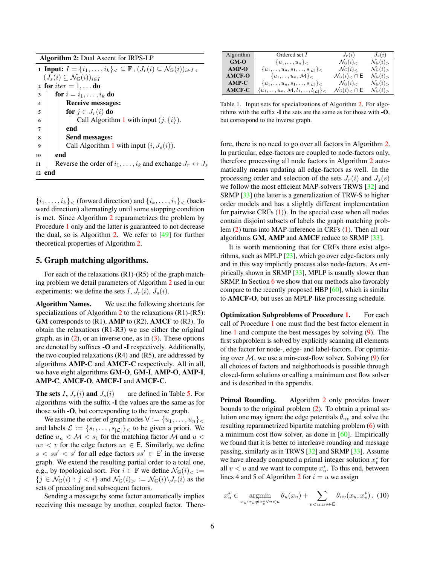<span id="page-5-2"></span>

| <b>Algorithm 2:</b> Dual Ascent for IRPS-LP                                                                                 |  |  |  |  |  |  |
|-----------------------------------------------------------------------------------------------------------------------------|--|--|--|--|--|--|
| 1 Input: $I = \{i_1, \ldots, i_k\}_\le \subseteq \mathbb{F}$ , $(J_r(i) \subseteq \mathcal{N}_{\mathbb{G}}(i))_{i \in I}$ , |  |  |  |  |  |  |
| $(J_s(i) \subseteq \mathcal{N}_{\mathbb{G}}(i))_{i \in I}$                                                                  |  |  |  |  |  |  |
| 2 for $iter = 1, \ldots$ do                                                                                                 |  |  |  |  |  |  |
| for $i = i_1, \ldots, i_k$ do<br>3                                                                                          |  |  |  |  |  |  |
| Receive messages:<br>$\overline{\mathbf{4}}$                                                                                |  |  |  |  |  |  |
| for $j \in J_r(i)$ do<br>$\overline{\mathbf{5}}$                                                                            |  |  |  |  |  |  |
| Call Algorithm 1 with input $(j, \{i\})$ .<br>6                                                                             |  |  |  |  |  |  |
| end<br>7                                                                                                                    |  |  |  |  |  |  |
| Send messages:<br>8                                                                                                         |  |  |  |  |  |  |
| Call Algorithm 1 with input $(i, J_s(i))$ .<br>9                                                                            |  |  |  |  |  |  |
| end<br>10                                                                                                                   |  |  |  |  |  |  |
| Reverse the order of $i_1, \ldots, i_k$ and exchange $J_r \leftrightarrow J_s$<br>11                                        |  |  |  |  |  |  |
| 12 end                                                                                                                      |  |  |  |  |  |  |

 $\{i_1, \ldots, i_k\}$  (forward direction) and  $\{i_k, \ldots, i_1\}$  (backward direction) alternatingly until some stopping condition is met. Since Algorithm [2](#page-4-10) reparametrizes the problem by Procedure [1](#page-4-3) only and the latter is guaranteed to not decrease the dual, so is Algorithm [2.](#page-4-10) We refer to [\[49\]](#page-9-18) for further theoretical properties of Algorithm [2.](#page-4-10)

## <span id="page-5-0"></span>5. Graph matching algorithms.

For each of the relaxations (R1)-(R5) of the graph matching problem we detail parameters of Algorithm [2](#page-4-10) used in our experiments: we define the sets I,  $J_r(i)$ ,  $J_s(i)$ .

Algorithm Names. We use the following shortcuts for specializations of Algorithm  $2$  to the relaxations (R1)-(R5): GM corresponds to (R1), AMP to (R2), AMCF to (R3). To obtain the relaxations (R1-R3) we use either the original graph, as in  $(2)$ , or an inverse one, as in  $(3)$ . These options are denoted by suffixes -O and -I respectively. Additionally, the two coupled relaxations  $(R4)$  and  $(R5)$ , are addressed by algorithms AMP-C and AMCF-C respectively. All in all, we have eight algorithms GM-O, GM-I, AMP-O, AMP-I, AMP-C, AMCF-O, AMCF-I and AMCF-C.

**The sets** I,  $J_r(i)$  and  $J_s(i)$  are defined in Table [5.](#page-5-1) For algorithms with the suffix -I the values are the same as for those with -O, but corresponding to the inverse graph.

We assume the order of graph nodes  $V := \{u_1, \ldots, u_n\}$ and labels  $\mathcal{L} := \{s_1, \ldots, s_{|\mathcal{L}|}\}\)$  to be given a priori. We define  $u_n < M < s_1$  for the matching factor M and  $u <$  $uv < v$  for the edge factors  $uv \in E$ . Similarly, we define  $s < ss' < s'$  for all edge factors  $ss' \in E'$  in the inverse graph. We extend the resulting partial order to a total one, e.g., by topological sort. For  $i \in \mathbb{F}$  we define  $\mathcal{N}_{\mathbb{G}}(i)_{< \mathbb{F}}$  ${j \in \mathcal{N}_{\mathbb{G}}(i) : j < i}$  and  $\mathcal{N}_{\mathbb{G}}(i)_{>} := \mathcal{N}_{\mathbb{G}}(i) \backslash J_r(i)$  as the sets of preceding and subsequent factors.

Sending a message by some factor automatically implies receiving this message by another, coupled factor. There-

| Algorithm | Ordered set $I$                                                   | $J_r(i)$                                                     | $J_s(i)$                          |
|-----------|-------------------------------------------------------------------|--------------------------------------------------------------|-----------------------------------|
| GM-O      | $\{u_1,\ldots,u_n\}_{\lt}$                                        | $\mathcal{N}_{\mathbb{G}}(i)_{\lt}$                          | $\mathcal{N}_{\mathbb{G}}(i)$     |
| $AMP-O$   | ${u_1, \ldots, u_n, s_1, \ldots, s_{ \mathcal{L} }}$              | $\mathcal{N}_{\mathbb{G}}(i)_{\lt}$                          | $\mathcal{N}_{\mathbb{G}}(i)$     |
| AMCF-O    | ${u_1,\ldots,u_n,\mathcal{M}}_{\leq 1}$                           | $\mathcal{N}_{\mathbb{G}}(i)_{< \mathbb{C}} \cap \mathsf{E}$ | $\mathcal{N}_{\mathbb{G}}(i)$     |
| $AMP-C$   | ${u_1, \ldots, u_n, s_1, \ldots, s_{ \mathcal{L} }}$              | $\mathcal{N}_{\mathbb{G}}(i)_{<}$                            | $\mathcal{N}_{\mathbb{G}}(i)_{>$  |
| AMCF-C    | ${u_1, \ldots, u_n, \mathcal{M}, l_1, \ldots, l_{ \mathcal{L} }}$ | $\mathcal{N}_{\mathbb{G}}(i)_{< \mathbb{C}} \mathsf{E}$      | $\mathcal{N}_{\mathbb{G}}(i)_{>}$ |

<span id="page-5-1"></span>Table 1. Input sets for specializations of Algorithm [2.](#page-4-10) For algorithms with the suffix -I the sets are the same as for those with -O, but correspond to the inverse graph.

fore, there is no need to go over all factors in Algorithm [2.](#page-4-10) In particular, edge-factors are coupled to node-factors only, therefore processing all node factors in Algorithm [2](#page-4-10) automatically means updating all edge-factors as well. In the processing order and selection of the sets  $J_r(i)$  and  $J_s(s)$ we follow the most efficient MAP-solvers TRWS [\[32\]](#page-8-0) and SRMP [\[33\]](#page-8-21) (the latter is a generalization of TRW-S to higher order models and has a slightly different implementation for pairwise CRFs  $(1)$ ). In the special case when all nodes contain disjoint subsets of labels the graph matching problem [\(2\)](#page-2-0) turns into MAP-inference in CRFs [\(1\)](#page-1-0). Then all our algorithms GM, AMP and AMCF reduce to SRMP [\[33\]](#page-8-21).

It is worth mentioning that for CRFs there exist algorithms, such as MPLP [\[23\]](#page-8-22), which go over edge-factors only and in this way implicitly process also node-factors. As empirically shown in SRMP [\[33\]](#page-8-21), MPLP is usually slower than SRMP. In Section [6](#page-6-0) we show that our methods also favorably compare to the recently proposed HBP [\[60\]](#page-9-15), which is similar to AMCF-O, but uses an MPLP-like processing schedule.

**Optimization Subproblems of Procedure [1.](#page-4-3)** For each call of Procedure [1](#page-4-3) one must find the best factor element in line [1](#page-4-4) and compute the best messages by solving [\(9\)](#page-4-5). The first subproblem is solved by explicitly scanning all elements of the factor for node-, edge- and label-factors. For optimizing over  $M$ , we use a min-cost-flow solver. Solving [\(9\)](#page-4-5) for all choices of factors and neighborhoods is possible through closed-form solutions or calling a mainimum cost flow solver and is described in the appendix.

**Primal Rounding.** Algorithm [2](#page-4-10) only provides lower bounds to the original problem [\(2\)](#page-2-0). To obtain a primal solution one may ignore the edge potentials  $\theta_{uv}$  and solve the resulting reparametrized bipartite matching problem [\(6\)](#page-3-0) with a minimum cost flow solver, as done in [\[60\]](#page-9-15). Empirically we found that it is better to interleave rounding and message passing, similarly as in TRWS [\[32\]](#page-8-0) and SRMP [\[33\]](#page-8-21). Assume we have already computed a primal integer solution  $x_v^*$  for all  $v < u$  and we want to compute  $x_u^*$ . To this end, between lines 4 and 5 of Algorithm [2](#page-4-10) for  $i = u$  we assign

$$
x_u^* \in \underset{x_u:x_u \neq x_v^* \forall v < u}{\text{argmin}} \theta_u(x_u) + \sum_{v < u:uv \in \mathsf{E}} \theta_{uv}(x_u, x_v^*) \tag{10}
$$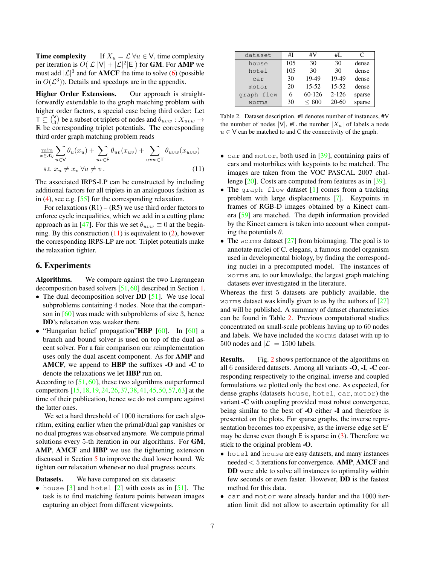<span id="page-6-3"></span>**Time complexity** If  $X_u = \mathcal{L} \forall u \in V$ , time complexity per iteration is  $O(|\mathcal{L}||V| + |\mathcal{L}|^2|\mathsf{E}|)$  for **GM**. For **AMP** we must add  $|\mathcal{L}|^3$  and for **AMCF** the time to solve [\(6\)](#page-3-0) (possible in  $O(\mathcal{L}^3)$ ). Details and speedups are in the appendix.

Higher Order Extensions. Our approach is straightforwardly extendable to the graph matching problem with higher order factors, a special case being third order: Let  $\mathsf{T} \subseteq \binom{\mathsf{V}}{3}$  be a subset ot triplets of nodes and  $\theta_{uvw} : X_{uvw} \rightarrow$ R be corresponding triplet potentials. The corresponding third order graph matching problem reads

$$
\min_{x \in \mathcal{X}_V} \sum_{u \in V} \theta_u(x_u) + \sum_{uv \in E} \theta_{uv}(x_{uv}) + \sum_{uvw \in T} \theta_{uvw}(x_{uvw})
$$
\n
$$
\text{s.t. } x_u \neq x_v \,\forall u \neq v. \tag{11}
$$

The associated IRPS-LP can be constructed by including additional factors for all triplets in an analoguous fashion as in [\(4\)](#page-2-2), see e.g. [\[55\]](#page-9-22) for the corresponding relaxation.

For relaxations  $(R1) - (R5)$  we use third order factors to enforce cycle inequalities, which we add in a cutting plane approach as in [\[47\]](#page-9-23). For this we set  $\theta_{uvw} \equiv 0$  at the beginning. By this construction  $(11)$  is equivalent to  $(2)$ , however the corresponding IRPS-LP are not: Triplet potentials make the relaxation tighter.

## <span id="page-6-0"></span>6. Experiments

Algorithms. We compare against the two Lagrangean decomposition based solvers [\[51,](#page-9-2) [60\]](#page-9-15) described in Section [1.](#page-0-0)

- The dual decomposition solver **DD** [\[51\]](#page-9-2). We use local subproblems containing 4 nodes. Note that the comparison in [\[60\]](#page-9-15) was made with subproblems of size 3, hence DD's relaxation was weaker there.
- "Hungarian belief propagation" **HBP** [\[60\]](#page-9-15). In [60] a branch and bound solver is used on top of the dual ascent solver. For a fair comparison our reimplementation uses only the dual ascent component. As for AMP and AMCF, we append to HBP the suffixes -O and -C to denote the relaxations we let HBP run on.

According to [\[51,](#page-9-2) [60\]](#page-9-15), these two algorithms outperformed competitors [\[15,](#page-8-13)[18,](#page-8-27)[19,](#page-8-25)[24,](#page-8-11)[26,](#page-8-28)[37,](#page-9-8)[38,](#page-9-7)[41,](#page-9-24)[45,](#page-9-3)[50,](#page-9-4)[57,](#page-9-25)[63\]](#page-9-14) at the time of their publication, hence we do not compare against the latter ones.

We set a hard threshold of 1000 iterations for each algorithm, exiting earlier when the primal/dual gap vanishes or no dual progress was observed anymore. We compute primal solutions every 5-th iteration in our algorithms. For **GM**, AMP, AMCF and HBP we use the tightening extension discussed in Section [5](#page-5-0) to improve the dual lower bound. We tighten our relaxation whenever no dual progress occurs.

Datasets. We have compared on six datasets:

• house  $\lceil 3 \rceil$  and hotel  $\lceil 2 \rceil$  with costs as in  $\lceil 51 \rceil$ . The task is to find matching feature points between images capturing an object from different viewpoints.

| dataset    | #I  | #V     | #L        | C      |
|------------|-----|--------|-----------|--------|
| house      | 105 | 30     | 30        | dense  |
| hotel      | 105 | 30     | 30        | dense  |
| car        | 30  | 19-49  | 19-49     | dense  |
| motor      | 20  | 15-52  | $15 - 52$ | dense  |
| graph flow | 6   | 60-126 | $2 - 126$ | sparse |
| worms      | 30  | 600    | $20-60$   | sparse |

<span id="page-6-2"></span>Table 2. Dataset description. #I denotes number of instances, #V the number of nodes  $|V|$ , #L the number  $|X_u|$  of labels a node  $u \in V$  can be matched to and C the connectivity of the graph.

- <span id="page-6-1"></span>• car and motor, both used in [\[39\]](#page-9-26), containing pairs of cars and motorbikes with keypoints to be matched. The images are taken from the VOC PASCAL 2007 challenge [\[20\]](#page-8-31). Costs are computed from features as in [\[39\]](#page-9-26).
- The graph flow dataset [\[1\]](#page-7-0) comes from a tracking problem with large displacements [\[7\]](#page-8-32). Keypoints in frames of RGB-D images obtained by a Kinect camera [\[59\]](#page-9-27) are matched. The depth information provided by the Kinect camera is taken into account when computing the potentials  $\theta$ .
- The worms dataset  $[27]$  from bioimaging. The goal is to annotate nuclei of C. elegans, a famous model organism used in developmental biology, by finding the corresponding nuclei in a precomputed model. The instances of worms are, to our knowledge, the largest graph matching datasets ever investigated in the literature.

Whereas the first 5 datasets are publicly available, the worms dataset was kindly given to us by the authors of  $[27]$ and will be published. A summary of dataset characteristics can be found in Table [2.](#page-6-2) Previous computational studies concentrated on small-scale problems having up to 60 nodes and labels. We have included the worms dataset with up to 500 nodes and  $|\mathcal{L}| = 1500$  labels.

Results. Fig. [2](#page-12-0) shows performance of the algorithms on all 6 considered datasets. Among all variants -O, -I, -C corresponding respectively to the original, inverse and coupled formulations we plotted only the best one. As expected, for dense graphs (datasets house, hotel, car, motor) the variant -C with coupling provided most robust convergence, being similar to the best of -O either -I and therefore is presented on the plots. For sparse graphs, the inverse representation becomes too expensive, as the inverse edge set E' may be dense even though  $E$  is sparse in  $(3)$ . Therefore we stick to the original problem -O.

- hotel and house are easy datasets, and many instances needed < 5 iterations for convergence. AMP, AMCF and DD were able to solve all instances to optimality within few seconds or even faster. However, DD is the fastest method for this data.
- car and motor were already harder and the 1000 iteration limit did not allow to ascertain optimality for all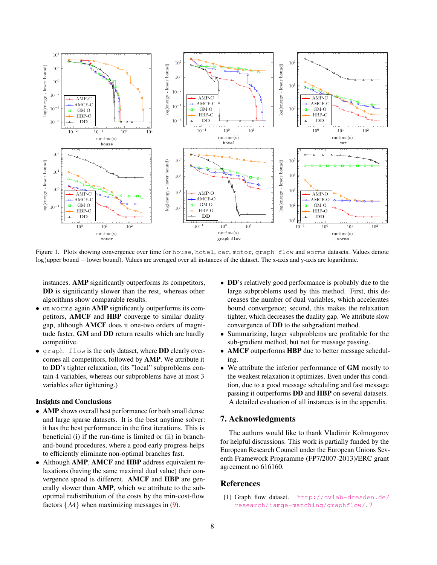

Figure 1. Plots showing convergence over time for house, hotel, car, motor, graph flow and worms datasets. Values denote log(upper bound − lower bound). Values are averaged over all instances of the dataset. The x-axis and y-axis are logarithmic.

instances. AMP significantly outperforms its competitors, DD is significantly slower than the rest, whereas other algorithms show comparable results.

- on worms again AMP significantly outperforms its competitors, AMCF and HBP converge to similar duality gap, although AMCF does it one-two orders of magnitude faster, GM and DD return results which are hardly competitive.
- graph flow is the only dataset, where DD clearly overcomes all competitors, followed by AMP. We attribute it to DD's tighter relaxation, (its "local" subproblems contain 4 variables, whereas our subproblems have at most 3 variables after tightening.)

#### Insights and Conclusions

- AMP shows overall best performance for both small dense and large sparse datasets. It is the best anytime solver: it has the best performance in the first iterations. This is beneficial (i) if the run-time is limited or (ii) in branchand-bound procedures, where a good early progress helps to efficiently eliminate non-optimal branches fast.
- Although AMP, AMCF and HBP address equivalent relaxations (having the same maximal dual value) their convergence speed is different. AMCF and HBP are generally slower than AMP, which we attribute to the suboptimal redistribution of the costs by the min-cost-flow factors  $\{M\}$  when maximizing messages in [\(9\)](#page-4-5).
- DD's relatively good performance is probably due to the large subproblems used by this method. First, this decreases the number of dual variables, which accelerates bound convergence; second, this makes the relaxation tighter, which decreases the duality gap. We attribute slow convergence of DD to the subgradient method.
- Summarizing, larger subproblems are profitable for the sub-gradient method, but not for message passing.
- AMCF outperforms HBP due to better message scheduling.
- We attribute the inferior performance of GM mostly to the weakest relaxation it optimizes. Even under this condition, due to a good message scheduling and fast message passing it outperforms DD and HBP on several datasets. A detailed evaluation of all instances is in the appendix.

## 7. Acknowledgments

The authors would like to thank Vladimir Kolmogorov for helpful discussions. This work is partially funded by the European Research Council under the European Unions Seventh Framework Programme (FP7/2007-2013)/ERC grant agreement no 616160.

#### References

<span id="page-7-0"></span>[1] Graph flow dataset. [http://cvlab-dresden.de/](http://cvlab-dresden.de/research/iamge-matching/graphflow/) [research/iamge-matching/graphflow/](http://cvlab-dresden.de/research/iamge-matching/graphflow/). [7](#page-6-3)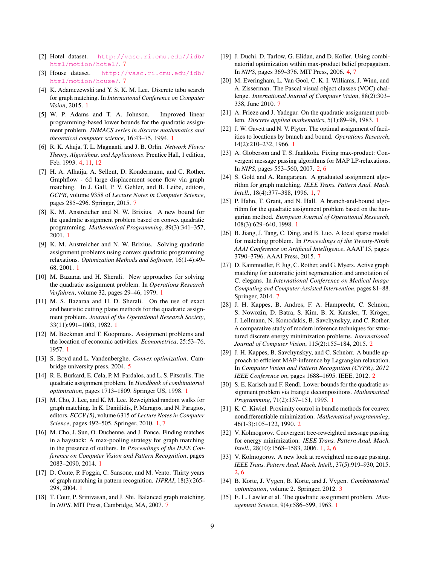- <span id="page-8-30"></span>[2] Hotel dataset. [http://vasc.ri.cmu.edu//idb/](http://vasc.ri.cmu.edu//idb/html/motion/hotel/) [html/motion/hotel/](http://vasc.ri.cmu.edu//idb/html/motion/hotel/). [7](#page-6-3)
- <span id="page-8-29"></span>[3] House dataset. [http://vasc.ri.cmu.edu/idb/](http://vasc.ri.cmu.edu/idb/html/motion/house/) [html/motion/house/](http://vasc.ri.cmu.edu/idb/html/motion/house/). [7](#page-6-3)
- <span id="page-8-10"></span>[4] K. Adamczewski and Y. S. K. M. Lee. Discrete tabu search for graph matching. In *International Conference on Computer Vision*, 2015. [1](#page-0-1)
- <span id="page-8-5"></span>[5] W. P. Adams and T. A. Johnson. Improved linear programming-based lower bounds for the quadratic assignment problem. *DIMACS series in discrete mathematics and theoretical computer science*, 16:43–75, 1994. [1](#page-0-1)
- <span id="page-8-24"></span>[6] R. K. Ahuja, T. L. Magnanti, and J. B. Orlin. *Network Flows: Theory, Algorithms, and Applications*. Prentice Hall, 1 edition, Feb. 1993. [4,](#page-3-3) [11,](#page-10-0) [12](#page-11-0)
- <span id="page-8-32"></span>[7] H. A. Alhaija, A. Sellent, D. Kondermann, and C. Rother. Graphflow - 6d large displacement scene flow via graph matching. In J. Gall, P. V. Gehler, and B. Leibe, editors, *GCPR*, volume 9358 of *Lecture Notes in Computer Science*, pages 285–296. Springer, 2015. [7](#page-6-3)
- <span id="page-8-7"></span>[8] K. M. Anstreicher and N. W. Brixius. A new bound for the quadratic assignment problem based on convex quadratic programming. *Mathematical Programming*, 89(3):341–357, 2001. [1](#page-0-1)
- <span id="page-8-14"></span>[9] K. M. Anstreicher and N. W. Brixius. Solving quadratic assignment problems using convex quadratic programming relaxations. *Optimization Methods and Software*, 16(1-4):49– 68, 2001. [1](#page-0-1)
- <span id="page-8-8"></span>[10] M. Bazaraa and H. Sherali. New approaches for solving the quadratic assignment problem. In *Operations Research Verfahren*, volume 32, pages 29–46, 1979. [1](#page-0-1)
- <span id="page-8-9"></span>[11] M. S. Bazaraa and H. D. Sherali. On the use of exact and heuristic cutting plane methods for the quadratic assignment problem. *Journal of the Operational Research Society*, 33(11):991–1003, 1982. [1](#page-0-1)
- <span id="page-8-3"></span>[12] M. Beckman and T. Koopmans. Assignment problems and the location of economic activities. *Econometrica*, 25:53–76, 1957. [1](#page-0-1)
- <span id="page-8-26"></span>[13] S. Boyd and L. Vandenberghe. *Convex optimization*. Cambridge university press, 2004. [5](#page-4-11)
- <span id="page-8-17"></span>[14] R. E. Burkard, E. Cela, P. M. Pardalos, and L. S. Pitsoulis. The quadratic assignment problem. In *Handbook of combinatorial optimization*, pages 1713–1809. Springer US, 1998. [1](#page-0-1)
- <span id="page-8-13"></span>[15] M. Cho, J. Lee, and K. M. Lee. Reweighted random walks for graph matching. In K. Daniilidis, P. Maragos, and N. Paragios, editors, *ECCV (5)*, volume 6315 of *Lecture Notes in Computer Science*, pages 492–505. Springer, 2010. [1,](#page-0-1) [7](#page-6-3)
- <span id="page-8-12"></span>[16] M. Cho, J. Sun, O. Duchenne, and J. Ponce. Finding matches in a haystack: A max-pooling strategy for graph matching in the presence of outliers. In *Proceedings of the IEEE Conference on Computer Vision and Pattern Recognition*, pages 2083–2090, 2014. [1](#page-0-1)
- <span id="page-8-1"></span>[17] D. Conte, P. Foggia, C. Sansone, and M. Vento. Thirty years of graph matching in pattern recognition. *IJPRAI*, 18(3):265– 298, 2004. [1](#page-0-1)
- <span id="page-8-27"></span>[18] T. Cour, P. Srinivasan, and J. Shi. Balanced graph matching. In *NIPS*. MIT Press, Cambridge, MA, 2007. [7](#page-6-3)
- <span id="page-8-25"></span>[19] J. Duchi, D. Tarlow, G. Elidan, and D. Koller. Using combinatorial optimization within max-product belief propagation. In *NIPS*, pages 369–376. MIT Press, 2006. [4,](#page-3-3) [7](#page-6-3)
- <span id="page-8-31"></span>[20] M. Everingham, L. Van Gool, C. K. I. Williams, J. Winn, and A. Zisserman. The Pascal visual object classes (VOC) challenge. *International Journal of Computer Vision*, 88(2):303– 338, June 2010. [7](#page-6-3)
- <span id="page-8-6"></span>[21] A. Frieze and J. Yadegar. On the quadratic assignment problem. *Discrete applied mathematics*, 5(1):89–98, 1983. [1](#page-0-1)
- <span id="page-8-15"></span>[22] J. W. Gavett and N. V. Plyter. The optimal assignment of facilities to locations by branch and bound. *Operations Research*, 14(2):210–232, 1966. [1](#page-0-1)
- <span id="page-8-22"></span>[23] A. Globerson and T. S. Jaakkola. Fixing max-product: Convergent message passing algorithms for MAP LP-relaxations. In *NIPS*, pages 553–560, 2007. [2,](#page-1-1) [6](#page-5-2)
- <span id="page-8-11"></span>[24] S. Gold and A. Rangarajan. A graduated assignment algorithm for graph matching. *IEEE Trans. Pattern Anal. Mach. Intell.*, 18(4):377–388, 1996. [1,](#page-0-1) [7](#page-6-3)
- <span id="page-8-16"></span>[25] P. Hahn, T. Grant, and N. Hall. A branch-and-bound algorithm for the quadratic assignment problem based on the hungarian method. *European Journal of Operational Research*, 108(3):629–640, 1998. [1](#page-0-1)
- <span id="page-8-28"></span>[26] B. Jiang, J. Tang, C. Ding, and B. Luo. A local sparse model for matching problem. In *Proceedings of the Twenty-Ninth AAAI Conference on Artificial Intelligence*, AAAI'15, pages 3790–3796. AAAI Press, 2015. [7](#page-6-3)
- <span id="page-8-33"></span>[27] D. Kainmueller, F. Jug, C. Rother, and G. Myers. Active graph matching for automatic joint segmentation and annotation of C. elegans. In *International Conference on Medical Image Computing and Computer-Assisted Intervention*, pages 81–88. Springer, 2014. [7](#page-6-3)
- <span id="page-8-20"></span>[28] J. H. Kappes, B. Andres, F. A. Hamprecht, C. Schnörr, S. Nowozin, D. Batra, S. Kim, B. X. Kausler, T. Kröger, J. Lellmann, N. Komodakis, B. Savchynskyy, and C. Rother. A comparative study of modern inference techniques for structured discrete energy minimization problems. *International Journal of Computer Vision*, 115(2):155–184, 2015. [2](#page-1-1)
- <span id="page-8-18"></span>[29] J. H. Kappes, B. Savchynskyy, and C. Schnörr. A bundle approach to efficient MAP-inference by Lagrangian relaxation. In *Computer Vision and Pattern Recognition (CVPR), 2012 IEEE Conference on*, pages 1688–1695. IEEE, 2012. [2](#page-1-1)
- <span id="page-8-4"></span>[30] S. E. Karisch and F. Rendl. Lower bounds for the quadratic assignment problem via triangle decompositions. *Mathematical Programming*, 71(2):137–151, 1995. [1](#page-0-1)
- <span id="page-8-19"></span>[31] K. C. Kiwiel. Proximity control in bundle methods for convex nondifferentiable minimization. *Mathematical programming*, 46(1-3):105–122, 1990. [2](#page-1-1)
- <span id="page-8-0"></span>[32] V. Kolmogorov. Convergent tree-reweighted message passing for energy minimization. *IEEE Trans. Pattern Anal. Mach. Intell.*, 28(10):1568–1583, 2006. [1,](#page-0-1) [2,](#page-1-1) [6](#page-5-2)
- <span id="page-8-21"></span>[33] V. Kolmogorov. A new look at reweighted message passing. *IEEE Trans. Pattern Anal. Mach. Intell.*, 37(5):919–930, 2015. [2,](#page-1-1) [6](#page-5-2)
- <span id="page-8-23"></span>[34] B. Korte, J. Vygen, B. Korte, and J. Vygen. *Combinatorial optimization*, volume 2. Springer, 2012. [3](#page-2-5)
- <span id="page-8-2"></span>[35] E. L. Lawler et al. The quadratic assignment problem. *Management Science*, 9(4):586–599, 1963. [1](#page-0-1)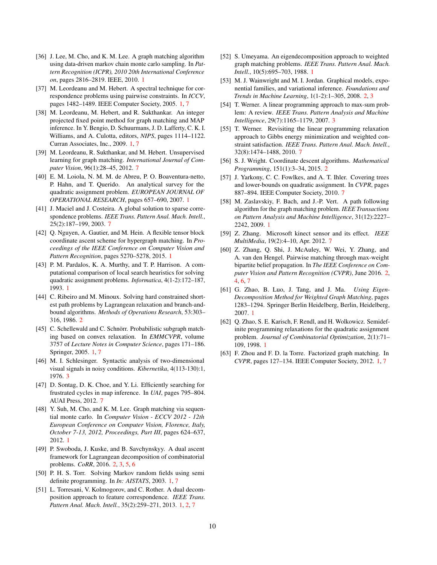- <span id="page-9-11"></span>[36] J. Lee, M. Cho, and K. M. Lee. A graph matching algorithm using data-driven markov chain monte carlo sampling. In *Pattern Recognition (ICPR), 2010 20th International Conference on*, pages 2816–2819. IEEE, 2010. [1](#page-0-1)
- <span id="page-9-8"></span>[37] M. Leordeanu and M. Hebert. A spectral technique for correspondence problems using pairwise constraints. In *ICCV*, pages 1482–1489. IEEE Computer Society, 2005. [1,](#page-0-1) [7](#page-6-3)
- <span id="page-9-7"></span>[38] M. Leordeanu, M. Hebert, and R. Sukthankar. An integer projected fixed point method for graph matching and MAP inference. In Y. Bengio, D. Schuurmans, J. D. Lafferty, C. K. I. Williams, and A. Culotta, editors, *NIPS*, pages 1114–1122. Curran Associates, Inc., 2009. [1,](#page-0-1) [7](#page-6-3)
- <span id="page-9-26"></span>[39] M. Leordeanu, R. Sukthankar, and M. Hebert. Unsupervised learning for graph matching. *International Journal of Computer Vision*, 96(1):28–45, 2012. [7](#page-6-3)
- <span id="page-9-1"></span>[40] E. M. Loiola, N. M. M. de Abreu, P. O. Boaventura-netto, P. Hahn, and T. Querido. An analytical survey for the quadratic assignment problem. *EUROPEAN JOURNAL OF OPERATIONAL RESEARCH*, pages 657–690, 2007. [1](#page-0-1)
- <span id="page-9-24"></span>[41] J. Maciel and J. Costeira. A global solution to sparse correspondence problems. *IEEE Trans. Pattern Anal. Mach. Intell.*, 25(2):187–199, 2003. [7](#page-6-3)
- <span id="page-9-0"></span>[42] Q. Nguyen, A. Gautier, and M. Hein. A flexible tensor block coordinate ascent scheme for hypergraph matching. In *Proceedings of the IEEE Conference on Computer Vision and Pattern Recognition*, pages 5270–5278, 2015. [1](#page-0-1)
- <span id="page-9-6"></span>[43] P. M. Pardalos, K. A. Murthy, and T. P. Harrison. A computational comparison of local search heuristics for solving quadratic assignment problems. *Informatica*, 4(1-2):172–187, 1993. [1](#page-0-1)
- <span id="page-9-17"></span>[44] C. Ribeiro and M. Minoux. Solving hard constrained shortest path problems by Lagrangean relaxation and branch-andbound algorithms. *Methods of Operations Research*, 53:303– 316, 1986. [2](#page-1-1)
- <span id="page-9-3"></span>[45] C. Schellewald and C. Schnörr. Probabilistic subgraph matching based on convex relaxation. In *EMMCVPR*, volume 3757 of *Lecture Notes in Computer Science*, pages 171–186. Springer, 2005. [1,](#page-0-1) [7](#page-6-3)
- <span id="page-9-20"></span>[46] M. I. Schlesinger. Syntactic analysis of two-dimensional visual signals in noisy conditions. *Kibernetika*, 4(113-130):1, 1976. [3](#page-2-5)
- <span id="page-9-23"></span>[47] D. Sontag, D. K. Choe, and Y. Li. Efficiently searching for frustrated cycles in map inference. In *UAI*, pages 795–804. AUAI Press, 2012. [7](#page-6-3)
- <span id="page-9-12"></span>[48] Y. Suh, M. Cho, and K. M. Lee. Graph matching via sequential monte carlo. In *Computer Vision - ECCV 2012 - 12th European Conference on Computer Vision, Florence, Italy, October 7-13, 2012, Proceedings, Part III*, pages 624–637, 2012. [1](#page-0-1)
- <span id="page-9-18"></span>[49] P. Swoboda, J. Kuske, and B. Savchynskyy. A dual ascent framework for Lagrangean decomposition of combinatorial problems. *CoRR*, 2016. [2,](#page-1-1) [3,](#page-2-5) [5,](#page-4-11) [6](#page-5-2)
- <span id="page-9-4"></span>[50] P. H. S. Torr. Solving Markov random fields using semi definite programming. In *In: AISTATS*, 2003. [1,](#page-0-1) [7](#page-6-3)
- <span id="page-9-2"></span>[51] L. Torresani, V. Kolmogorov, and C. Rother. A dual decomposition approach to feature correspondence. *IEEE Trans. Pattern Anal. Mach. Intell.*, 35(2):259–271, 2013. [1,](#page-0-1) [2,](#page-1-1) [7](#page-6-3)
- <span id="page-9-9"></span>[52] S. Umeyama. An eigendecomposition approach to weighted graph matching problems. *IEEE Trans. Pattern Anal. Mach. Intell.*, 10(5):695–703, 1988. [1](#page-0-1)
- <span id="page-9-19"></span>[53] M. J. Wainwright and M. I. Jordan. Graphical models, exponential families, and variational inference. *Foundations and Trends in Machine Learning*, 1(1-2):1–305, 2008. [2,](#page-1-1) [3](#page-2-5)
- <span id="page-9-21"></span>[54] T. Werner. A linear programming approach to max-sum problem: A review. *IEEE Trans. Pattern Analysis and Machine Intelligence*, 29(7):1165–1179, 2007. [3](#page-2-5)
- <span id="page-9-22"></span>[55] T. Werner. Revisiting the linear programming relaxation approach to Gibbs energy minimization and weighted constraint satisfaction. *IEEE Trans. Pattern Anal. Mach. Intell.*, 32(8):1474–1488, 2010. [7](#page-6-3)
- <span id="page-9-16"></span>[56] S. J. Wright. Coordinate descent algorithms. *Mathematical Programming*, 151(1):3–34, 2015. [2](#page-1-1)
- <span id="page-9-25"></span>[57] J. Yarkony, C. C. Fowlkes, and A. T. Ihler. Covering trees and lower-bounds on quadratic assignment. In *CVPR*, pages 887–894. IEEE Computer Society, 2010. [7](#page-6-3)
- <span id="page-9-13"></span>[58] M. Zaslavskiy, F. Bach, and J.-P. Vert. A path following algorithm for the graph matching problem. *IEEE Transactions on Pattern Analysis and Machine Intelligence*, 31(12):2227– 2242, 2009. [1](#page-0-1)
- <span id="page-9-27"></span>[59] Z. Zhang. Microsoft kinect sensor and its effect. *IEEE MultiMedia*, 19(2):4–10, Apr. 2012. [7](#page-6-3)
- <span id="page-9-15"></span>[60] Z. Zhang, Q. Shi, J. McAuley, W. Wei, Y. Zhang, and A. van den Hengel. Pairwise matching through max-weight bipartite belief propagation. In *The IEEE Conference on Computer Vision and Pattern Recognition (CVPR)*, June 2016. [2,](#page-1-1) [4,](#page-3-3) [6,](#page-5-2) [7](#page-6-3)
- <span id="page-9-10"></span>[61] G. Zhao, B. Luo, J. Tang, and J. Ma. *Using Eigen-Decomposition Method for Weighted Graph Matching*, pages 1283–1294. Springer Berlin Heidelberg, Berlin, Heidelberg, 2007. [1](#page-0-1)
- <span id="page-9-5"></span>[62] Q. Zhao, S. E. Karisch, F. Rendl, and H. Wolkowicz. Semidefinite programming relaxations for the quadratic assignment problem. *Journal of Combinatorial Optimization*, 2(1):71– 109, 1998. [1](#page-0-1)
- <span id="page-9-14"></span>[63] F. Zhou and F. D. la Torre. Factorized graph matching. In *CVPR*, pages 127–134. IEEE Computer Society, 2012. [1,](#page-0-1) [7](#page-6-3)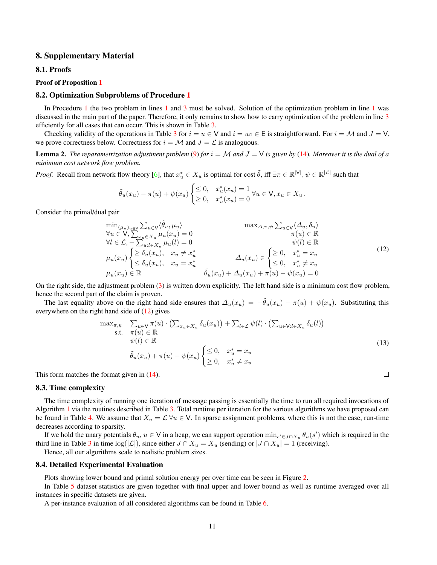#### <span id="page-10-0"></span>8. Supplementary Material

8.1. Proofs

Proof of Proposition [1](#page-3-4)

#### 8.2. Optimization Subproblems of Procedure [1](#page-4-3)

In Procedure [1](#page-4-3) the two problem in lines [1](#page-4-4) and [3](#page-4-12) must be solved. Solution of the optimization problem in line [1](#page-4-4) was discussed in the main part of the paper. Therefore, it only remains to show how to carry optimization of the problem in line [3](#page-4-12) efficiently for all cases that can occur. This is shown in Table [3.](#page-11-1)

Checking validity of the operations in Table [3](#page-11-1) for  $i = u \in V$  and  $i = uv \in E$  is straightforward. For  $i = M$  and  $J = V$ , we prove correctness below. Correctness for  $i = M$  and  $J = \mathcal{L}$  is analoguous.

**Lemma 2.** The reparametrization adjustment problem [\(9\)](#page-4-5) for  $i = M$  and  $J = V$  is given by [\(14\)](#page-11-2). Moreover it is the dual of a *minimum cost network flow problem.*

*Proof.* Recall from network flow theory [\[6\]](#page-8-24), that  $x_u^* \in X_u$  is optimal for cost  $\tilde{\theta}$ , iff  $\exists \pi \in \mathbb{R}^{|V|}, \psi \in \mathbb{R}^{|{\cal L}|}$  such that

$$
\tilde{\theta}_u(x_u) - \pi(u) + \psi(x_u) \begin{cases} \leq 0, & x_u^*(x_u) = 1 \\ \geq 0, & x_u^*(x_u) = 0 \end{cases} \forall u \in \mathsf{V}, x_u \in X_u.
$$

Consider the primal/dual pair

<span id="page-10-1"></span>
$$
\min_{\{\mu_u\}_{u\in\mathcal{V}}\sum_{x_u\in\mathcal{K}_u}\mu_u(x_u) = 0} \max_{\Delta,\pi,\psi}\sum_{u\in\mathcal{V}}\langle\Delta_u, \delta_u\rangle
$$
\n
$$
\forall u \in \mathcal{V}, \sum_{x_u\in X_u}\mu_u(x_u) = 0 \qquad \qquad \pi(u) \in \mathbb{R}
$$
\n
$$
\forall l \in \mathcal{L}, -\sum_{u:l\in X_u}\mu_u(l) = 0 \qquad \qquad \psi(l) \in \mathbb{R}
$$
\n
$$
\mu_u(x_u) \begin{cases}\n\ge \delta_u(x_u), & x_u \ne x_u^* \\
\le \delta_u(x_u), & x_u = x_u^* \\
\le \theta_u(x_u), & x_u = x_u^*\n\end{cases} \qquad \Delta_u(x_u) \in \begin{cases}\n\ge 0, & x_u^* = x_u \\
\le 0, & x_u^* \ne x_u \\
\le 0, & x_u^* \ne x_u\n\end{cases} \qquad (12)
$$

On the right side, the adjustment problem [\(3\)](#page-4-12) is written down explicitly. The left hand side is a minimum cost flow problem, hence the second part of the claim is proven.

The last equality above on the right hand side ensures that  $\Delta_u(x_u) = -\tilde{\theta}_u(x_u) - \pi(u) + \psi(x_u)$ . Substituting this everywhere on the right hand side of [\(12\)](#page-10-1) gives

$$
\max_{\pi,\psi} \sum_{u \in V} \pi(u) \cdot (\sum_{x_u \in X_u} \delta_u(x_u)) + \sum_{l \in \mathcal{L}} \psi(l) \cdot (\sum_{u \in V:l \in X_u} \delta_u(l))
$$
  
s.t.  $\pi(u) \in \mathbb{R}$   
 $\psi(l) \in \mathbb{R}$   
 $\tilde{\theta}_u(x_u) + \pi(u) - \psi(x_u) \begin{cases} \leq 0, & x_u^* = x_u \\ \geq 0, & x_u^* \neq x_u \end{cases}$  (13)

This form matches the format given in [\(14\)](#page-11-2).

### 8.3. Time complexity

The time complexity of running one iteration of message passing is essentially the time to run all required invocations of Algorithm [1](#page-4-3) via the routines described in Table [3.](#page-11-1) Total runtime per iteration for the various algorithms we have proposed can be found in Table [4.](#page-11-3) We assume that  $X_u = \mathcal{L} \forall u \in V$ . In sparse assignment problems, where this is not the case, run-time decreases according to sparsity.

If we hold the unary potentials  $\theta_u$ ,  $u \in V$  in a heap, we can support operation  $\min_{s' \in J \cap X_u} \theta_u(s')$  which is required in the third line in Table [3](#page-11-1) in time  $log(|\mathcal{L}|)$ , since either  $J \cap X_u = X_u$  (sending) or  $|J \cap X_u| = 1$  (receiving).

Hence, all our algorithms scale to realistic problem sizes.

#### 8.4. Detailed Experimental Evaluation

Plots showing lower bound and primal solution energy per over time can be seen in Figure [2.](#page-12-0)

In Table [5](#page-12-1) dataset statistics are given together with final upper and lower bound as well as runtime averaged over all instances in specific datasets are given.

A per-instance evaluation of all considered algorithms can be found in Table [6.](#page-13-0)

 $\Box$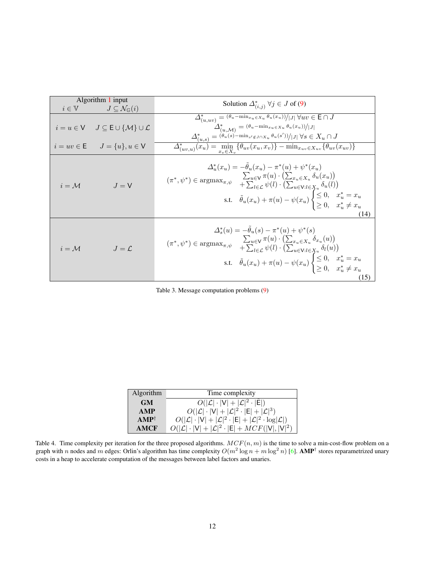<span id="page-11-0"></span>

| $i \in V$ | Algorithm 1 input<br>$J\subseteq \mathcal{N}_{\mathbb{G}}(i)$<br>an di Kabupatén | Solution $\Delta_{(i,j)}^*$ $\forall j \in J$ of (9)                                                                                                                                                                                                                                                                                                                                                                                                                                          |
|-----------|----------------------------------------------------------------------------------|-----------------------------------------------------------------------------------------------------------------------------------------------------------------------------------------------------------------------------------------------------------------------------------------------------------------------------------------------------------------------------------------------------------------------------------------------------------------------------------------------|
|           | $i = u \in V$ $J \subseteq E \cup \{\mathcal{M}\} \cup \mathcal{L}$              | $\Delta_{(u,uv)}^* = (\theta_u - \min_{x_u \in X_u} \theta_u(x_u)) /  J  \; \forall uv \in \mathsf{E} \cap J$<br>$\varDelta^*_{(u,\mathcal{M})} = \frac{(\theta_u - \min_{x_u \in X_u} \theta_u(x_u))}{ J }$<br>$\frac{\varDelta_{(u,s)}^*=\overset{(\theta_u(s)-\min_{s'\notin J\cap X_u}\theta_u(s'))/ J }{\varDelta_{(uv,u)}^*(x_u)}=\min_{x_v\in X_v}\{\theta_{uv}(x_u,x_v)\}-\underset{x_v\in X_w}\min\{\theta_{uv}(x_{uv})\}}$                                                          |
|           | $i = uv \in E$ $J = \{u\}, u \in V$                                              |                                                                                                                                                                                                                                                                                                                                                                                                                                                                                               |
| $i = M$   | $J = V$                                                                          | $\Delta_u^*(x_u) = -\theta_u(x_u) - \pi^*(u) + \psi^*(x_u)$<br>$(\pi^*, \psi^*) \in \operatorname{argmax}_{\pi, \psi} \quad \begin{array}{l} \sum_{u \in V} \pi(u) \cdot (\sum_{x_u \in X_u} \widetilde{\delta_u}(x_u)) \\ + \sum_{l \in \mathcal{L}} \psi(l) \cdot (\sum_{u \in V : l \in X_u} \widetilde{\delta_u}(l)) \\ \text{s.t.} \quad \widetilde{\theta}_u(x_u) + \pi(u) - \psi(x_u) \begin{cases} \leq 0, & x_u^* = x_u \\ \geq 0, & x_u^* \neq x_u \end{cases} \end{array}$<br>(14) |
| $i = M$   | $J=\mathcal{L}$                                                                  | $\Delta_{s}^{*}(u) = -\ddot{\theta}_{u}(s) - \pi^{*}(u) + \psi^{*}(s)$<br>$(\pi^*,\psi^*) \in \text{argmax}_{\pi,\psi} \quad \sum_{u \in \mathsf{V}} \pi(u) \cdot \left( \sum_{x_u \in X_u} \delta_{x_u}(u) \right) \\ + \sum_{l \in \mathcal{L}} \psi(l) \cdot \left( \sum_{u \in \mathsf{V}: l \in X_u} \delta_l(u) \right)$<br>s.t. $\tilde{\theta}_u(x_u) + \pi(u) - \psi(x_u) \begin{cases} \leq 0, & x_u^* = x_u \\ \geq 0, & x_u^* \neq x_u \end{cases}$                               |

<span id="page-11-2"></span><span id="page-11-1"></span>Table 3. Message computation problems [\(9\)](#page-4-5)

| Algorithm       | Time complexity                                                                                                       |
|-----------------|-----------------------------------------------------------------------------------------------------------------------|
| <b>GM</b>       | $O( \mathcal{L}  \cdot  \mathsf{V}  +  \mathcal{L} ^2 \cdot  \hat{\mathsf{E}} )$                                      |
| AMP             | $O( \mathcal{L}  \cdot  \mathsf{V}  +  \mathcal{L} ^2 \cdot  \mathsf{E}  +  \mathcal{L} ^3)$                          |
| $AMP^{\dagger}$ | $O( \mathcal{L}  \cdot  \mathsf{V}  +  \mathcal{L} ^2 \cdot  \mathsf{E}  +  \mathcal{L} ^2 \cdot \log  \mathcal{L} )$ |
| AMCF            | $O( \mathcal{L}  \cdot  \mathsf{V}  +  \mathcal{L} ^2 \cdot  \mathsf{E}  + MCF( \mathsf{V} ,  \mathsf{V} ^2)$         |

<span id="page-11-3"></span>Table 4. Time complexity per iteration for the three proposed algorithms.  $MCF(n, m)$  is the time to solve a min-cost-flow problem on a graph with n nodes and m edges: Orlin's algorithm has time complexity  $O(m^2 \log n + m \log^2 n)$  [\[6\]](#page-8-24). AMP<sup>†</sup> stores reparametrized unary costs in a heap to accelerate computation of the messages between label factors and unaries.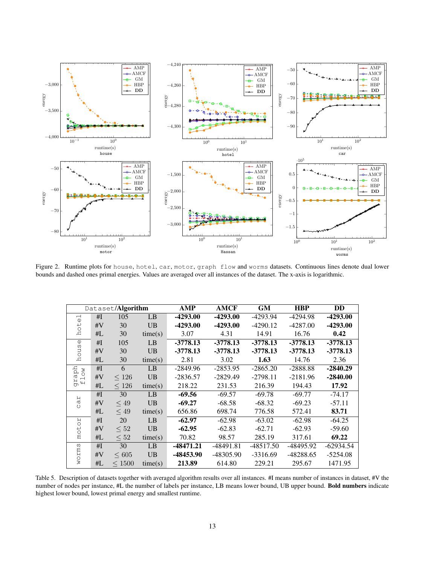

<span id="page-12-0"></span>Figure 2. Runtime plots for house, hotel, car, motor, graph flow and worms datasets. Continuous lines denote dual lower bounds and dashed ones primal energies. Values are averaged over all instances of the dataset. The x-axis is logarithmic.

| Dataset/Algorithm                 |    |            | AMP       | <b>AMCF</b> | GM         | <b>HBP</b>  | DD         |             |
|-----------------------------------|----|------------|-----------|-------------|------------|-------------|------------|-------------|
| $\overline{\phantom{0}}$<br>(1)   | #I | 105        | LB        | $-4293.00$  | $-4293.00$ | -4293.94    | -4294.98   | $-4293.00$  |
| $\overline{C}$                    | #V | 30         | <b>UB</b> | $-4293.00$  | $-4293.00$ | $-4290.12$  | $-4287.00$ | $-4293.00$  |
| ᅺ                                 | #L | 30         | time(s)   | 3.07        | 4.31       | 14.91       | 16.76      | 0.42        |
| $\mathbb{O}$<br>S)                | #I | 105        | LB        | $-3778.13$  | $-3778.13$ | $-3778.13$  | $-3778.13$ | $-3778.13$  |
| <b>DO</b>                         | #V | 30         | <b>UB</b> | $-3778.13$  | $-3778.13$ | $-3778.13$  | $-3778.13$ | $-3778.13$  |
| ኳ                                 | #L | 30         | time(s)   | 2.81        | 3.02       | 1.63        | 14.76      | 2.36        |
| <b>NO</b>                         | #I | 6          | LB        | $-2849.96$  | $-2853.95$ | $-2865.20$  | $-2888.88$ | $-2840.29$  |
| draph<br>$\overline{\phantom{0}}$ | #V | < 126      | <b>UB</b> | $-2836.57$  | $-2829.49$ | $-2798.11$  | $-2181.96$ | $-2840.00$  |
| щ                                 | #L | $\leq 126$ | time(s)   | 218.22      | 231.53     | 216.39      | 194.43     | 17.92       |
| $\mathsf{H}$                      | #I | 30         | LB        | $-69.56$    | $-69.57$   | $-69.78$    | $-69.77$   | $-74.17$    |
| ർ<br>( )                          | #V | $\leq 49$  | <b>UB</b> | $-69.27$    | $-68.58$   | $-68.32$    | $-69.23$   | $-57.11$    |
|                                   | #L | $\leq 49$  | time(s)   | 656.86      | 698.74     | 776.58      | 572.41     | 83.71       |
| $\overline{r}$<br>$\circ$         | #I | 20         | LB        | $-62.97$    | $-62.98$   | $-63.02$    | $-62.98$   | $-64.25$    |
| mot                               | #V | $\leq 52$  | <b>UB</b> | $-62.95$    | $-62.83$   | $-62.71$    | $-62.93$   | $-59.60$    |
|                                   | #L | $\leq 52$  | time(s)   | 70.82       | 98.57      | 285.19      | 317.61     | 69.22       |
| rms                               | #I | 30         | LB        | -48471.21   | -48491.81  | $-48517.50$ | -48495.92  | $-62934.54$ |
|                                   | #V | $\leq 605$ | <b>UB</b> | -48453.90   | -48305.90  | $-3316.69$  | -48288.65  | $-5254.08$  |
| OM.                               | #L | < 1500     | time(s)   | 213.89      | 614.80     | 229.21      | 295.67     | 1471.95     |

<span id="page-12-1"></span>Table 5. Description of datasets together with averaged algorithm results over all instances. #I means number of instances in dataset, #V the number of nodes per instance, #L the number of labels per instance, LB means lower bound, UB upper bound. Bold numbers indicate highest lower bound, lowest primal energy and smallest runtime.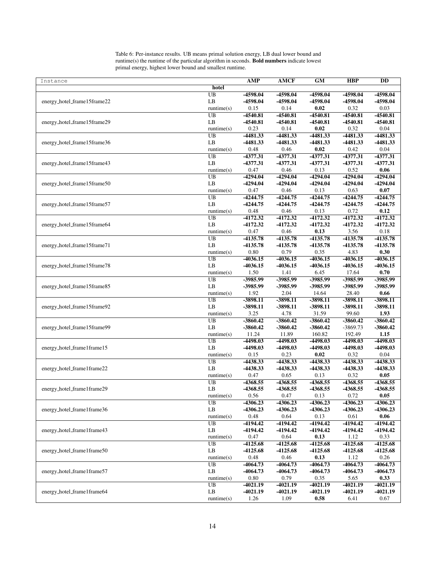| Table 6: Per-instance results. UB means primal solution energy, LB dual lower bound and            |
|----------------------------------------------------------------------------------------------------|
| runtime(s) the runtime of the particular algorithm in seconds. <b>Bold numbers</b> indicate lowest |
| primal energy, highest lower bound and smallest runtime.                                           |

<span id="page-13-0"></span>

| Instance                                                                                                                                                                                                                                                                                                                                                                                                                                                                                                                              |                            | <b>AMP</b>             | <b>AMCF</b>            | GM                       | <b>HBP</b>                                                                                                                                                                                                                                                                                                                                                                                                                                                                                                                                                                                                                                                                                                                                                                                                                                                                                                                                                                                                                                                                                                                                                                                                                                      | $\overline{DD}$ |
|---------------------------------------------------------------------------------------------------------------------------------------------------------------------------------------------------------------------------------------------------------------------------------------------------------------------------------------------------------------------------------------------------------------------------------------------------------------------------------------------------------------------------------------|----------------------------|------------------------|------------------------|--------------------------|-------------------------------------------------------------------------------------------------------------------------------------------------------------------------------------------------------------------------------------------------------------------------------------------------------------------------------------------------------------------------------------------------------------------------------------------------------------------------------------------------------------------------------------------------------------------------------------------------------------------------------------------------------------------------------------------------------------------------------------------------------------------------------------------------------------------------------------------------------------------------------------------------------------------------------------------------------------------------------------------------------------------------------------------------------------------------------------------------------------------------------------------------------------------------------------------------------------------------------------------------|-----------------|
|                                                                                                                                                                                                                                                                                                                                                                                                                                                                                                                                       | hotel                      |                        |                        |                          |                                                                                                                                                                                                                                                                                                                                                                                                                                                                                                                                                                                                                                                                                                                                                                                                                                                                                                                                                                                                                                                                                                                                                                                                                                                 |                 |
|                                                                                                                                                                                                                                                                                                                                                                                                                                                                                                                                       | $\overline{UB}$            | -4598.04               | -4598.04               | -4598.04                 | -4598.04                                                                                                                                                                                                                                                                                                                                                                                                                                                                                                                                                                                                                                                                                                                                                                                                                                                                                                                                                                                                                                                                                                                                                                                                                                        | -4598.04        |
| energy_hotel_frame15frame22                                                                                                                                                                                                                                                                                                                                                                                                                                                                                                           | LB                         | -4598.04               | -4598.04               | -4598.04                 | -4598.04                                                                                                                                                                                                                                                                                                                                                                                                                                                                                                                                                                                                                                                                                                                                                                                                                                                                                                                                                                                                                                                                                                                                                                                                                                        | -4598.04        |
|                                                                                                                                                                                                                                                                                                                                                                                                                                                                                                                                       | $\text{ runtime}(s)$       | 0.15                   | 0.14                   | 0.02                     | 0.32<br>0.03<br>$-4540.81$<br>$-4540.81$<br>$-4540.81$<br>$-4540.81$<br>0.32<br>0.04<br>$-4481.33$<br>$-4481.33$<br>-4481.33<br>-4481.33<br>0.42<br>0.04<br>-4377.31<br>$-4377.31$<br>-4377.31<br>-4377.31<br>0.52<br>0.06<br>$-4294.04$<br>$-4294.04$<br>$-4294.04$<br>$-4294.04$<br>0.63<br>0.07<br>$-4244.75$<br>$-4244.75$<br>$-4244.75$<br>$-4244.75$<br>0.72<br>0.12<br>$-4172.32$<br>$-4172.32$<br>$-4172.32$<br>$-4172.32$<br>3.56<br>0.18<br>$-4135.78$<br>$-4135.78$<br>$-4135.78$<br>-4135.78<br>4.83<br>0.30<br>$-4036.15$<br>$-4036.15$<br>-4036.15<br>$-4036.15$<br>0.70<br>17.64<br>-3985.99<br>-3985.99<br>-3985.99<br>-3985.99<br>28.40<br>0.66<br>$-3898.11$<br>$-3898.11$<br>-3898.11<br>-3898.11<br>99.60<br>1.93<br>-3860.42<br>-3860.42<br>$-3860.42$<br>$-3869.73$<br>1.15<br>192.49<br>-4498.03<br>-4498.03<br>-4498.03<br>-4498.03<br>0.32<br>0.04<br>$-4438.33$<br>-4438.33<br>-4438.33<br>-4438.33<br>0.32<br>0.05<br>-4368.55<br>$-4368.55$<br>-4368.55<br>-4368.55<br>0.72<br>0.05<br>-4306.23<br>-4306.23<br>$-4306.23$<br>-4306.23<br>0.61<br>0.06<br>-4194.42<br>-4194.42<br>-4194.42<br>-4194.42<br>0.33<br>1.12<br>$-4125.68$<br>$-4125.68$<br>-4125.68<br>-4125.68<br>1.12<br>0.26<br>$-4064.73$<br>-4064.73 |                 |
| energy_hotel_frame15frame29<br>energy_hotel_frame15frame36<br>energy_hotel_frame15frame43<br>energy_hotel_frame15frame50<br>energy_hotel_frame15frame57<br>energy_hotel_frame15frame64<br>energy_hotel_frame15frame71<br>energy_hotel_frame15frame78<br>energy_hotel_frame15frame85<br>energy_hotel_frame15frame92<br>energy_hotel_frame15frame99<br>energy_hotel_frame1frame15<br>energy_hotel_frame1frame22<br>energy_hotel_frame1frame29<br>energy_hotel_frame1frame36<br>energy_hotel_frame1frame43<br>energy_hotel_frame1frame50 | UB                         | $-4540.81$             | $-4540.81$             | $-4540.81$               |                                                                                                                                                                                                                                                                                                                                                                                                                                                                                                                                                                                                                                                                                                                                                                                                                                                                                                                                                                                                                                                                                                                                                                                                                                                 |                 |
|                                                                                                                                                                                                                                                                                                                                                                                                                                                                                                                                       | LB                         | $-4540.81$             | $-4540.81$             | $-4540.81$               |                                                                                                                                                                                                                                                                                                                                                                                                                                                                                                                                                                                                                                                                                                                                                                                                                                                                                                                                                                                                                                                                                                                                                                                                                                                 |                 |
|                                                                                                                                                                                                                                                                                                                                                                                                                                                                                                                                       | $\text{ runtime}(s)$       | 0.23                   | 0.14                   | 0.02                     |                                                                                                                                                                                                                                                                                                                                                                                                                                                                                                                                                                                                                                                                                                                                                                                                                                                                                                                                                                                                                                                                                                                                                                                                                                                 |                 |
|                                                                                                                                                                                                                                                                                                                                                                                                                                                                                                                                       | UB                         | -4481.33               | $-4481.33$             | $-4481.33$               |                                                                                                                                                                                                                                                                                                                                                                                                                                                                                                                                                                                                                                                                                                                                                                                                                                                                                                                                                                                                                                                                                                                                                                                                                                                 |                 |
|                                                                                                                                                                                                                                                                                                                                                                                                                                                                                                                                       | LB                         | -4481.33               | $-4481.33$             | -4481.33                 |                                                                                                                                                                                                                                                                                                                                                                                                                                                                                                                                                                                                                                                                                                                                                                                                                                                                                                                                                                                                                                                                                                                                                                                                                                                 |                 |
|                                                                                                                                                                                                                                                                                                                                                                                                                                                                                                                                       | $\text{ runtime}(s)$       | 0.48                   | 0.46                   | $0.02\,$                 |                                                                                                                                                                                                                                                                                                                                                                                                                                                                                                                                                                                                                                                                                                                                                                                                                                                                                                                                                                                                                                                                                                                                                                                                                                                 |                 |
|                                                                                                                                                                                                                                                                                                                                                                                                                                                                                                                                       | $\overline{UB}$            | -4377.31               | -4377.31               | -4377.31                 |                                                                                                                                                                                                                                                                                                                                                                                                                                                                                                                                                                                                                                                                                                                                                                                                                                                                                                                                                                                                                                                                                                                                                                                                                                                 |                 |
|                                                                                                                                                                                                                                                                                                                                                                                                                                                                                                                                       | LB                         | -4377.31               | -4377.31               | -4377.31                 |                                                                                                                                                                                                                                                                                                                                                                                                                                                                                                                                                                                                                                                                                                                                                                                                                                                                                                                                                                                                                                                                                                                                                                                                                                                 |                 |
|                                                                                                                                                                                                                                                                                                                                                                                                                                                                                                                                       | $\text{ runtime}(s)$       | 0.47                   | 0.46                   | 0.13                     |                                                                                                                                                                                                                                                                                                                                                                                                                                                                                                                                                                                                                                                                                                                                                                                                                                                                                                                                                                                                                                                                                                                                                                                                                                                 |                 |
|                                                                                                                                                                                                                                                                                                                                                                                                                                                                                                                                       | UB                         | $-4294.04$             | $-4294.04$             | $-4294.04$               |                                                                                                                                                                                                                                                                                                                                                                                                                                                                                                                                                                                                                                                                                                                                                                                                                                                                                                                                                                                                                                                                                                                                                                                                                                                 |                 |
|                                                                                                                                                                                                                                                                                                                                                                                                                                                                                                                                       | LB                         | $-4294.04$             | $-4294.04$             | $-4294.04$               |                                                                                                                                                                                                                                                                                                                                                                                                                                                                                                                                                                                                                                                                                                                                                                                                                                                                                                                                                                                                                                                                                                                                                                                                                                                 |                 |
|                                                                                                                                                                                                                                                                                                                                                                                                                                                                                                                                       | $\text{ runtime}(s)$<br>UB | 0.47<br>$-4244.75$     | 0.46<br>$-4244.75$     | 0.13<br>$-4244.75$       |                                                                                                                                                                                                                                                                                                                                                                                                                                                                                                                                                                                                                                                                                                                                                                                                                                                                                                                                                                                                                                                                                                                                                                                                                                                 |                 |
|                                                                                                                                                                                                                                                                                                                                                                                                                                                                                                                                       | LB                         | $-4244.75$             | $-4244.75$             | $-4244.75$               |                                                                                                                                                                                                                                                                                                                                                                                                                                                                                                                                                                                                                                                                                                                                                                                                                                                                                                                                                                                                                                                                                                                                                                                                                                                 |                 |
|                                                                                                                                                                                                                                                                                                                                                                                                                                                                                                                                       | $\text{ runtime}(s)$       | 0.48                   | 0.46                   | 0.13                     |                                                                                                                                                                                                                                                                                                                                                                                                                                                                                                                                                                                                                                                                                                                                                                                                                                                                                                                                                                                                                                                                                                                                                                                                                                                 |                 |
|                                                                                                                                                                                                                                                                                                                                                                                                                                                                                                                                       | UB                         | $-4172.32$             | $-4172.32$             | $-4172.32$               |                                                                                                                                                                                                                                                                                                                                                                                                                                                                                                                                                                                                                                                                                                                                                                                                                                                                                                                                                                                                                                                                                                                                                                                                                                                 |                 |
|                                                                                                                                                                                                                                                                                                                                                                                                                                                                                                                                       | LB                         | $-4172.32$             | $-4172.32$             | $-4172.32$               |                                                                                                                                                                                                                                                                                                                                                                                                                                                                                                                                                                                                                                                                                                                                                                                                                                                                                                                                                                                                                                                                                                                                                                                                                                                 |                 |
|                                                                                                                                                                                                                                                                                                                                                                                                                                                                                                                                       | $\text{ runtime}(s)$       | 0.47                   | 0.46                   | 0.13                     |                                                                                                                                                                                                                                                                                                                                                                                                                                                                                                                                                                                                                                                                                                                                                                                                                                                                                                                                                                                                                                                                                                                                                                                                                                                 |                 |
|                                                                                                                                                                                                                                                                                                                                                                                                                                                                                                                                       | UB                         | -4135.78               | $-4135.78$             | -4135.78                 |                                                                                                                                                                                                                                                                                                                                                                                                                                                                                                                                                                                                                                                                                                                                                                                                                                                                                                                                                                                                                                                                                                                                                                                                                                                 |                 |
|                                                                                                                                                                                                                                                                                                                                                                                                                                                                                                                                       | LB                         | -4135.78               | -4135.78               | -4135.78                 |                                                                                                                                                                                                                                                                                                                                                                                                                                                                                                                                                                                                                                                                                                                                                                                                                                                                                                                                                                                                                                                                                                                                                                                                                                                 |                 |
|                                                                                                                                                                                                                                                                                                                                                                                                                                                                                                                                       | $\text{ runtime}(s)$       | 0.80                   | 0.79                   | 0.35                     |                                                                                                                                                                                                                                                                                                                                                                                                                                                                                                                                                                                                                                                                                                                                                                                                                                                                                                                                                                                                                                                                                                                                                                                                                                                 |                 |
|                                                                                                                                                                                                                                                                                                                                                                                                                                                                                                                                       | $\overline{UB}$            | -4036.15               | $-4036.15$             | $-4036.15$               |                                                                                                                                                                                                                                                                                                                                                                                                                                                                                                                                                                                                                                                                                                                                                                                                                                                                                                                                                                                                                                                                                                                                                                                                                                                 |                 |
|                                                                                                                                                                                                                                                                                                                                                                                                                                                                                                                                       | LB                         | -4036.15               | $-4036.15$             | -4036.15                 |                                                                                                                                                                                                                                                                                                                                                                                                                                                                                                                                                                                                                                                                                                                                                                                                                                                                                                                                                                                                                                                                                                                                                                                                                                                 |                 |
|                                                                                                                                                                                                                                                                                                                                                                                                                                                                                                                                       | $\text{ runtime}(s)$       | 1.50                   | 1.41                   | 6.45                     |                                                                                                                                                                                                                                                                                                                                                                                                                                                                                                                                                                                                                                                                                                                                                                                                                                                                                                                                                                                                                                                                                                                                                                                                                                                 |                 |
|                                                                                                                                                                                                                                                                                                                                                                                                                                                                                                                                       | UB                         | -3985.99               | -3985.99               | -3985.99                 |                                                                                                                                                                                                                                                                                                                                                                                                                                                                                                                                                                                                                                                                                                                                                                                                                                                                                                                                                                                                                                                                                                                                                                                                                                                 |                 |
|                                                                                                                                                                                                                                                                                                                                                                                                                                                                                                                                       | LB                         | -3985.99               | -3985.99               | -3985.99                 |                                                                                                                                                                                                                                                                                                                                                                                                                                                                                                                                                                                                                                                                                                                                                                                                                                                                                                                                                                                                                                                                                                                                                                                                                                                 |                 |
|                                                                                                                                                                                                                                                                                                                                                                                                                                                                                                                                       | $\text{ runtime}(s)$       | 1.92                   | 2.04                   | 14.64                    |                                                                                                                                                                                                                                                                                                                                                                                                                                                                                                                                                                                                                                                                                                                                                                                                                                                                                                                                                                                                                                                                                                                                                                                                                                                 |                 |
|                                                                                                                                                                                                                                                                                                                                                                                                                                                                                                                                       | UB                         | $-3898.11$             | $-3898.11$             | $-3898.11$               |                                                                                                                                                                                                                                                                                                                                                                                                                                                                                                                                                                                                                                                                                                                                                                                                                                                                                                                                                                                                                                                                                                                                                                                                                                                 |                 |
|                                                                                                                                                                                                                                                                                                                                                                                                                                                                                                                                       | LB                         | -3898.11               | -3898.11               | $-3898.11$               |                                                                                                                                                                                                                                                                                                                                                                                                                                                                                                                                                                                                                                                                                                                                                                                                                                                                                                                                                                                                                                                                                                                                                                                                                                                 |                 |
|                                                                                                                                                                                                                                                                                                                                                                                                                                                                                                                                       | $\text{ runtime}(s)$       | 3.25                   | 4.78                   | 31.59                    |                                                                                                                                                                                                                                                                                                                                                                                                                                                                                                                                                                                                                                                                                                                                                                                                                                                                                                                                                                                                                                                                                                                                                                                                                                                 |                 |
|                                                                                                                                                                                                                                                                                                                                                                                                                                                                                                                                       | UB<br>LB                   | $-3860.42$<br>-3860.42 | $-3860.42$<br>-3860.42 | $-3860.42$<br>$-3860.42$ |                                                                                                                                                                                                                                                                                                                                                                                                                                                                                                                                                                                                                                                                                                                                                                                                                                                                                                                                                                                                                                                                                                                                                                                                                                                 |                 |
|                                                                                                                                                                                                                                                                                                                                                                                                                                                                                                                                       | $\text{ runtime}(s)$       | 11.24                  | 11.89                  | 160.82                   |                                                                                                                                                                                                                                                                                                                                                                                                                                                                                                                                                                                                                                                                                                                                                                                                                                                                                                                                                                                                                                                                                                                                                                                                                                                 |                 |
|                                                                                                                                                                                                                                                                                                                                                                                                                                                                                                                                       | UB                         | -4498.03               | -4498.03               | -4498.03                 |                                                                                                                                                                                                                                                                                                                                                                                                                                                                                                                                                                                                                                                                                                                                                                                                                                                                                                                                                                                                                                                                                                                                                                                                                                                 |                 |
|                                                                                                                                                                                                                                                                                                                                                                                                                                                                                                                                       | LB                         | -4498.03               | -4498.03               | -4498.03                 |                                                                                                                                                                                                                                                                                                                                                                                                                                                                                                                                                                                                                                                                                                                                                                                                                                                                                                                                                                                                                                                                                                                                                                                                                                                 |                 |
|                                                                                                                                                                                                                                                                                                                                                                                                                                                                                                                                       | $\text{ runtime}(s)$       | 0.15                   | 0.23                   | $0.02\,$                 |                                                                                                                                                                                                                                                                                                                                                                                                                                                                                                                                                                                                                                                                                                                                                                                                                                                                                                                                                                                                                                                                                                                                                                                                                                                 |                 |
|                                                                                                                                                                                                                                                                                                                                                                                                                                                                                                                                       | UB                         | -4438.33               | -4438.33               | $-4438.33$               |                                                                                                                                                                                                                                                                                                                                                                                                                                                                                                                                                                                                                                                                                                                                                                                                                                                                                                                                                                                                                                                                                                                                                                                                                                                 |                 |
|                                                                                                                                                                                                                                                                                                                                                                                                                                                                                                                                       | LB                         | -4438.33               | -4438.33               | -4438.33                 |                                                                                                                                                                                                                                                                                                                                                                                                                                                                                                                                                                                                                                                                                                                                                                                                                                                                                                                                                                                                                                                                                                                                                                                                                                                 |                 |
|                                                                                                                                                                                                                                                                                                                                                                                                                                                                                                                                       | $\text{ runtime}(s)$       | 0.47                   | 0.65                   | 0.13                     |                                                                                                                                                                                                                                                                                                                                                                                                                                                                                                                                                                                                                                                                                                                                                                                                                                                                                                                                                                                                                                                                                                                                                                                                                                                 |                 |
|                                                                                                                                                                                                                                                                                                                                                                                                                                                                                                                                       | $\overline{UB}$            | -4368.55               | $-4368.55$             | -4368.55                 |                                                                                                                                                                                                                                                                                                                                                                                                                                                                                                                                                                                                                                                                                                                                                                                                                                                                                                                                                                                                                                                                                                                                                                                                                                                 |                 |
|                                                                                                                                                                                                                                                                                                                                                                                                                                                                                                                                       | LB                         | -4368.55               | -4368.55               | -4368.55                 |                                                                                                                                                                                                                                                                                                                                                                                                                                                                                                                                                                                                                                                                                                                                                                                                                                                                                                                                                                                                                                                                                                                                                                                                                                                 |                 |
|                                                                                                                                                                                                                                                                                                                                                                                                                                                                                                                                       | $\text{ runtime}(s)$       | 0.56                   | 0.47                   | 0.13                     |                                                                                                                                                                                                                                                                                                                                                                                                                                                                                                                                                                                                                                                                                                                                                                                                                                                                                                                                                                                                                                                                                                                                                                                                                                                 |                 |
|                                                                                                                                                                                                                                                                                                                                                                                                                                                                                                                                       | UB                         | -4306.23               | -4306.23               | -4306.23                 |                                                                                                                                                                                                                                                                                                                                                                                                                                                                                                                                                                                                                                                                                                                                                                                                                                                                                                                                                                                                                                                                                                                                                                                                                                                 |                 |
|                                                                                                                                                                                                                                                                                                                                                                                                                                                                                                                                       | LB                         | -4306.23               | -4306.23               | -4306.23                 |                                                                                                                                                                                                                                                                                                                                                                                                                                                                                                                                                                                                                                                                                                                                                                                                                                                                                                                                                                                                                                                                                                                                                                                                                                                 |                 |
|                                                                                                                                                                                                                                                                                                                                                                                                                                                                                                                                       | $\text{ runtime}(s)$       | 0.48                   | 0.64                   | 0.13                     |                                                                                                                                                                                                                                                                                                                                                                                                                                                                                                                                                                                                                                                                                                                                                                                                                                                                                                                                                                                                                                                                                                                                                                                                                                                 |                 |
|                                                                                                                                                                                                                                                                                                                                                                                                                                                                                                                                       | <b>UB</b>                  | -4194.42               | -4194.42               | -4194.42                 |                                                                                                                                                                                                                                                                                                                                                                                                                                                                                                                                                                                                                                                                                                                                                                                                                                                                                                                                                                                                                                                                                                                                                                                                                                                 |                 |
|                                                                                                                                                                                                                                                                                                                                                                                                                                                                                                                                       | LB                         | -4194.42               | -4194.42               | -4194.42                 |                                                                                                                                                                                                                                                                                                                                                                                                                                                                                                                                                                                                                                                                                                                                                                                                                                                                                                                                                                                                                                                                                                                                                                                                                                                 |                 |
|                                                                                                                                                                                                                                                                                                                                                                                                                                                                                                                                       | $\text{ runtime}(s)$       | 0.47                   | 0.64                   | 0.13                     |                                                                                                                                                                                                                                                                                                                                                                                                                                                                                                                                                                                                                                                                                                                                                                                                                                                                                                                                                                                                                                                                                                                                                                                                                                                 |                 |
|                                                                                                                                                                                                                                                                                                                                                                                                                                                                                                                                       | UB                         | $-4125.68$             | -4125.68               | $-4125.68$               |                                                                                                                                                                                                                                                                                                                                                                                                                                                                                                                                                                                                                                                                                                                                                                                                                                                                                                                                                                                                                                                                                                                                                                                                                                                 |                 |
|                                                                                                                                                                                                                                                                                                                                                                                                                                                                                                                                       | LB<br>$\text{ runtime}(s)$ | -4125.68<br>0.48       | -4125.68<br>0.46       | -4125.68<br>0.13         |                                                                                                                                                                                                                                                                                                                                                                                                                                                                                                                                                                                                                                                                                                                                                                                                                                                                                                                                                                                                                                                                                                                                                                                                                                                 |                 |
|                                                                                                                                                                                                                                                                                                                                                                                                                                                                                                                                       | UB                         | $-4064.73$             | $-4064.73$             | $-4064.73$               |                                                                                                                                                                                                                                                                                                                                                                                                                                                                                                                                                                                                                                                                                                                                                                                                                                                                                                                                                                                                                                                                                                                                                                                                                                                 |                 |
| energy_hotel_frame1frame57                                                                                                                                                                                                                                                                                                                                                                                                                                                                                                            | LB                         | -4064.73               | -4064.73               | $-4064.73$               | -4064.73                                                                                                                                                                                                                                                                                                                                                                                                                                                                                                                                                                                                                                                                                                                                                                                                                                                                                                                                                                                                                                                                                                                                                                                                                                        | $-4064.73$      |
|                                                                                                                                                                                                                                                                                                                                                                                                                                                                                                                                       | $\text{ runtime}(s)$       | 0.80                   | 0.79                   | 0.35                     | 5.65                                                                                                                                                                                                                                                                                                                                                                                                                                                                                                                                                                                                                                                                                                                                                                                                                                                                                                                                                                                                                                                                                                                                                                                                                                            | 0.33            |
|                                                                                                                                                                                                                                                                                                                                                                                                                                                                                                                                       | UB                         | $-4021.19$             | -4021.19               | $-4021.19$               | $-4021.19$                                                                                                                                                                                                                                                                                                                                                                                                                                                                                                                                                                                                                                                                                                                                                                                                                                                                                                                                                                                                                                                                                                                                                                                                                                      | $-4021.19$      |
| energy_hotel_frame1frame64                                                                                                                                                                                                                                                                                                                                                                                                                                                                                                            | LB                         | $-4021.19$             | $-4021.19$             | -4021.19                 | $-4021.19$                                                                                                                                                                                                                                                                                                                                                                                                                                                                                                                                                                                                                                                                                                                                                                                                                                                                                                                                                                                                                                                                                                                                                                                                                                      | $-4021.19$      |
|                                                                                                                                                                                                                                                                                                                                                                                                                                                                                                                                       | runtime(s)                 | 1.26                   | 1.09                   | 0.58                     | 6.41                                                                                                                                                                                                                                                                                                                                                                                                                                                                                                                                                                                                                                                                                                                                                                                                                                                                                                                                                                                                                                                                                                                                                                                                                                            | 0.67            |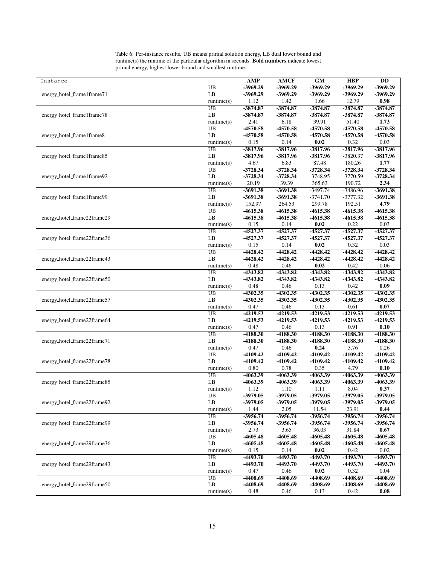| Instance                    |                      | <b>AMP</b> | <b>AMCF</b> | GM         | <b>HBP</b> | $\overline{DD}$ |
|-----------------------------|----------------------|------------|-------------|------------|------------|-----------------|
|                             | UB                   | $-3969.29$ | $-3969.29$  | $-3969.29$ | $-3969.29$ | $-3969.29$      |
| energy_hotel_frame1frame71  | LB                   | -3969.29   | -3969.29    | -3969.29   | -3969.29   | -3969.29        |
|                             | $\text{ runtime}(s)$ | 1.12       | 1.42        | 1.66       | 12.79      | 0.98            |
|                             | UB                   | $-3874.87$ | $-3874.87$  | $-3874.87$ | -3874.87   | $-3874.87$      |
| energy_hotel_frame1frame78  | LB                   | $-3874.87$ | $-3874.87$  | $-3874.87$ | -3874.87   | -3874.87        |
|                             | $\text{ runtime}(s)$ | 2.41       | 6.18        | 39.91      | 51.40      | 1.73            |
|                             | UB                   | $-4570.58$ | $-4570.58$  | -4570.58   | $-4570.58$ | $-4570.58$      |
| energy_hotel_frame1frame8   | LB                   | $-4570.58$ | $-4570.58$  | $-4570.58$ | -4570.58   | $-4570.58$      |
|                             | $\text{ runtime}(s)$ | 0.15       | 0.14        | 0.02       | 0.32       | 0.03            |
|                             | UB                   | -3817.96   | $-3817.96$  | $-3817.96$ | $-3817.96$ | -3817.96        |
| energy_hotel_frame1frame85  | LB                   | -3817.96   | -3817.96    | -3817.96   | $-3820.37$ | $-3817.96$      |
|                             | $\text{ runtime}(s)$ | 4.67       | 6.83        | 87.48      | 180.26     | 1.77            |
|                             | UB                   | $-3728.34$ | $-3728.34$  | $-3728.34$ | $-3728.34$ | $-3728.34$      |
| energy_hotel_frame1frame92  | LB                   | $-3728.34$ | $-3728.34$  | $-3748.95$ | $-3770.59$ | $-3728.34$      |
|                             | runtime(s)           | 20.19      | 39.39       | 365.63     | 190.72     | 2.34            |
|                             | UB                   | $-3691.38$ | $-3691.38$  | $-3497.74$ | $-3486.96$ | $-3691.38$      |
| energy_hotel_frame1frame99  | LB                   | $-3691.38$ | $-3691.38$  | -3741.70   | $-3777.32$ | $-3691.38$      |
|                             | $\text{ runtime}(s)$ | 152.97     | 264.53      | 299.78     | 192.51     | 4.79            |
|                             | UB                   | $-4615.38$ | $-4615.38$  | $-4615.38$ | -4615.38   | -4615.38        |
| energy_hotel_frame22frame29 | LB                   | -4615.38   | $-4615.38$  | $-4615.38$ | -4615.38   | -4615.38        |
|                             | $\text{ runtime}(s)$ | 0.15       | 0.14        | 0.02       | 0.22       | 0.03            |
|                             | UB                   | -4527.37   | $-4527.37$  | $-4527.37$ | -4527.37   | $-4527.37$      |
| energy_hotel_frame22frame36 | LB                   | $-4527.37$ | $-4527.37$  | $-4527.37$ | $-4527.37$ | -4527.37        |
|                             | $\text{ runtime}(s)$ | 0.15       | 0.14        | 0.02       | 0.32       | 0.03            |
|                             | UB                   | $-4428.42$ | $-4428.42$  | $-4428.42$ | $-4428.42$ | $-4428.42$      |
| energy_hotel_frame22frame43 | LB                   | $-4428.42$ | $-4428.42$  | -4428.42   | $-4428.42$ | $-4428.42$      |
|                             | $\text{ runtime}(s)$ | 0.48       | 0.46        | 0.02       | 0.42       | 0.06            |
|                             | UB                   | -4343.82   | -4343.82    | -4343.82   | $-4343.82$ | -4343.82        |
| energy_hotel_frame22frame50 | LB                   | -4343.82   | -4343.82    | -4343.82   | -4343.82   | -4343.82        |
|                             | $\text{ runtime}(s)$ | 0.48       | 0.46        | 0.13       | 0.42       | 0.09            |
|                             | UB                   | $-4302.35$ | $-4302.35$  | $-4302.35$ | $-4302.35$ | $-4302.35$      |
| energy_hotel_frame22frame57 | LB                   | -4302.35   | $-4302.35$  | $-4302.35$ | -4302.35   | -4302.35        |
|                             | $\text{ runtime}(s)$ | 0.47       | 0.46        | 0.13       | 0.61       | 0.07            |
|                             | UB                   | -4219.53   | -4219.53    | $-4219.53$ | -4219.53   | $-4219.53$      |
| energy_hotel_frame22frame64 | LB                   | -4219.53   | $-4219.53$  | $-4219.53$ | -4219.53   | -4219.53        |
|                             | $\text{ runtime}(s)$ | 0.47       | 0.46        | 0.13       | 0.91       | 0.10            |
|                             | UB                   | -4188.30   | -4188.30    | $-4188.30$ | -4188.30   | -4188.30        |
| energy_hotel_frame22frame71 | LB                   | -4188.30   | -4188.30    | -4188.30   | -4188.30   | -4188.30        |
|                             | $\text{ runtime}(s)$ | 0.47       | 0.46        | 0.24       | 3.76       | 0.26            |
|                             | UB                   | -4109.42   | $-4109.42$  | $-4109.42$ | $-4109.42$ | $-4109.42$      |
| energy_hotel_frame22frame78 | LB                   | -4109.42   | -4109.42    | $-4109.42$ | $-4109.42$ | -4109.42        |
|                             | $\text{ runtime}(s)$ | 0.80       | 0.78        | 0.35       | 4.79       | 0.10            |
|                             | $\overline{UB}$      | -4063.39   | -4063.39    | $-4063.39$ | -4063.39   | -4063.39        |
| energy_hotel_frame22frame85 | LB                   | -4063.39   | -4063.39    | -4063.39   | -4063.39   | -4063.39        |
|                             | $\text{ runtime}(s)$ | 1.12       | 1.10        | 1.11       | 8.04       | 0.37            |
|                             | UB                   | 3979.05    | 3979.05     | 3979.05    | $-3979.05$ | 3979.05         |
| energy_hotel_frame22frame92 | LB                   | -3979.05   | -3979.05    | -3979.05   | -3979.05   | -3979.05        |
|                             | $\text{ runtime}(s)$ | 1.44       | 2.05        | 11.54      | 23.91      | 0.44            |
|                             | UB                   | $-3956.74$ | -3956.74    | $-3956.74$ | -3956.74   | $-3956.74$      |
| energy_hotel_frame22frame99 | LB                   | -3956.74   | $-3956.74$  | -3956.74   | -3956.74   | -3956.74        |
|                             | runtime(s)           | 2.73       | 3.65        | 36.03      | 31.84      | 0.67            |
|                             | UB                   | -4605.48   | $-4605.48$  | -4605.48   | -4605.48   | -4605.48        |
| energy_hotel_frame29frame36 | LB                   | -4605.48   | -4605.48    | -4605.48   | -4605.48   | -4605.48        |
|                             | $\text{ runtime}(s)$ | 0.15       | 0.14        | 0.02       | 0.42       | 0.02            |
|                             | UB                   | $-4493.70$ | -4493.70    | $-4493.70$ | -4493.70   | $-4493.70$      |
| energy_hotel_frame29frame43 | LB                   | -4493.70   | -4493.70    | -4493.70   | -4493.70   | -4493.70        |
|                             | $\text{ runtime}(s)$ | 0.47       | 0.46        | 0.02       | 0.32       | 0.04            |
|                             | UB                   | -4408.69   | -4408.69    | -4408.69   | -4408.69   | -4408.69        |
| energy_hotel_frame29frame50 | LB                   | -4408.69   | -4408.69    | -4408.69   | -4408.69   | -4408.69        |
|                             | $\text{ runtime}(s)$ | 0.48       | 0.46        | 0.13       | 0.42       | 0.08            |

Table 6: Per-instance results. UB means primal solution energy, LB dual lower bound and runtime(s) the runtime of the particular algorithm in seconds. **Bold numbers** indicate lowest primal energy, highest lower bound and smallest runtime.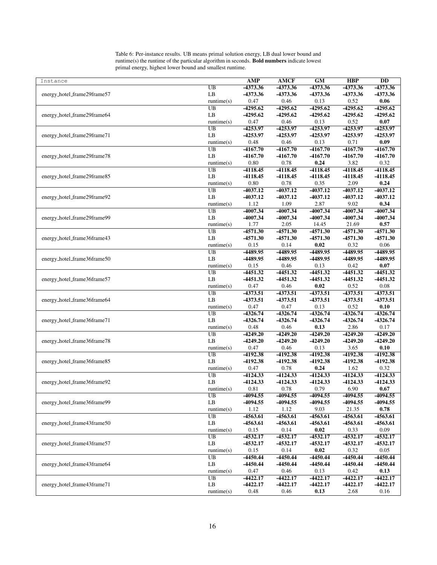| Instance                    |                                                                                                                                                                                                                                                                                                                                                                                                                                                                                                                                                                                                                                                                                                                                                                                                                                                                                                                                                                                                                                                                                                                                                                                                                                                                                                                                                                                                                                                                                                                                                                                                                                                                                                                                                                                                                                                                                                                                                                                                                                                                                                                                                                                                                                                | <b>AMP</b> | <b>AMCF</b> | <b>GM</b>  | <b>HBP</b>               | $\overline{DD}$          |
|-----------------------------|------------------------------------------------------------------------------------------------------------------------------------------------------------------------------------------------------------------------------------------------------------------------------------------------------------------------------------------------------------------------------------------------------------------------------------------------------------------------------------------------------------------------------------------------------------------------------------------------------------------------------------------------------------------------------------------------------------------------------------------------------------------------------------------------------------------------------------------------------------------------------------------------------------------------------------------------------------------------------------------------------------------------------------------------------------------------------------------------------------------------------------------------------------------------------------------------------------------------------------------------------------------------------------------------------------------------------------------------------------------------------------------------------------------------------------------------------------------------------------------------------------------------------------------------------------------------------------------------------------------------------------------------------------------------------------------------------------------------------------------------------------------------------------------------------------------------------------------------------------------------------------------------------------------------------------------------------------------------------------------------------------------------------------------------------------------------------------------------------------------------------------------------------------------------------------------------------------------------------------------------|------------|-------------|------------|--------------------------|--------------------------|
|                             | UB                                                                                                                                                                                                                                                                                                                                                                                                                                                                                                                                                                                                                                                                                                                                                                                                                                                                                                                                                                                                                                                                                                                                                                                                                                                                                                                                                                                                                                                                                                                                                                                                                                                                                                                                                                                                                                                                                                                                                                                                                                                                                                                                                                                                                                             | -4373.36   | -4373.36    | $-4373.36$ | -4373.36                 | $-4373.36$               |
| energy_hotel_frame29frame57 | LB                                                                                                                                                                                                                                                                                                                                                                                                                                                                                                                                                                                                                                                                                                                                                                                                                                                                                                                                                                                                                                                                                                                                                                                                                                                                                                                                                                                                                                                                                                                                                                                                                                                                                                                                                                                                                                                                                                                                                                                                                                                                                                                                                                                                                                             | -4373.36   | -4373.36    | -4373.36   | -4373.36                 | -4373.36                 |
|                             | $\text{ runtime}(s)$                                                                                                                                                                                                                                                                                                                                                                                                                                                                                                                                                                                                                                                                                                                                                                                                                                                                                                                                                                                                                                                                                                                                                                                                                                                                                                                                                                                                                                                                                                                                                                                                                                                                                                                                                                                                                                                                                                                                                                                                                                                                                                                                                                                                                           | 0.47       | 0.46        | 0.13       | 0.52                     | 0.06                     |
|                             | UB                                                                                                                                                                                                                                                                                                                                                                                                                                                                                                                                                                                                                                                                                                                                                                                                                                                                                                                                                                                                                                                                                                                                                                                                                                                                                                                                                                                                                                                                                                                                                                                                                                                                                                                                                                                                                                                                                                                                                                                                                                                                                                                                                                                                                                             |            |             |            | $-4295.62$               | $-4295.62$               |
| energy_hotel_frame29frame64 | LB                                                                                                                                                                                                                                                                                                                                                                                                                                                                                                                                                                                                                                                                                                                                                                                                                                                                                                                                                                                                                                                                                                                                                                                                                                                                                                                                                                                                                                                                                                                                                                                                                                                                                                                                                                                                                                                                                                                                                                                                                                                                                                                                                                                                                                             |            | $-4295.62$  |            | $-4295.62$               | $-4295.62$               |
|                             |                                                                                                                                                                                                                                                                                                                                                                                                                                                                                                                                                                                                                                                                                                                                                                                                                                                                                                                                                                                                                                                                                                                                                                                                                                                                                                                                                                                                                                                                                                                                                                                                                                                                                                                                                                                                                                                                                                                                                                                                                                                                                                                                                                                                                                                | 0.47       | 0.46        | 0.13       | 0.52                     | 0.07                     |
|                             | $-4295.62$<br>$-4295.62$<br>$-4295.62$<br>-4295.62<br>$-4295.62$<br>$\text{ runtime}(s)$<br>UB<br>-4253.97<br>-4253.97<br>-4253.97<br>-4253.97<br>-4253.97<br>-4253.97<br>LB<br>0.48<br>0.46<br>0.13<br>runtime(s)<br>$\overline{UB}$<br>$-4167.70$<br>$-4167.70$<br>$-4167.70$<br>$-4167.70$<br>$-4167.70$<br>$-4167.70$<br>LB<br>0.80<br>0.78<br>0.24<br>$\text{ runtime}(s)$<br>$\overline{UB}$<br>$-4118.45$<br>$-4118.45$<br>$-4118.45$<br>LB<br>$-4118.45$<br>$-4118.45$<br>$-4118.45$<br>0.80<br>0.78<br>0.35<br>$\text{ runtime}(s)$<br>$-4037.12$<br>$-4037.12$<br>$-4037.12$<br>UB<br>LB<br>$-4037.12$<br>$-4037.12$<br>$-4037.12$<br>1.12<br>1.09<br>2.87<br>runtime(s)<br>$-4007.34$<br>$-4007.34$<br>$-4007.34$<br>UB<br>-4007.34<br>$-4007.34$<br>$-4007.34$<br>LB<br>2.05<br>14.45<br>$\text{ runtime}(s)$<br>1.77<br>$-4571.30$<br>UB<br>$-4571.30$<br>$-4571.30$<br>LB<br>$-4571.30$<br>$-4571.30$<br>-4571.30<br>0.02<br>0.15<br>0.14<br>$\text{ runtime}(s)$<br>$\overline{UB}$<br>-4489.95<br>$-4489.95$<br>-4489.95<br>-4489.95<br>-4489.95<br>LB<br>-4489.95<br>0.15<br>0.46<br>0.13<br>$\text{ runtime}(s)$<br>$-4451.32$<br>$\overline{UB}$<br>$-4451.32$<br>$-4451.32$<br>LB<br>$-4451.32$<br>$-4451.32$<br>$-4451.32$<br>0.02<br>0.47<br>0.46<br>$\text{ runtime}(s)$<br>$-4373.51$<br>-4373.51<br>-4373.51<br>UB<br>-4373.51<br>-4373.51<br>LB<br>$-4373.51$<br>0.47<br>0.47<br>0.13<br>$\text{ runtime}(s)$<br>-4326.74<br>-4326.74<br>-4326.74<br>UB<br>$-4326.74$<br>$-4326.74$<br>$-4326.74$<br>LB<br>0.48<br>0.46<br>0.13<br>$\text{ runtime}(s)$<br>$-4249.20$<br>UB<br>$-4249.20$<br>$-4249.20$<br>$-4249.20$<br>$-4249.20$<br>$-4249.20$<br>LB<br>0.47<br>0.46<br>0.13<br>$\text{ runtime}(s)$<br>$\overline{UB}$<br>$-4192.38$<br>$-4192.38$<br>$-4192.38$<br>LB<br>-4192.38<br>-4192.38<br>-4192.38<br>0.47<br>0.78<br>0.24<br>$\text{ runtime}(s)$<br>$-4124.33$<br>UB<br>$-4124.33$<br>$-4124.33$<br>LB<br>$-4124.33$<br>$-4124.33$<br>$-4124.33$<br>0.81<br>0.78<br>0.79<br>$\text{ runtime}(s)$<br>-4094.55<br>-4094.55<br>-4094.55<br>UB<br>$\mathbf{L}\mathbf{B}$<br>-4094.55<br>-4094.55<br>-4094.55<br>$\text{ runtime}(s)$<br>1.12<br>1.12<br>9.03<br>UB<br>-4563.61<br>$-4563.61$<br>$-4563.61$ | -4253.97   | -4253.97    |            |                          |                          |
| energy_hotel_frame29frame71 |                                                                                                                                                                                                                                                                                                                                                                                                                                                                                                                                                                                                                                                                                                                                                                                                                                                                                                                                                                                                                                                                                                                                                                                                                                                                                                                                                                                                                                                                                                                                                                                                                                                                                                                                                                                                                                                                                                                                                                                                                                                                                                                                                                                                                                                |            |             |            | -4253.97                 | -4253.97                 |
|                             |                                                                                                                                                                                                                                                                                                                                                                                                                                                                                                                                                                                                                                                                                                                                                                                                                                                                                                                                                                                                                                                                                                                                                                                                                                                                                                                                                                                                                                                                                                                                                                                                                                                                                                                                                                                                                                                                                                                                                                                                                                                                                                                                                                                                                                                |            |             |            | 0.71                     | 0.09                     |
|                             |                                                                                                                                                                                                                                                                                                                                                                                                                                                                                                                                                                                                                                                                                                                                                                                                                                                                                                                                                                                                                                                                                                                                                                                                                                                                                                                                                                                                                                                                                                                                                                                                                                                                                                                                                                                                                                                                                                                                                                                                                                                                                                                                                                                                                                                |            |             |            | $-4167.70$               | $-4167.70$               |
| energy_hotel_frame29frame78 |                                                                                                                                                                                                                                                                                                                                                                                                                                                                                                                                                                                                                                                                                                                                                                                                                                                                                                                                                                                                                                                                                                                                                                                                                                                                                                                                                                                                                                                                                                                                                                                                                                                                                                                                                                                                                                                                                                                                                                                                                                                                                                                                                                                                                                                |            |             |            | $-4167.70$               | $-4167.70$               |
|                             |                                                                                                                                                                                                                                                                                                                                                                                                                                                                                                                                                                                                                                                                                                                                                                                                                                                                                                                                                                                                                                                                                                                                                                                                                                                                                                                                                                                                                                                                                                                                                                                                                                                                                                                                                                                                                                                                                                                                                                                                                                                                                                                                                                                                                                                |            |             |            | 3.82                     | 0.32                     |
|                             |                                                                                                                                                                                                                                                                                                                                                                                                                                                                                                                                                                                                                                                                                                                                                                                                                                                                                                                                                                                                                                                                                                                                                                                                                                                                                                                                                                                                                                                                                                                                                                                                                                                                                                                                                                                                                                                                                                                                                                                                                                                                                                                                                                                                                                                |            |             |            | $-4118.45$               | $-4118.45$               |
| energy_hotel_frame29frame85 |                                                                                                                                                                                                                                                                                                                                                                                                                                                                                                                                                                                                                                                                                                                                                                                                                                                                                                                                                                                                                                                                                                                                                                                                                                                                                                                                                                                                                                                                                                                                                                                                                                                                                                                                                                                                                                                                                                                                                                                                                                                                                                                                                                                                                                                |            |             |            | $-4118.45$               | $-4118.45$               |
|                             |                                                                                                                                                                                                                                                                                                                                                                                                                                                                                                                                                                                                                                                                                                                                                                                                                                                                                                                                                                                                                                                                                                                                                                                                                                                                                                                                                                                                                                                                                                                                                                                                                                                                                                                                                                                                                                                                                                                                                                                                                                                                                                                                                                                                                                                |            |             |            | 2.09                     | 0.24                     |
|                             |                                                                                                                                                                                                                                                                                                                                                                                                                                                                                                                                                                                                                                                                                                                                                                                                                                                                                                                                                                                                                                                                                                                                                                                                                                                                                                                                                                                                                                                                                                                                                                                                                                                                                                                                                                                                                                                                                                                                                                                                                                                                                                                                                                                                                                                |            |             |            | $-4037.12$               | $-4037.12$               |
| energy_hotel_frame29frame92 |                                                                                                                                                                                                                                                                                                                                                                                                                                                                                                                                                                                                                                                                                                                                                                                                                                                                                                                                                                                                                                                                                                                                                                                                                                                                                                                                                                                                                                                                                                                                                                                                                                                                                                                                                                                                                                                                                                                                                                                                                                                                                                                                                                                                                                                |            |             |            | $-4037.12$               | $-4037.12$               |
|                             |                                                                                                                                                                                                                                                                                                                                                                                                                                                                                                                                                                                                                                                                                                                                                                                                                                                                                                                                                                                                                                                                                                                                                                                                                                                                                                                                                                                                                                                                                                                                                                                                                                                                                                                                                                                                                                                                                                                                                                                                                                                                                                                                                                                                                                                |            |             |            | 9.02                     | 0.34                     |
|                             |                                                                                                                                                                                                                                                                                                                                                                                                                                                                                                                                                                                                                                                                                                                                                                                                                                                                                                                                                                                                                                                                                                                                                                                                                                                                                                                                                                                                                                                                                                                                                                                                                                                                                                                                                                                                                                                                                                                                                                                                                                                                                                                                                                                                                                                |            |             |            | $-4007.34$               | $-4007.34$               |
| energy_hotel_frame29frame99 |                                                                                                                                                                                                                                                                                                                                                                                                                                                                                                                                                                                                                                                                                                                                                                                                                                                                                                                                                                                                                                                                                                                                                                                                                                                                                                                                                                                                                                                                                                                                                                                                                                                                                                                                                                                                                                                                                                                                                                                                                                                                                                                                                                                                                                                |            |             |            | -4007.34                 | $-4007.34$               |
|                             |                                                                                                                                                                                                                                                                                                                                                                                                                                                                                                                                                                                                                                                                                                                                                                                                                                                                                                                                                                                                                                                                                                                                                                                                                                                                                                                                                                                                                                                                                                                                                                                                                                                                                                                                                                                                                                                                                                                                                                                                                                                                                                                                                                                                                                                |            |             |            | 21.69                    | 0.57                     |
|                             |                                                                                                                                                                                                                                                                                                                                                                                                                                                                                                                                                                                                                                                                                                                                                                                                                                                                                                                                                                                                                                                                                                                                                                                                                                                                                                                                                                                                                                                                                                                                                                                                                                                                                                                                                                                                                                                                                                                                                                                                                                                                                                                                                                                                                                                |            |             |            | $-4571.30$               | $-4571.30$               |
| energy_hotel_frame36frame43 |                                                                                                                                                                                                                                                                                                                                                                                                                                                                                                                                                                                                                                                                                                                                                                                                                                                                                                                                                                                                                                                                                                                                                                                                                                                                                                                                                                                                                                                                                                                                                                                                                                                                                                                                                                                                                                                                                                                                                                                                                                                                                                                                                                                                                                                |            |             |            | $-4571.30$               | -4571.30                 |
|                             |                                                                                                                                                                                                                                                                                                                                                                                                                                                                                                                                                                                                                                                                                                                                                                                                                                                                                                                                                                                                                                                                                                                                                                                                                                                                                                                                                                                                                                                                                                                                                                                                                                                                                                                                                                                                                                                                                                                                                                                                                                                                                                                                                                                                                                                |            |             |            | 0.32                     | 0.06                     |
|                             |                                                                                                                                                                                                                                                                                                                                                                                                                                                                                                                                                                                                                                                                                                                                                                                                                                                                                                                                                                                                                                                                                                                                                                                                                                                                                                                                                                                                                                                                                                                                                                                                                                                                                                                                                                                                                                                                                                                                                                                                                                                                                                                                                                                                                                                |            |             |            | $-4489.95$               | $-4489.95$               |
| energy_hotel_frame36frame50 |                                                                                                                                                                                                                                                                                                                                                                                                                                                                                                                                                                                                                                                                                                                                                                                                                                                                                                                                                                                                                                                                                                                                                                                                                                                                                                                                                                                                                                                                                                                                                                                                                                                                                                                                                                                                                                                                                                                                                                                                                                                                                                                                                                                                                                                |            |             |            | -4489.95                 | -4489.95                 |
|                             |                                                                                                                                                                                                                                                                                                                                                                                                                                                                                                                                                                                                                                                                                                                                                                                                                                                                                                                                                                                                                                                                                                                                                                                                                                                                                                                                                                                                                                                                                                                                                                                                                                                                                                                                                                                                                                                                                                                                                                                                                                                                                                                                                                                                                                                |            |             |            | 0.42                     | 0.07                     |
|                             |                                                                                                                                                                                                                                                                                                                                                                                                                                                                                                                                                                                                                                                                                                                                                                                                                                                                                                                                                                                                                                                                                                                                                                                                                                                                                                                                                                                                                                                                                                                                                                                                                                                                                                                                                                                                                                                                                                                                                                                                                                                                                                                                                                                                                                                |            |             |            |                          |                          |
|                             |                                                                                                                                                                                                                                                                                                                                                                                                                                                                                                                                                                                                                                                                                                                                                                                                                                                                                                                                                                                                                                                                                                                                                                                                                                                                                                                                                                                                                                                                                                                                                                                                                                                                                                                                                                                                                                                                                                                                                                                                                                                                                                                                                                                                                                                |            |             |            | $-4451.32$<br>$-4451.32$ | $-4451.32$<br>$-4451.32$ |
| energy_hotel_frame36frame57 |                                                                                                                                                                                                                                                                                                                                                                                                                                                                                                                                                                                                                                                                                                                                                                                                                                                                                                                                                                                                                                                                                                                                                                                                                                                                                                                                                                                                                                                                                                                                                                                                                                                                                                                                                                                                                                                                                                                                                                                                                                                                                                                                                                                                                                                |            |             |            |                          |                          |
|                             |                                                                                                                                                                                                                                                                                                                                                                                                                                                                                                                                                                                                                                                                                                                                                                                                                                                                                                                                                                                                                                                                                                                                                                                                                                                                                                                                                                                                                                                                                                                                                                                                                                                                                                                                                                                                                                                                                                                                                                                                                                                                                                                                                                                                                                                |            |             |            | 0.52                     | 0.08<br>$-4373.51$       |
|                             |                                                                                                                                                                                                                                                                                                                                                                                                                                                                                                                                                                                                                                                                                                                                                                                                                                                                                                                                                                                                                                                                                                                                                                                                                                                                                                                                                                                                                                                                                                                                                                                                                                                                                                                                                                                                                                                                                                                                                                                                                                                                                                                                                                                                                                                |            |             |            | -4373.51                 | -4373.51                 |
| energy_hotel_frame36frame64 |                                                                                                                                                                                                                                                                                                                                                                                                                                                                                                                                                                                                                                                                                                                                                                                                                                                                                                                                                                                                                                                                                                                                                                                                                                                                                                                                                                                                                                                                                                                                                                                                                                                                                                                                                                                                                                                                                                                                                                                                                                                                                                                                                                                                                                                |            |             |            | -4373.51                 |                          |
|                             |                                                                                                                                                                                                                                                                                                                                                                                                                                                                                                                                                                                                                                                                                                                                                                                                                                                                                                                                                                                                                                                                                                                                                                                                                                                                                                                                                                                                                                                                                                                                                                                                                                                                                                                                                                                                                                                                                                                                                                                                                                                                                                                                                                                                                                                |            |             |            | 0.52                     | 0.10                     |
|                             |                                                                                                                                                                                                                                                                                                                                                                                                                                                                                                                                                                                                                                                                                                                                                                                                                                                                                                                                                                                                                                                                                                                                                                                                                                                                                                                                                                                                                                                                                                                                                                                                                                                                                                                                                                                                                                                                                                                                                                                                                                                                                                                                                                                                                                                |            |             |            | -4326.74                 | $-4326.74$               |
| energy_hotel_frame36frame71 |                                                                                                                                                                                                                                                                                                                                                                                                                                                                                                                                                                                                                                                                                                                                                                                                                                                                                                                                                                                                                                                                                                                                                                                                                                                                                                                                                                                                                                                                                                                                                                                                                                                                                                                                                                                                                                                                                                                                                                                                                                                                                                                                                                                                                                                |            |             |            | $-4326.74$               | $-4326.74$               |
|                             |                                                                                                                                                                                                                                                                                                                                                                                                                                                                                                                                                                                                                                                                                                                                                                                                                                                                                                                                                                                                                                                                                                                                                                                                                                                                                                                                                                                                                                                                                                                                                                                                                                                                                                                                                                                                                                                                                                                                                                                                                                                                                                                                                                                                                                                |            |             |            | 2.86<br>$-4249.20$       | 0.17                     |
|                             |                                                                                                                                                                                                                                                                                                                                                                                                                                                                                                                                                                                                                                                                                                                                                                                                                                                                                                                                                                                                                                                                                                                                                                                                                                                                                                                                                                                                                                                                                                                                                                                                                                                                                                                                                                                                                                                                                                                                                                                                                                                                                                                                                                                                                                                |            |             |            |                          | $-4249.20$               |
| energy_hotel_frame36frame78 |                                                                                                                                                                                                                                                                                                                                                                                                                                                                                                                                                                                                                                                                                                                                                                                                                                                                                                                                                                                                                                                                                                                                                                                                                                                                                                                                                                                                                                                                                                                                                                                                                                                                                                                                                                                                                                                                                                                                                                                                                                                                                                                                                                                                                                                |            |             |            | $-4249.20$               | $-4249.20$               |
|                             |                                                                                                                                                                                                                                                                                                                                                                                                                                                                                                                                                                                                                                                                                                                                                                                                                                                                                                                                                                                                                                                                                                                                                                                                                                                                                                                                                                                                                                                                                                                                                                                                                                                                                                                                                                                                                                                                                                                                                                                                                                                                                                                                                                                                                                                |            |             |            | 3.65                     | 0.10                     |
|                             |                                                                                                                                                                                                                                                                                                                                                                                                                                                                                                                                                                                                                                                                                                                                                                                                                                                                                                                                                                                                                                                                                                                                                                                                                                                                                                                                                                                                                                                                                                                                                                                                                                                                                                                                                                                                                                                                                                                                                                                                                                                                                                                                                                                                                                                |            |             |            | $-4192.38$               | $-4192.38$               |
| energy_hotel_frame36frame85 |                                                                                                                                                                                                                                                                                                                                                                                                                                                                                                                                                                                                                                                                                                                                                                                                                                                                                                                                                                                                                                                                                                                                                                                                                                                                                                                                                                                                                                                                                                                                                                                                                                                                                                                                                                                                                                                                                                                                                                                                                                                                                                                                                                                                                                                |            |             |            | -4192.38                 | $-4192.38$               |
|                             |                                                                                                                                                                                                                                                                                                                                                                                                                                                                                                                                                                                                                                                                                                                                                                                                                                                                                                                                                                                                                                                                                                                                                                                                                                                                                                                                                                                                                                                                                                                                                                                                                                                                                                                                                                                                                                                                                                                                                                                                                                                                                                                                                                                                                                                |            |             |            | 1.62                     | 0.32                     |
|                             |                                                                                                                                                                                                                                                                                                                                                                                                                                                                                                                                                                                                                                                                                                                                                                                                                                                                                                                                                                                                                                                                                                                                                                                                                                                                                                                                                                                                                                                                                                                                                                                                                                                                                                                                                                                                                                                                                                                                                                                                                                                                                                                                                                                                                                                |            |             |            | $-4124.33$               | $-4124.33$               |
| energy_hotel_frame36frame92 |                                                                                                                                                                                                                                                                                                                                                                                                                                                                                                                                                                                                                                                                                                                                                                                                                                                                                                                                                                                                                                                                                                                                                                                                                                                                                                                                                                                                                                                                                                                                                                                                                                                                                                                                                                                                                                                                                                                                                                                                                                                                                                                                                                                                                                                |            |             |            | -4124.33                 | $-4124.33$               |
|                             |                                                                                                                                                                                                                                                                                                                                                                                                                                                                                                                                                                                                                                                                                                                                                                                                                                                                                                                                                                                                                                                                                                                                                                                                                                                                                                                                                                                                                                                                                                                                                                                                                                                                                                                                                                                                                                                                                                                                                                                                                                                                                                                                                                                                                                                |            |             |            | 6.90                     | 0.67                     |
|                             |                                                                                                                                                                                                                                                                                                                                                                                                                                                                                                                                                                                                                                                                                                                                                                                                                                                                                                                                                                                                                                                                                                                                                                                                                                                                                                                                                                                                                                                                                                                                                                                                                                                                                                                                                                                                                                                                                                                                                                                                                                                                                                                                                                                                                                                |            |             |            | -4094.55                 | -4094.55                 |
| energy_hotel_frame36frame99 |                                                                                                                                                                                                                                                                                                                                                                                                                                                                                                                                                                                                                                                                                                                                                                                                                                                                                                                                                                                                                                                                                                                                                                                                                                                                                                                                                                                                                                                                                                                                                                                                                                                                                                                                                                                                                                                                                                                                                                                                                                                                                                                                                                                                                                                |            |             |            | -4094.55                 | $-4094.55$               |
|                             |                                                                                                                                                                                                                                                                                                                                                                                                                                                                                                                                                                                                                                                                                                                                                                                                                                                                                                                                                                                                                                                                                                                                                                                                                                                                                                                                                                                                                                                                                                                                                                                                                                                                                                                                                                                                                                                                                                                                                                                                                                                                                                                                                                                                                                                |            |             |            | 21.35                    | 0.78                     |
|                             |                                                                                                                                                                                                                                                                                                                                                                                                                                                                                                                                                                                                                                                                                                                                                                                                                                                                                                                                                                                                                                                                                                                                                                                                                                                                                                                                                                                                                                                                                                                                                                                                                                                                                                                                                                                                                                                                                                                                                                                                                                                                                                                                                                                                                                                |            |             |            | $-4563.61$               | $-4563.61$               |
| energy_hotel_frame43frame50 | LB                                                                                                                                                                                                                                                                                                                                                                                                                                                                                                                                                                                                                                                                                                                                                                                                                                                                                                                                                                                                                                                                                                                                                                                                                                                                                                                                                                                                                                                                                                                                                                                                                                                                                                                                                                                                                                                                                                                                                                                                                                                                                                                                                                                                                                             | -4563.61   | -4563.61    | -4563.61   | -4563.61                 | -4563.61                 |
|                             | runtime(s)                                                                                                                                                                                                                                                                                                                                                                                                                                                                                                                                                                                                                                                                                                                                                                                                                                                                                                                                                                                                                                                                                                                                                                                                                                                                                                                                                                                                                                                                                                                                                                                                                                                                                                                                                                                                                                                                                                                                                                                                                                                                                                                                                                                                                                     | 0.15       | 0.14        | 0.02       | 0.33                     | 0.09                     |
|                             | UB                                                                                                                                                                                                                                                                                                                                                                                                                                                                                                                                                                                                                                                                                                                                                                                                                                                                                                                                                                                                                                                                                                                                                                                                                                                                                                                                                                                                                                                                                                                                                                                                                                                                                                                                                                                                                                                                                                                                                                                                                                                                                                                                                                                                                                             | $-4532.17$ | $-4532.17$  | $-4532.17$ | $-4532.17$               | $-4532.17$               |
| energy_hotel_frame43frame57 | LB                                                                                                                                                                                                                                                                                                                                                                                                                                                                                                                                                                                                                                                                                                                                                                                                                                                                                                                                                                                                                                                                                                                                                                                                                                                                                                                                                                                                                                                                                                                                                                                                                                                                                                                                                                                                                                                                                                                                                                                                                                                                                                                                                                                                                                             | $-4532.17$ | -4532.17    | $-4532.17$ | -4532.17                 | -4532.17                 |
|                             | runtime(s)                                                                                                                                                                                                                                                                                                                                                                                                                                                                                                                                                                                                                                                                                                                                                                                                                                                                                                                                                                                                                                                                                                                                                                                                                                                                                                                                                                                                                                                                                                                                                                                                                                                                                                                                                                                                                                                                                                                                                                                                                                                                                                                                                                                                                                     | 0.15       | 0.14        | 0.02       | 0.32                     | 0.05                     |
|                             | $\overline{UB}$                                                                                                                                                                                                                                                                                                                                                                                                                                                                                                                                                                                                                                                                                                                                                                                                                                                                                                                                                                                                                                                                                                                                                                                                                                                                                                                                                                                                                                                                                                                                                                                                                                                                                                                                                                                                                                                                                                                                                                                                                                                                                                                                                                                                                                | -4450.44   | $-4450.44$  | $-4450.44$ | $-4450.44$               | $-4450.44$               |
| energy_hotel_frame43frame64 | LB                                                                                                                                                                                                                                                                                                                                                                                                                                                                                                                                                                                                                                                                                                                                                                                                                                                                                                                                                                                                                                                                                                                                                                                                                                                                                                                                                                                                                                                                                                                                                                                                                                                                                                                                                                                                                                                                                                                                                                                                                                                                                                                                                                                                                                             | -4450.44   | -4450.44    | -4450.44   | -4450.44                 | $-4450.44$               |
|                             | $\text{ runtime}(s)$                                                                                                                                                                                                                                                                                                                                                                                                                                                                                                                                                                                                                                                                                                                                                                                                                                                                                                                                                                                                                                                                                                                                                                                                                                                                                                                                                                                                                                                                                                                                                                                                                                                                                                                                                                                                                                                                                                                                                                                                                                                                                                                                                                                                                           | 0.47       | 0.46        | 0.13       | 0.42                     | 0.13                     |
|                             | UB                                                                                                                                                                                                                                                                                                                                                                                                                                                                                                                                                                                                                                                                                                                                                                                                                                                                                                                                                                                                                                                                                                                                                                                                                                                                                                                                                                                                                                                                                                                                                                                                                                                                                                                                                                                                                                                                                                                                                                                                                                                                                                                                                                                                                                             | $-4422.17$ | $-4422.17$  | $-4422.17$ | $-4422.17$               | $-4422.17$               |
| energy_hotel_frame43frame71 | $\rm LB$                                                                                                                                                                                                                                                                                                                                                                                                                                                                                                                                                                                                                                                                                                                                                                                                                                                                                                                                                                                                                                                                                                                                                                                                                                                                                                                                                                                                                                                                                                                                                                                                                                                                                                                                                                                                                                                                                                                                                                                                                                                                                                                                                                                                                                       | $-4422.17$ | $-4422.17$  | $-4422.17$ | $-4422.17$               | $-4422.17$               |
|                             | runtime(s)                                                                                                                                                                                                                                                                                                                                                                                                                                                                                                                                                                                                                                                                                                                                                                                                                                                                                                                                                                                                                                                                                                                                                                                                                                                                                                                                                                                                                                                                                                                                                                                                                                                                                                                                                                                                                                                                                                                                                                                                                                                                                                                                                                                                                                     | 0.48       | 0.46        | 0.13       | 2.68                     | 0.16                     |

Table 6: Per-instance results. UB means primal solution energy, LB dual lower bound and runtime(s) the runtime of the particular algorithm in seconds. **Bold numbers** indicate lowest primal energy, highest lower bound and smallest runtime.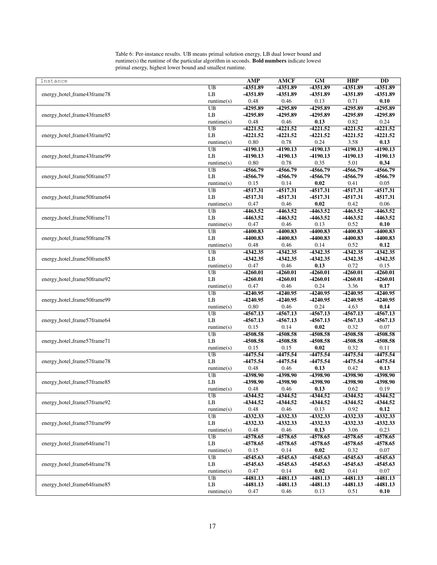|                                                                                                                                                                                                                                                                                                                                                                                                                                                                                                                          |                      | <b>AMP</b> | <b>AMCF</b> | GM         | <b>HBP</b> | $\overline{DD}$ |
|--------------------------------------------------------------------------------------------------------------------------------------------------------------------------------------------------------------------------------------------------------------------------------------------------------------------------------------------------------------------------------------------------------------------------------------------------------------------------------------------------------------------------|----------------------|------------|-------------|------------|------------|-----------------|
|                                                                                                                                                                                                                                                                                                                                                                                                                                                                                                                          |                      |            | $-4351.89$  | $-4351.89$ |            |                 |
|                                                                                                                                                                                                                                                                                                                                                                                                                                                                                                                          | UB                   | -4351.89   |             |            | -4351.89   | -4351.89        |
|                                                                                                                                                                                                                                                                                                                                                                                                                                                                                                                          | LB                   | -4351.89   | -4351.89    | -4351.89   | -4351.89   | -4351.89        |
|                                                                                                                                                                                                                                                                                                                                                                                                                                                                                                                          | $\text{ runtime}(s)$ | 0.48       | 0.46        | 0.13       | 0.71       | 0.10            |
|                                                                                                                                                                                                                                                                                                                                                                                                                                                                                                                          | UB                   | -4295.89   | $-4295.89$  | $-4295.89$ | -4295.89   | $-4295.89$      |
|                                                                                                                                                                                                                                                                                                                                                                                                                                                                                                                          | LB                   | -4295.89   | -4295.89    | -4295.89   | -4295.89   | -4295.89        |
|                                                                                                                                                                                                                                                                                                                                                                                                                                                                                                                          | $\text{ runtime}(s)$ | 0.48       | 0.46        | 0.13       | 0.82       | 0.24            |
|                                                                                                                                                                                                                                                                                                                                                                                                                                                                                                                          |                      |            |             |            |            |                 |
| Instance<br>energy_hotel_frame43frame78<br>energy_hotel_frame43frame85<br>energy_hotel_frame43frame92<br>energy_hotel_frame43frame99<br>energy_hotel_frame50frame57<br>energy_hotel_frame50frame64<br>energy_hotel_frame50frame71<br>energy_hotel_frame50frame78<br>energy_hotel_frame50frame85<br>energy_hotel_frame50frame92<br>energy_hotel_frame50frame99<br>energy_hotel_frame57frame64<br>energy_hotel_frame57frame71<br>energy_hotel_frame57frame78<br>energy_hotel_frame57frame85<br>energy_hotel_frame57frame92 | UB                   | $-4221.52$ | $-4221.52$  | $-4221.52$ | $-4221.52$ | $-4221.52$      |
|                                                                                                                                                                                                                                                                                                                                                                                                                                                                                                                          | LB                   | $-4221.52$ | $-4221.52$  | $-4221.52$ | $-4221.52$ | $-4221.52$      |
|                                                                                                                                                                                                                                                                                                                                                                                                                                                                                                                          | $\text{ runtime}(s)$ | 0.80       | 0.78        | 0.24       | 3.58       | 0.13            |
|                                                                                                                                                                                                                                                                                                                                                                                                                                                                                                                          | UB                   | -4190.13   | $-4190.13$  | $-4190.13$ | $-4190.13$ | $-4190.13$      |
|                                                                                                                                                                                                                                                                                                                                                                                                                                                                                                                          | LB                   | $-4190.13$ | $-4190.13$  | $-4190.13$ | $-4190.13$ | -4190.13        |
|                                                                                                                                                                                                                                                                                                                                                                                                                                                                                                                          | $\text{ runtime}(s)$ | 0.80       | 0.78        | 0.35       | 5.01       | 0.34            |
|                                                                                                                                                                                                                                                                                                                                                                                                                                                                                                                          |                      |            |             |            |            |                 |
|                                                                                                                                                                                                                                                                                                                                                                                                                                                                                                                          | UB                   | -4566.79   | $-4566.79$  | -4566.79   | -4566.79   | $-4566.79$      |
|                                                                                                                                                                                                                                                                                                                                                                                                                                                                                                                          | LB                   | -4566.79   | -4566.79    | -4566.79   | -4566.79   | -4566.79        |
|                                                                                                                                                                                                                                                                                                                                                                                                                                                                                                                          | runtime(s)           | 0.15       | 0.14        | 0.02       | 0.41       | 0.05            |
|                                                                                                                                                                                                                                                                                                                                                                                                                                                                                                                          | $\overline{UB}$      | -4517.31   | $-4517.31$  | $-4517.31$ | $-4517.31$ | $-4517.31$      |
|                                                                                                                                                                                                                                                                                                                                                                                                                                                                                                                          | LB                   | -4517.31   | -4517.31    | -4517.31   | -4517.31   | -4517.31        |
|                                                                                                                                                                                                                                                                                                                                                                                                                                                                                                                          | $\text{ runtime}(s)$ | 0.47       | 0.46        | 0.02       | 0.42       | 0.06            |
|                                                                                                                                                                                                                                                                                                                                                                                                                                                                                                                          |                      | $-4463.52$ |             | $-4463.52$ |            |                 |
|                                                                                                                                                                                                                                                                                                                                                                                                                                                                                                                          | UB                   |            | -4463.52    |            | -4463.52   | $-4463.52$      |
|                                                                                                                                                                                                                                                                                                                                                                                                                                                                                                                          | LB                   | -4463.52   | -4463.52    | -4463.52   | -4463.52   | $-4463.52$      |
|                                                                                                                                                                                                                                                                                                                                                                                                                                                                                                                          | $\text{ runtime}(s)$ | 0.47       | 0.46        | 0.13       | 0.52       | 0.10            |
|                                                                                                                                                                                                                                                                                                                                                                                                                                                                                                                          | UB                   | $-4400.83$ | $-4400.83$  | $-4400.83$ | -4400.83   | $-4400.83$      |
|                                                                                                                                                                                                                                                                                                                                                                                                                                                                                                                          | LB                   | -4400.83   | $-4400.83$  | -4400.83   | -4400.83   | -4400.83        |
|                                                                                                                                                                                                                                                                                                                                                                                                                                                                                                                          | $\text{ runtime}(s)$ | 0.48       | 0.46        | 0.14       | 0.52       | 0.12            |
|                                                                                                                                                                                                                                                                                                                                                                                                                                                                                                                          | UB                   | -4342.35   | -4342.35    | $-4342.35$ | -4342.35   | $-4342.35$      |
|                                                                                                                                                                                                                                                                                                                                                                                                                                                                                                                          |                      |            |             |            |            |                 |
|                                                                                                                                                                                                                                                                                                                                                                                                                                                                                                                          | LB                   | $-4342.35$ | $-4342.35$  | $-4342.35$ | -4342.35   | -4342.35        |
|                                                                                                                                                                                                                                                                                                                                                                                                                                                                                                                          | $\text{ runtime}(s)$ | 0.47       | 0.46        | 0.13       | 0.72       | 0.15            |
|                                                                                                                                                                                                                                                                                                                                                                                                                                                                                                                          | $\overline{UB}$      | $-4260.01$ | $-4260.01$  | $-4260.01$ | $-4260.01$ | $-4260.01$      |
|                                                                                                                                                                                                                                                                                                                                                                                                                                                                                                                          | LB                   | -4260.01   | $-4260.01$  | $-4260.01$ | $-4260.01$ | $-4260.01$      |
|                                                                                                                                                                                                                                                                                                                                                                                                                                                                                                                          | $\text{ runtime}(s)$ | 0.47       | 0.46        | 0.24       | 3.36       | 0.17            |
|                                                                                                                                                                                                                                                                                                                                                                                                                                                                                                                          | UB                   | -4240.95   | $-4240.95$  | $-4240.95$ | $-4240.95$ | $-4240.95$      |
|                                                                                                                                                                                                                                                                                                                                                                                                                                                                                                                          |                      |            |             |            |            |                 |
|                                                                                                                                                                                                                                                                                                                                                                                                                                                                                                                          | LB                   | -4240.95   | $-4240.95$  | -4240.95   | $-4240.95$ | $-4240.95$      |
|                                                                                                                                                                                                                                                                                                                                                                                                                                                                                                                          | $\text{ runtime}(s)$ | 0.80       | 0.46        | 0.24       | 4.63       | 0.14            |
|                                                                                                                                                                                                                                                                                                                                                                                                                                                                                                                          | UB                   | $-4567.13$ | $-4567.13$  | $-4567.13$ | $-4567.13$ | $-4567.13$      |
|                                                                                                                                                                                                                                                                                                                                                                                                                                                                                                                          | LB                   | $-4567.13$ | $-4567.13$  | $-4567.13$ | $-4567.13$ | $-4567.13$      |
|                                                                                                                                                                                                                                                                                                                                                                                                                                                                                                                          | $\text{ runtime}(s)$ | 0.15       | 0.14        | 0.02       | 0.32       | 0.07            |
|                                                                                                                                                                                                                                                                                                                                                                                                                                                                                                                          | UB                   | -4508.58   | -4508.58    | -4508.58   | -4508.58   | -4508.58        |
|                                                                                                                                                                                                                                                                                                                                                                                                                                                                                                                          | LB                   | -4508.58   | -4508.58    | -4508.58   | -4508.58   | -4508.58        |
|                                                                                                                                                                                                                                                                                                                                                                                                                                                                                                                          |                      |            |             |            |            |                 |
|                                                                                                                                                                                                                                                                                                                                                                                                                                                                                                                          | $\text{ runtime}(s)$ | 0.15       | 0.15        | 0.02       | 0.32       | 0.11            |
|                                                                                                                                                                                                                                                                                                                                                                                                                                                                                                                          | UB                   | -4475.54   | $-4475.54$  | $-4475.54$ | $-4475.54$ | $-4475.54$      |
|                                                                                                                                                                                                                                                                                                                                                                                                                                                                                                                          | LB                   | $-4475.54$ | $-4475.54$  | $-4475.54$ | $-4475.54$ | -4475.54        |
|                                                                                                                                                                                                                                                                                                                                                                                                                                                                                                                          | $\text{ runtime}(s)$ | 0.48       | 0.46        | 0.13       | 0.42       | 0.13            |
|                                                                                                                                                                                                                                                                                                                                                                                                                                                                                                                          | $\overline{UB}$      | -4398.90   | -4398.90    | -4398.90   | -4398.90   | -4398.90        |
|                                                                                                                                                                                                                                                                                                                                                                                                                                                                                                                          | LB                   | -4398.90   | -4398.90    | -4398.90   | -4398.90   | -4398.90        |
|                                                                                                                                                                                                                                                                                                                                                                                                                                                                                                                          | $\text{ runtime}(s)$ | 0.48       | 0.46        | 0.13       | 0.62       | 0.19            |
|                                                                                                                                                                                                                                                                                                                                                                                                                                                                                                                          |                      |            |             |            |            |                 |
|                                                                                                                                                                                                                                                                                                                                                                                                                                                                                                                          | UB                   | -4344.52   | -4344.52    | -4344.52   | -4344.52   | $-4344.52$      |
|                                                                                                                                                                                                                                                                                                                                                                                                                                                                                                                          | LB                   | -4344.52   | -4344.52    | -4344.52   | -4344.52   | -4344.52        |
|                                                                                                                                                                                                                                                                                                                                                                                                                                                                                                                          | $\text{ runtime}(s)$ | 0.48       | 0.46        | 0.13       | 0.92       | 0.12            |
|                                                                                                                                                                                                                                                                                                                                                                                                                                                                                                                          | UB                   | -4332.33   | -4332.33    | $-4332.33$ | -4332.33   | -4332.33        |
| energy_hotel_frame57frame99                                                                                                                                                                                                                                                                                                                                                                                                                                                                                              | LB                   | -4332.33   | -4332.33    | -4332.33   | -4332.33   | -4332.33        |
|                                                                                                                                                                                                                                                                                                                                                                                                                                                                                                                          | $\text{ runtime}(s)$ | 0.48       | 0.46        | 0.13       | 3.06       | 0.23            |
|                                                                                                                                                                                                                                                                                                                                                                                                                                                                                                                          |                      |            |             |            |            | $-4578.65$      |
|                                                                                                                                                                                                                                                                                                                                                                                                                                                                                                                          | UB                   | -4578.65   | -4578.65    | -4578.65   | -4578.65   |                 |
| energy_hotel_frame64frame71                                                                                                                                                                                                                                                                                                                                                                                                                                                                                              | LB                   | -4578.65   | -4578.65    | -4578.65   | -4578.65   | -4578.65        |
|                                                                                                                                                                                                                                                                                                                                                                                                                                                                                                                          | $\text{ runtime}(s)$ | 0.15       | 0.14        | 0.02       | 0.32       | 0.07            |
|                                                                                                                                                                                                                                                                                                                                                                                                                                                                                                                          | $\overline{UB}$      | $-4545.63$ | $-4545.63$  | $-4545.63$ | $-4545.63$ | $-4545.63$      |
| energy_hotel_frame64frame78                                                                                                                                                                                                                                                                                                                                                                                                                                                                                              | LB                   | -4545.63   | -4545.63    | -4545.63   | -4545.63   | -4545.63        |
|                                                                                                                                                                                                                                                                                                                                                                                                                                                                                                                          | $\text{ runtime}(s)$ | 0.47       | 0.14        | 0.02       | 0.41       | 0.07            |
|                                                                                                                                                                                                                                                                                                                                                                                                                                                                                                                          | UB                   | $-4481.13$ | $-4481.13$  | $-4481.13$ | $-4481.13$ | $-4481.13$      |
|                                                                                                                                                                                                                                                                                                                                                                                                                                                                                                                          |                      |            |             |            |            |                 |
| energy_hotel_frame64frame85                                                                                                                                                                                                                                                                                                                                                                                                                                                                                              | LB                   | -4481.13   | $-4481.13$  | $-4481.13$ | -4481.13   | $-4481.13$      |
|                                                                                                                                                                                                                                                                                                                                                                                                                                                                                                                          | $\text{ runtime}(s)$ | 0.47       | 0.46        | 0.13       | 0.51       | 0.10            |

Table 6: Per-instance results. UB means primal solution energy, LB dual lower bound and runtime(s) the runtime of the particular algorithm in seconds. **Bold numbers** indicate lowest primal energy, highest lower bound and smallest runtime.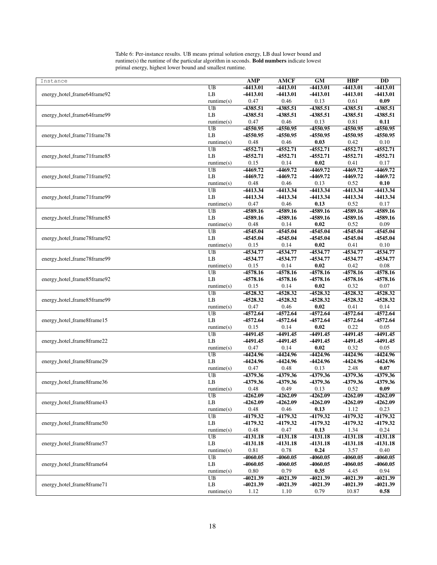| Instance                    |                      | <b>AMP</b>           | <b>AMCF</b>          | GM                     | <b>HBP</b>           | <b>DD</b>                |
|-----------------------------|----------------------|----------------------|----------------------|------------------------|----------------------|--------------------------|
|                             | $\overline{UB}$      | $-4413.01$           | $-4413.01$           | $-4413.01$             | $-4413.01$           | $-4413.01$               |
| energy_hotel_frame64frame92 | LB                   | -4413.01             | -4413.01             | -4413.01               | -4413.01             | -4413.01                 |
|                             | $\text{ runtime}(s)$ | 0.47                 | 0.46                 | 0.13                   | 0.61                 | 0.09                     |
|                             | UB                   | -4385.51             | -4385.51             | -4385.51               | -4385.51             | -4385.51                 |
| energy_hotel_frame64frame99 | LB                   | -4385.51             | $-4385.51$           | $-4385.51$             | $-4385.51$           | $-4385.51$               |
|                             | $\text{ runtime}(s)$ | 0.47                 | 0.46                 | 0.13                   | 0.81                 | 0.11                     |
|                             | UB                   | -4550.95             | $-4550.95$           | -4550.95               | -4550.95             | -4550.95                 |
| energy_hotel_frame71frame78 | LB                   | -4550.95             | $-4550.95$           | $-4550.95$             | $-4550.95$           | $-4550.95$               |
|                             | $\text{ runtime}(s)$ | 0.48                 | 0.46                 | 0.03                   | 0.42                 | 0.10                     |
|                             | UB                   | $-4552.71$           | $-4552.71$           | $-4552.71$             | $-4552.71$           | $-4552.71$               |
| energy_hotel_frame71frame85 | LB                   | -4552.71             | $-4552.71$           | $-4552.71$             | $-4552.71$           | $-4552.71$               |
|                             | runtime(s)           | 0.15                 | 0.14                 | 0.02                   | 0.41                 | 0.17                     |
|                             | UB                   | $-4469.72$           | $-4469.72$           | $-4469.72$             | $-4469.72$           | $-4469.72$               |
| energy_hotel_frame71frame92 | $\rm LB$             | -4469.72             | $-4469.72$           | -4469.72               | $-4469.72$           | $-4469.72$               |
|                             | $\text{ runtime}(s)$ | 0.48                 | 0.46                 | 0.13                   | 0.52                 | 0.10                     |
|                             | $\overline{UB}$      | -4413.34             | -4413.34             | $-4413.34$             | $-4413.34$           | $-4413.34$               |
| energy_hotel_frame71frame99 | LB                   | -4413.34             | $-4413.34$           | -4413.34               | -4413.34             | -4413.34                 |
|                             | $\text{ runtime}(s)$ | 0.47                 | 0.46                 | 0.13                   | 0.52                 | 0.17                     |
|                             | UB                   | $-4589.16$           | -4589.16             | -4589.16               | $-4589.16$           | $-4589.16$               |
| energy_hotel_frame78frame85 | LB                   | -4589.16             | -4589.16             | -4589.16               | -4589.16             | -4589.16                 |
|                             | $\text{ runtime}(s)$ | 0.48                 | 0.14                 | 0.02                   | 0.52                 | 0.09                     |
|                             | UB                   | -4545.04             | $-4545.04$           | $-4545.04$             | $-4545.04$           | $-4545.04$               |
| energy_hotel_frame78frame92 | LB                   | -4545.04             | $-4545.04$           | -4545.04               | $-4545.04$           | $-4545.04$               |
|                             | $\text{ runtime}(s)$ | 0.15                 | 0.14                 | $\bf{0.02}$            | 0.41                 | 0.10                     |
|                             | UB                   | $-4534.77$           | $-4534.77$           | $-4534.77$             | -4534.77             | $-4534.77$               |
| energy_hotel_frame78frame99 | LB                   | -4534.77             | -4534.77             | -4534.77               | -4534.77             | -4534.77                 |
|                             | $\text{ runtime}(s)$ | 0.15                 | 0.14                 | 0.02                   | 0.42                 | 0.08                     |
|                             | UB                   | $-4578.16$           | $-4578.16$           | $-4578.16$             | $-4578.16$           | $-4578.16$               |
| energy_hotel_frame85frame92 | $\rm LB$             | $-4578.16$           | $-4578.16$           | $-4578.16$             | $-4578.16$           | $-4578.16$               |
|                             |                      | 0.15                 | 0.14                 | 0.02                   | 0.32                 | 0.07                     |
|                             | $\text{ runtime}(s)$ |                      |                      |                        |                      |                          |
|                             | <b>UB</b>            | -4528.32<br>-4528.32 | -4528.32<br>-4528.32 | $-4528.32$<br>-4528.32 | -4528.32<br>-4528.32 | $-4528.32$<br>$-4528.32$ |
| energy_hotel_frame85frame99 | LB                   | 0.47                 | 0.46                 |                        |                      |                          |
|                             | $\text{ runtime}(s)$ |                      |                      | 0.02                   | 0.41                 | 0.14                     |
|                             | UB                   | $-4572.64$           | $-4572.64$           | $-4572.64$             | $-4572.64$           | $-4572.64$               |
| energy_hotel_frame8frame15  | LB                   | $-4572.64$           | $-4572.64$           | $-4572.64$             | $-4572.64$           | $-4572.64$               |
|                             | $\text{ runtime}(s)$ | 0.15                 | 0.14                 | 0.02                   | 0.22                 | 0.05                     |
|                             | UB                   | -4491.45             | $-4491.45$           | $-4491.45$             | $-4491.45$           | -4491.45                 |
| energy_hotel_frame8frame22  | LB                   | -4491.45             | $-4491.45$           | -4491.45               | -4491.45             | -4491.45                 |
|                             | $\text{ runtime}(s)$ | 0.47                 | 0.14                 | $0.02\,$               | 0.32                 | 0.05                     |
|                             | UB                   | $-4424.96$           | $-4424.96$           | $-4424.96$             | $-4424.96$           | $-4424.96$               |
| energy_hotel_frame8frame29  | LB                   | -4424.96             | -4424.96             | -4424.96               | -4424.96             | -4424.96                 |
|                             | $\text{ runtime}(s)$ | 0.47                 | 0.48                 | 0.13                   | 2.48                 | 0.07                     |
|                             | $\overline{UB}$      | -4379.36             | -4379.36             | -4379.36               | -4379.36             | -4379.36                 |
| energy_hotel_frame8frame36  | $\rm LB$             | -4379.36             | -4379.36             | -4379.36               | -4379.36             | -4379.36                 |
|                             | $\text{ runtime}(s)$ | 0.48                 | 0.49                 | 0.13                   | 0.52                 | 0.09                     |
|                             | UB                   | $-4262.09$           | $-4262.09$           | $-4262.09$             | $-4262.09$           | $-4262.09$               |
| energy_hotel_frame8frame43  | LB                   | -4262.09             | $-4262.09$           | $-4262.09$             | $-4262.09$           | $-4262.09$               |
|                             | $\text{ runtime}(s)$ | 0.48                 | 0.46                 | 0.13                   | 1.12                 | 0.23                     |
|                             | UB                   | -4179.32             | $-4179.32$           | -4179.32               | $-4179.32$           | $-4179.32$               |
| energy_hotel_frame8frame50  | LB                   | -4179.32             | -4179.32             | -4179.32               | -4179.32             | $-4179.32$               |
|                             | $\text{ runtime}(s)$ | 0.48                 | 0.47                 | 0.13                   | 1.34                 | 0.24                     |
|                             | $\overline{UB}$      | -4131.18             | $-4131.18$           | -4131.18               | $-4131.18$           | $-4131.18$               |
| energy_hotel_frame8frame57  | LB                   | $-4131.18$           | $-4131.18$           | -4131.18               | $-4131.18$           | $-4131.18$               |
|                             | $\text{ runtime}(s)$ | 0.81                 | 0.78                 | 0.24                   | 3.57                 | 0.40                     |
|                             | $\overline{UB}$      | $-4060.05$           | $-4060.05$           | $-4060.05$             | $-4060.05$           | $-4060.05$               |
| energy_hotel_frame8frame64  | LB                   | -4060.05             | -4060.05             | $-4060.05$             | -4060.05             | $-4060.05$               |
|                             | $\text{ runtime}(s)$ | 0.80                 | 0.79                 | 0.35                   | 4.45                 | 0.94                     |
|                             | UB                   | $-4021.39$           | $-4021.39$           | $-4021.39$             | $-4021.39$           | $-4021.39$               |
| energy_hotel_frame8frame71  | LB                   | -4021.39             | -4021.39             | $-4021.39$             | $-4021.39$           | $-4021.39$               |
|                             | runtime(s)           | 1.12                 | 1.10                 | 0.79                   | 10.87                | 0.58                     |

Table 6: Per-instance results. UB means primal solution energy, LB dual lower bound and runtime(s) the runtime of the particular algorithm in seconds. **Bold numbers** indicate lowest primal energy, highest lower bound and smallest runtime.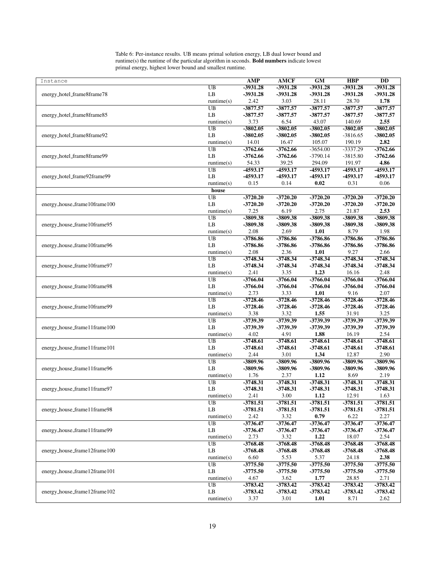Table 6: Per-instance results. UB means primal solution energy, LB dual lower bound and runtime(s) the runtime of the particular algorithm in seconds. **Bold numbers** indicate lowest primal energy, highest lower bound and smallest runtime.

| $-3931.28$<br>$-3931.28$<br>$-3931.28$<br>$-3931.28$<br>UB<br>$-3931.28$<br>LB<br>$-3931.28$<br>$-3931.28$<br>-3931.28<br>$-3931.28$<br>$-3931.28$<br>energy_hotel_frame8frame78<br>2.42<br>3.03<br>28.11<br>28.70<br>1.78<br>$\text{ runtime}(s)$<br>$-3877.57$<br>$-3877.57$<br>$-3877.57$<br>$-3877.57$<br>$-3877.57$<br>UB<br>-3877.57<br>$-3877.57$<br>$-3877.57$<br>$-3877.57$<br>energy_hotel_frame8frame85<br>LB<br>$-3877.57$<br>2.55<br>3.73<br>6.54<br>43.07<br>140.69<br>$\text{ runtime}(s)$<br>UB<br>$-3802.05$<br>$-3802.05$<br>$-3802.05$<br>$-3802.05$<br>$-3802.05$<br>$-3802.05$<br>$-3802.05$<br>LB<br>$-3802.05$<br>$-3816.65$<br>$-3802.05$<br>energy_hotel_frame8frame92<br>14.01<br>105.07<br>190.19<br>2.82<br>16.47<br>$\text{ runtime}(s)$<br>$-3762.66$<br>UB<br>$-3762.66$<br>$-3762.66$<br>$-3654.00$<br>$-3337.29$<br>LB<br>$-3762.66$<br>$-3762.66$<br>$-3790.14$<br>$-3815.80$<br>$-3762.66$<br>energy_hotel_frame8frame99<br>54.33<br>39.25<br>294.09<br>4.86<br>191.97<br>$\text{ runtime}(s)$<br>$-4593.17$<br>$-4593.17$<br>-4593.17<br>UB<br>$-4593.17$<br>-4593.17<br>-4593.17<br>$-4593.17$<br>-4593.17<br>-4593.17<br>-4593.17<br>energy_hotel_frame92frame99<br>LB<br>0.15<br>0.14<br>0.02<br>0.31<br>0.06<br>$\text{ runtime}(s)$<br>house<br>UB<br>$-3720.20$<br>$-3720.20$<br>$-3720.20$<br>$-3720.20$<br>$-3720.20$<br>$-3720.20$<br>$-3720.20$<br>$-3720.20$<br>$-3720.20$<br>$-3720.20$<br>energy_house_frame10frame100<br>LB<br>7.25<br>6.19<br>2.75<br>2.53<br>21.87<br>$\text{ runtime}(s)$<br>-3809.38<br>-3809.38<br>-3809.38<br>$-3809.38$<br>UB<br>-3809.38<br>LB<br>-3809.38<br>-3809.38<br>-3809.38<br>-3809.38<br>-3809.38<br>energy_house_frame10frame95<br>2.69<br>1.01<br>8.79<br>1.98<br>2.08<br>$\text{ runtime}(s)$<br>UB<br>$-3786.86$<br>$-3786.86$<br>$-3786.86$<br>$-3786.86$<br>$-3786.86$<br>energy_house_frame10frame96<br>LB<br>-3786.86<br>-3786.86<br>-3786.86<br>-3786.86<br>-3786.86<br>2.08<br>1.01<br>9.27<br>2.66<br>$\text{ runtime}(s)$<br>2.36<br>UB<br>$-3748.34$<br>$-3748.34$<br>-3748.34<br>-3748.34<br>$-3748.34$<br>LB<br>$-3748.34$<br>$-3748.34$<br>$-3748.34$<br>$-3748.34$<br>$-3748.34$<br>energy_house_frame10frame97<br>3.35<br>1.23<br>16.16<br>2.48<br>2.41<br>$\text{ runtime}(s)$<br>$-3766.04$<br>$-3766.04$<br>$-3766.04$<br>UB<br>$-3766.04$<br>$-3766.04$<br>energy_house_frame10frame98<br>LB<br>$-3766.04$<br>$-3766.04$<br>$-3766.04$<br>$-3766.04$<br>$-3766.04$<br>2.73<br>3.33<br>1.01<br>9.16<br>2.07<br>$\text{ runtime}(s)$<br>$-3728.46$<br>$-3728.46$<br>$-3728.46$<br>UB<br>$-3728.46$<br>$-3728.46$<br>$-3728.46$<br>$-3728.46$<br>$-3728.46$<br>$-3728.46$<br>$-3728.46$<br>energy_house_frame10frame99<br>LB<br>3.38<br>3.25<br>3.32<br>1.55<br>31.91<br>$\text{ runtime}(s)$<br>$-3739.39$<br>-3739.39<br>-3739.39<br>-3739.39<br>UB<br>-3739.39<br>LB<br>-3739.39<br>-3739.39<br>-3739.39<br>-3739.39<br>-3739.39<br>energy_house_frame11frame100<br>4.02<br>1.88<br>16.19<br>2.54<br>4.91<br>$\text{ runtime}(s)$<br>UB<br>$-3748.61$<br>$-3748.61$<br>$-3748.61$<br>$-3748.61$<br>$-3748.61$<br>$-3748.61$<br>energy_house_frame11frame101<br>LB<br>-3748.61<br>-3748.61<br>$-3748.61$<br>-3748.61<br>1.34<br>12.87<br>2.90<br>2.44<br>3.01<br>$\text{ runtime}(s)$<br>-3809.96<br>-3809.96<br>-3809.96<br>UB<br>-3809.96<br>-3809.96<br>LB<br>-3809.96<br>-3809.96<br>-3809.96<br>-3809.96<br>-3809.96<br>energy_house_frame11frame96<br>1.76<br>2.37<br>1.12<br>2.19<br>8.69<br>$\text{ runtime}(s)$<br>$-3748.31$<br>$-3748.31$<br>$-3748.31$<br>$\overline{UB}$<br>$-3748.31$<br>$-3748.31$<br>$-3748.31$<br>$-3748.31$<br>energy_house_frame11frame97<br>LB<br>-3748.31<br>$-3748.31$<br>$-3748.31$<br>3.00<br>1.12<br>12.91<br>1.63<br>2.41<br>$\text{ runtime}(s)$<br>$-3781.51$<br>$\overline{UB}$<br>$-3781.51$<br>$-3781.51$<br>$-3781.51$<br>$-3781.51$<br>$-3781.51$<br>$-3781.51$<br>$-3781.51$<br>-3781.51<br>$-3781.51$<br>energy_house_frame11frame98<br>LB<br>0.79<br>runtime(s)<br>2.42<br>3.32<br>6.22<br>2.27<br>UB<br>$-3736.47$<br>$-3736.47$<br>$-3736.47$<br>$-3736.47$<br>$-3736.47$<br>energy_house_frame11frame99<br>LB<br>$-3736.47$<br>$-3736.47$<br>$-3736.47$<br>$-3736.47$<br>$-3736.47$<br>1.22<br>2.73<br>2.54<br>3.32<br>18.07<br>$\text{ runtime}(s)$<br>UB<br>$-3768.48$<br>$-3768.48$<br>$-3768.48$<br>$-3768.48$<br>$-3768.48$<br>energy_house_frame12frame100<br>$-3768.48$<br>$-3768.48$<br>$-3768.48$<br>$-3768.48$<br>$-3768.48$<br>LB<br>6.60<br>5.53<br>5.37<br>24.18<br>2.38<br>$\text{ runtime}(s)$<br>UB<br>$-3775.50$<br>$-3775.50$<br>$-3775.50$<br>$-3775.50$<br>$-3775.50$<br>energy_house_frame12frame101<br>LB<br>$-3775.50$<br>$-3775.50$<br>$-3775.50$<br>$-3775.50$<br>$-3775.50$<br>1.77<br>4.67<br>3.62<br>28.85<br>2.71<br>$\text{ runtime}(s)$<br>$\overline{UB}$<br>$-3783.42$<br>$-3783.42$<br>$-3783.42$<br>$-3783.42$<br>$-3783.42$<br>energy_house_frame12frame102<br>LB<br>$-3783.42$<br>$-3783.42$<br>$-3783.42$<br>$-3783.42$<br>$-3783.42$<br>3.37<br>3.01<br>1.01<br>2.62<br>$\text{ runtime}(s)$<br>8.71 | Instance | <b>AMP</b> | <b>AMCF</b> | GM | <b>HBP</b> | $\overline{DD}$ |
|------------------------------------------------------------------------------------------------------------------------------------------------------------------------------------------------------------------------------------------------------------------------------------------------------------------------------------------------------------------------------------------------------------------------------------------------------------------------------------------------------------------------------------------------------------------------------------------------------------------------------------------------------------------------------------------------------------------------------------------------------------------------------------------------------------------------------------------------------------------------------------------------------------------------------------------------------------------------------------------------------------------------------------------------------------------------------------------------------------------------------------------------------------------------------------------------------------------------------------------------------------------------------------------------------------------------------------------------------------------------------------------------------------------------------------------------------------------------------------------------------------------------------------------------------------------------------------------------------------------------------------------------------------------------------------------------------------------------------------------------------------------------------------------------------------------------------------------------------------------------------------------------------------------------------------------------------------------------------------------------------------------------------------------------------------------------------------------------------------------------------------------------------------------------------------------------------------------------------------------------------------------------------------------------------------------------------------------------------------------------------------------------------------------------------------------------------------------------------------------------------------------------------------------------------------------------------------------------------------------------------------------------------------------------------------------------------------------------------------------------------------------------------------------------------------------------------------------------------------------------------------------------------------------------------------------------------------------------------------------------------------------------------------------------------------------------------------------------------------------------------------------------------------------------------------------------------------------------------------------------------------------------------------------------------------------------------------------------------------------------------------------------------------------------------------------------------------------------------------------------------------------------------------------------------------------------------------------------------------------------------------------------------------------------------------------------------------------------------------------------------------------------------------------------------------------------------------------------------------------------------------------------------------------------------------------------------------------------------------------------------------------------------------------------------------------------------------------------------------------------------------------------------------------------------------------------------------------------------------------------------------------------------------------------------------------------------------------------------------------------------------------------------------------------------------------------------------------------------------------------------------------------------------------------------------------------------------------------------------------------------------------------------------------------------------------------------------------------------------------------------------------------------------------------------------------------------------------------------------------------------------------------------------------------------------------------------------------------------------------------------------------------------------------------------------------------------------------------------------|----------|------------|-------------|----|------------|-----------------|
|                                                                                                                                                                                                                                                                                                                                                                                                                                                                                                                                                                                                                                                                                                                                                                                                                                                                                                                                                                                                                                                                                                                                                                                                                                                                                                                                                                                                                                                                                                                                                                                                                                                                                                                                                                                                                                                                                                                                                                                                                                                                                                                                                                                                                                                                                                                                                                                                                                                                                                                                                                                                                                                                                                                                                                                                                                                                                                                                                                                                                                                                                                                                                                                                                                                                                                                                                                                                                                                                                                                                                                                                                                                                                                                                                                                                                                                                                                                                                                                                                                                                                                                                                                                                                                                                                                                                                                                                                                                                                                                                                                                                                                                                                                                                                                                                                                                                                                                                                                                                                                                                                                            |          |            |             |    |            |                 |
|                                                                                                                                                                                                                                                                                                                                                                                                                                                                                                                                                                                                                                                                                                                                                                                                                                                                                                                                                                                                                                                                                                                                                                                                                                                                                                                                                                                                                                                                                                                                                                                                                                                                                                                                                                                                                                                                                                                                                                                                                                                                                                                                                                                                                                                                                                                                                                                                                                                                                                                                                                                                                                                                                                                                                                                                                                                                                                                                                                                                                                                                                                                                                                                                                                                                                                                                                                                                                                                                                                                                                                                                                                                                                                                                                                                                                                                                                                                                                                                                                                                                                                                                                                                                                                                                                                                                                                                                                                                                                                                                                                                                                                                                                                                                                                                                                                                                                                                                                                                                                                                                                                            |          |            |             |    |            |                 |
|                                                                                                                                                                                                                                                                                                                                                                                                                                                                                                                                                                                                                                                                                                                                                                                                                                                                                                                                                                                                                                                                                                                                                                                                                                                                                                                                                                                                                                                                                                                                                                                                                                                                                                                                                                                                                                                                                                                                                                                                                                                                                                                                                                                                                                                                                                                                                                                                                                                                                                                                                                                                                                                                                                                                                                                                                                                                                                                                                                                                                                                                                                                                                                                                                                                                                                                                                                                                                                                                                                                                                                                                                                                                                                                                                                                                                                                                                                                                                                                                                                                                                                                                                                                                                                                                                                                                                                                                                                                                                                                                                                                                                                                                                                                                                                                                                                                                                                                                                                                                                                                                                                            |          |            |             |    |            |                 |
|                                                                                                                                                                                                                                                                                                                                                                                                                                                                                                                                                                                                                                                                                                                                                                                                                                                                                                                                                                                                                                                                                                                                                                                                                                                                                                                                                                                                                                                                                                                                                                                                                                                                                                                                                                                                                                                                                                                                                                                                                                                                                                                                                                                                                                                                                                                                                                                                                                                                                                                                                                                                                                                                                                                                                                                                                                                                                                                                                                                                                                                                                                                                                                                                                                                                                                                                                                                                                                                                                                                                                                                                                                                                                                                                                                                                                                                                                                                                                                                                                                                                                                                                                                                                                                                                                                                                                                                                                                                                                                                                                                                                                                                                                                                                                                                                                                                                                                                                                                                                                                                                                                            |          |            |             |    |            |                 |
|                                                                                                                                                                                                                                                                                                                                                                                                                                                                                                                                                                                                                                                                                                                                                                                                                                                                                                                                                                                                                                                                                                                                                                                                                                                                                                                                                                                                                                                                                                                                                                                                                                                                                                                                                                                                                                                                                                                                                                                                                                                                                                                                                                                                                                                                                                                                                                                                                                                                                                                                                                                                                                                                                                                                                                                                                                                                                                                                                                                                                                                                                                                                                                                                                                                                                                                                                                                                                                                                                                                                                                                                                                                                                                                                                                                                                                                                                                                                                                                                                                                                                                                                                                                                                                                                                                                                                                                                                                                                                                                                                                                                                                                                                                                                                                                                                                                                                                                                                                                                                                                                                                            |          |            |             |    |            |                 |
|                                                                                                                                                                                                                                                                                                                                                                                                                                                                                                                                                                                                                                                                                                                                                                                                                                                                                                                                                                                                                                                                                                                                                                                                                                                                                                                                                                                                                                                                                                                                                                                                                                                                                                                                                                                                                                                                                                                                                                                                                                                                                                                                                                                                                                                                                                                                                                                                                                                                                                                                                                                                                                                                                                                                                                                                                                                                                                                                                                                                                                                                                                                                                                                                                                                                                                                                                                                                                                                                                                                                                                                                                                                                                                                                                                                                                                                                                                                                                                                                                                                                                                                                                                                                                                                                                                                                                                                                                                                                                                                                                                                                                                                                                                                                                                                                                                                                                                                                                                                                                                                                                                            |          |            |             |    |            |                 |
|                                                                                                                                                                                                                                                                                                                                                                                                                                                                                                                                                                                                                                                                                                                                                                                                                                                                                                                                                                                                                                                                                                                                                                                                                                                                                                                                                                                                                                                                                                                                                                                                                                                                                                                                                                                                                                                                                                                                                                                                                                                                                                                                                                                                                                                                                                                                                                                                                                                                                                                                                                                                                                                                                                                                                                                                                                                                                                                                                                                                                                                                                                                                                                                                                                                                                                                                                                                                                                                                                                                                                                                                                                                                                                                                                                                                                                                                                                                                                                                                                                                                                                                                                                                                                                                                                                                                                                                                                                                                                                                                                                                                                                                                                                                                                                                                                                                                                                                                                                                                                                                                                                            |          |            |             |    |            |                 |
|                                                                                                                                                                                                                                                                                                                                                                                                                                                                                                                                                                                                                                                                                                                                                                                                                                                                                                                                                                                                                                                                                                                                                                                                                                                                                                                                                                                                                                                                                                                                                                                                                                                                                                                                                                                                                                                                                                                                                                                                                                                                                                                                                                                                                                                                                                                                                                                                                                                                                                                                                                                                                                                                                                                                                                                                                                                                                                                                                                                                                                                                                                                                                                                                                                                                                                                                                                                                                                                                                                                                                                                                                                                                                                                                                                                                                                                                                                                                                                                                                                                                                                                                                                                                                                                                                                                                                                                                                                                                                                                                                                                                                                                                                                                                                                                                                                                                                                                                                                                                                                                                                                            |          |            |             |    |            |                 |
|                                                                                                                                                                                                                                                                                                                                                                                                                                                                                                                                                                                                                                                                                                                                                                                                                                                                                                                                                                                                                                                                                                                                                                                                                                                                                                                                                                                                                                                                                                                                                                                                                                                                                                                                                                                                                                                                                                                                                                                                                                                                                                                                                                                                                                                                                                                                                                                                                                                                                                                                                                                                                                                                                                                                                                                                                                                                                                                                                                                                                                                                                                                                                                                                                                                                                                                                                                                                                                                                                                                                                                                                                                                                                                                                                                                                                                                                                                                                                                                                                                                                                                                                                                                                                                                                                                                                                                                                                                                                                                                                                                                                                                                                                                                                                                                                                                                                                                                                                                                                                                                                                                            |          |            |             |    |            |                 |
|                                                                                                                                                                                                                                                                                                                                                                                                                                                                                                                                                                                                                                                                                                                                                                                                                                                                                                                                                                                                                                                                                                                                                                                                                                                                                                                                                                                                                                                                                                                                                                                                                                                                                                                                                                                                                                                                                                                                                                                                                                                                                                                                                                                                                                                                                                                                                                                                                                                                                                                                                                                                                                                                                                                                                                                                                                                                                                                                                                                                                                                                                                                                                                                                                                                                                                                                                                                                                                                                                                                                                                                                                                                                                                                                                                                                                                                                                                                                                                                                                                                                                                                                                                                                                                                                                                                                                                                                                                                                                                                                                                                                                                                                                                                                                                                                                                                                                                                                                                                                                                                                                                            |          |            |             |    |            |                 |
|                                                                                                                                                                                                                                                                                                                                                                                                                                                                                                                                                                                                                                                                                                                                                                                                                                                                                                                                                                                                                                                                                                                                                                                                                                                                                                                                                                                                                                                                                                                                                                                                                                                                                                                                                                                                                                                                                                                                                                                                                                                                                                                                                                                                                                                                                                                                                                                                                                                                                                                                                                                                                                                                                                                                                                                                                                                                                                                                                                                                                                                                                                                                                                                                                                                                                                                                                                                                                                                                                                                                                                                                                                                                                                                                                                                                                                                                                                                                                                                                                                                                                                                                                                                                                                                                                                                                                                                                                                                                                                                                                                                                                                                                                                                                                                                                                                                                                                                                                                                                                                                                                                            |          |            |             |    |            |                 |
|                                                                                                                                                                                                                                                                                                                                                                                                                                                                                                                                                                                                                                                                                                                                                                                                                                                                                                                                                                                                                                                                                                                                                                                                                                                                                                                                                                                                                                                                                                                                                                                                                                                                                                                                                                                                                                                                                                                                                                                                                                                                                                                                                                                                                                                                                                                                                                                                                                                                                                                                                                                                                                                                                                                                                                                                                                                                                                                                                                                                                                                                                                                                                                                                                                                                                                                                                                                                                                                                                                                                                                                                                                                                                                                                                                                                                                                                                                                                                                                                                                                                                                                                                                                                                                                                                                                                                                                                                                                                                                                                                                                                                                                                                                                                                                                                                                                                                                                                                                                                                                                                                                            |          |            |             |    |            |                 |
|                                                                                                                                                                                                                                                                                                                                                                                                                                                                                                                                                                                                                                                                                                                                                                                                                                                                                                                                                                                                                                                                                                                                                                                                                                                                                                                                                                                                                                                                                                                                                                                                                                                                                                                                                                                                                                                                                                                                                                                                                                                                                                                                                                                                                                                                                                                                                                                                                                                                                                                                                                                                                                                                                                                                                                                                                                                                                                                                                                                                                                                                                                                                                                                                                                                                                                                                                                                                                                                                                                                                                                                                                                                                                                                                                                                                                                                                                                                                                                                                                                                                                                                                                                                                                                                                                                                                                                                                                                                                                                                                                                                                                                                                                                                                                                                                                                                                                                                                                                                                                                                                                                            |          |            |             |    |            |                 |
|                                                                                                                                                                                                                                                                                                                                                                                                                                                                                                                                                                                                                                                                                                                                                                                                                                                                                                                                                                                                                                                                                                                                                                                                                                                                                                                                                                                                                                                                                                                                                                                                                                                                                                                                                                                                                                                                                                                                                                                                                                                                                                                                                                                                                                                                                                                                                                                                                                                                                                                                                                                                                                                                                                                                                                                                                                                                                                                                                                                                                                                                                                                                                                                                                                                                                                                                                                                                                                                                                                                                                                                                                                                                                                                                                                                                                                                                                                                                                                                                                                                                                                                                                                                                                                                                                                                                                                                                                                                                                                                                                                                                                                                                                                                                                                                                                                                                                                                                                                                                                                                                                                            |          |            |             |    |            |                 |
|                                                                                                                                                                                                                                                                                                                                                                                                                                                                                                                                                                                                                                                                                                                                                                                                                                                                                                                                                                                                                                                                                                                                                                                                                                                                                                                                                                                                                                                                                                                                                                                                                                                                                                                                                                                                                                                                                                                                                                                                                                                                                                                                                                                                                                                                                                                                                                                                                                                                                                                                                                                                                                                                                                                                                                                                                                                                                                                                                                                                                                                                                                                                                                                                                                                                                                                                                                                                                                                                                                                                                                                                                                                                                                                                                                                                                                                                                                                                                                                                                                                                                                                                                                                                                                                                                                                                                                                                                                                                                                                                                                                                                                                                                                                                                                                                                                                                                                                                                                                                                                                                                                            |          |            |             |    |            |                 |
|                                                                                                                                                                                                                                                                                                                                                                                                                                                                                                                                                                                                                                                                                                                                                                                                                                                                                                                                                                                                                                                                                                                                                                                                                                                                                                                                                                                                                                                                                                                                                                                                                                                                                                                                                                                                                                                                                                                                                                                                                                                                                                                                                                                                                                                                                                                                                                                                                                                                                                                                                                                                                                                                                                                                                                                                                                                                                                                                                                                                                                                                                                                                                                                                                                                                                                                                                                                                                                                                                                                                                                                                                                                                                                                                                                                                                                                                                                                                                                                                                                                                                                                                                                                                                                                                                                                                                                                                                                                                                                                                                                                                                                                                                                                                                                                                                                                                                                                                                                                                                                                                                                            |          |            |             |    |            |                 |
|                                                                                                                                                                                                                                                                                                                                                                                                                                                                                                                                                                                                                                                                                                                                                                                                                                                                                                                                                                                                                                                                                                                                                                                                                                                                                                                                                                                                                                                                                                                                                                                                                                                                                                                                                                                                                                                                                                                                                                                                                                                                                                                                                                                                                                                                                                                                                                                                                                                                                                                                                                                                                                                                                                                                                                                                                                                                                                                                                                                                                                                                                                                                                                                                                                                                                                                                                                                                                                                                                                                                                                                                                                                                                                                                                                                                                                                                                                                                                                                                                                                                                                                                                                                                                                                                                                                                                                                                                                                                                                                                                                                                                                                                                                                                                                                                                                                                                                                                                                                                                                                                                                            |          |            |             |    |            |                 |
|                                                                                                                                                                                                                                                                                                                                                                                                                                                                                                                                                                                                                                                                                                                                                                                                                                                                                                                                                                                                                                                                                                                                                                                                                                                                                                                                                                                                                                                                                                                                                                                                                                                                                                                                                                                                                                                                                                                                                                                                                                                                                                                                                                                                                                                                                                                                                                                                                                                                                                                                                                                                                                                                                                                                                                                                                                                                                                                                                                                                                                                                                                                                                                                                                                                                                                                                                                                                                                                                                                                                                                                                                                                                                                                                                                                                                                                                                                                                                                                                                                                                                                                                                                                                                                                                                                                                                                                                                                                                                                                                                                                                                                                                                                                                                                                                                                                                                                                                                                                                                                                                                                            |          |            |             |    |            |                 |
|                                                                                                                                                                                                                                                                                                                                                                                                                                                                                                                                                                                                                                                                                                                                                                                                                                                                                                                                                                                                                                                                                                                                                                                                                                                                                                                                                                                                                                                                                                                                                                                                                                                                                                                                                                                                                                                                                                                                                                                                                                                                                                                                                                                                                                                                                                                                                                                                                                                                                                                                                                                                                                                                                                                                                                                                                                                                                                                                                                                                                                                                                                                                                                                                                                                                                                                                                                                                                                                                                                                                                                                                                                                                                                                                                                                                                                                                                                                                                                                                                                                                                                                                                                                                                                                                                                                                                                                                                                                                                                                                                                                                                                                                                                                                                                                                                                                                                                                                                                                                                                                                                                            |          |            |             |    |            |                 |
|                                                                                                                                                                                                                                                                                                                                                                                                                                                                                                                                                                                                                                                                                                                                                                                                                                                                                                                                                                                                                                                                                                                                                                                                                                                                                                                                                                                                                                                                                                                                                                                                                                                                                                                                                                                                                                                                                                                                                                                                                                                                                                                                                                                                                                                                                                                                                                                                                                                                                                                                                                                                                                                                                                                                                                                                                                                                                                                                                                                                                                                                                                                                                                                                                                                                                                                                                                                                                                                                                                                                                                                                                                                                                                                                                                                                                                                                                                                                                                                                                                                                                                                                                                                                                                                                                                                                                                                                                                                                                                                                                                                                                                                                                                                                                                                                                                                                                                                                                                                                                                                                                                            |          |            |             |    |            |                 |
|                                                                                                                                                                                                                                                                                                                                                                                                                                                                                                                                                                                                                                                                                                                                                                                                                                                                                                                                                                                                                                                                                                                                                                                                                                                                                                                                                                                                                                                                                                                                                                                                                                                                                                                                                                                                                                                                                                                                                                                                                                                                                                                                                                                                                                                                                                                                                                                                                                                                                                                                                                                                                                                                                                                                                                                                                                                                                                                                                                                                                                                                                                                                                                                                                                                                                                                                                                                                                                                                                                                                                                                                                                                                                                                                                                                                                                                                                                                                                                                                                                                                                                                                                                                                                                                                                                                                                                                                                                                                                                                                                                                                                                                                                                                                                                                                                                                                                                                                                                                                                                                                                                            |          |            |             |    |            |                 |
|                                                                                                                                                                                                                                                                                                                                                                                                                                                                                                                                                                                                                                                                                                                                                                                                                                                                                                                                                                                                                                                                                                                                                                                                                                                                                                                                                                                                                                                                                                                                                                                                                                                                                                                                                                                                                                                                                                                                                                                                                                                                                                                                                                                                                                                                                                                                                                                                                                                                                                                                                                                                                                                                                                                                                                                                                                                                                                                                                                                                                                                                                                                                                                                                                                                                                                                                                                                                                                                                                                                                                                                                                                                                                                                                                                                                                                                                                                                                                                                                                                                                                                                                                                                                                                                                                                                                                                                                                                                                                                                                                                                                                                                                                                                                                                                                                                                                                                                                                                                                                                                                                                            |          |            |             |    |            |                 |
|                                                                                                                                                                                                                                                                                                                                                                                                                                                                                                                                                                                                                                                                                                                                                                                                                                                                                                                                                                                                                                                                                                                                                                                                                                                                                                                                                                                                                                                                                                                                                                                                                                                                                                                                                                                                                                                                                                                                                                                                                                                                                                                                                                                                                                                                                                                                                                                                                                                                                                                                                                                                                                                                                                                                                                                                                                                                                                                                                                                                                                                                                                                                                                                                                                                                                                                                                                                                                                                                                                                                                                                                                                                                                                                                                                                                                                                                                                                                                                                                                                                                                                                                                                                                                                                                                                                                                                                                                                                                                                                                                                                                                                                                                                                                                                                                                                                                                                                                                                                                                                                                                                            |          |            |             |    |            |                 |
|                                                                                                                                                                                                                                                                                                                                                                                                                                                                                                                                                                                                                                                                                                                                                                                                                                                                                                                                                                                                                                                                                                                                                                                                                                                                                                                                                                                                                                                                                                                                                                                                                                                                                                                                                                                                                                                                                                                                                                                                                                                                                                                                                                                                                                                                                                                                                                                                                                                                                                                                                                                                                                                                                                                                                                                                                                                                                                                                                                                                                                                                                                                                                                                                                                                                                                                                                                                                                                                                                                                                                                                                                                                                                                                                                                                                                                                                                                                                                                                                                                                                                                                                                                                                                                                                                                                                                                                                                                                                                                                                                                                                                                                                                                                                                                                                                                                                                                                                                                                                                                                                                                            |          |            |             |    |            |                 |
|                                                                                                                                                                                                                                                                                                                                                                                                                                                                                                                                                                                                                                                                                                                                                                                                                                                                                                                                                                                                                                                                                                                                                                                                                                                                                                                                                                                                                                                                                                                                                                                                                                                                                                                                                                                                                                                                                                                                                                                                                                                                                                                                                                                                                                                                                                                                                                                                                                                                                                                                                                                                                                                                                                                                                                                                                                                                                                                                                                                                                                                                                                                                                                                                                                                                                                                                                                                                                                                                                                                                                                                                                                                                                                                                                                                                                                                                                                                                                                                                                                                                                                                                                                                                                                                                                                                                                                                                                                                                                                                                                                                                                                                                                                                                                                                                                                                                                                                                                                                                                                                                                                            |          |            |             |    |            |                 |
|                                                                                                                                                                                                                                                                                                                                                                                                                                                                                                                                                                                                                                                                                                                                                                                                                                                                                                                                                                                                                                                                                                                                                                                                                                                                                                                                                                                                                                                                                                                                                                                                                                                                                                                                                                                                                                                                                                                                                                                                                                                                                                                                                                                                                                                                                                                                                                                                                                                                                                                                                                                                                                                                                                                                                                                                                                                                                                                                                                                                                                                                                                                                                                                                                                                                                                                                                                                                                                                                                                                                                                                                                                                                                                                                                                                                                                                                                                                                                                                                                                                                                                                                                                                                                                                                                                                                                                                                                                                                                                                                                                                                                                                                                                                                                                                                                                                                                                                                                                                                                                                                                                            |          |            |             |    |            |                 |
|                                                                                                                                                                                                                                                                                                                                                                                                                                                                                                                                                                                                                                                                                                                                                                                                                                                                                                                                                                                                                                                                                                                                                                                                                                                                                                                                                                                                                                                                                                                                                                                                                                                                                                                                                                                                                                                                                                                                                                                                                                                                                                                                                                                                                                                                                                                                                                                                                                                                                                                                                                                                                                                                                                                                                                                                                                                                                                                                                                                                                                                                                                                                                                                                                                                                                                                                                                                                                                                                                                                                                                                                                                                                                                                                                                                                                                                                                                                                                                                                                                                                                                                                                                                                                                                                                                                                                                                                                                                                                                                                                                                                                                                                                                                                                                                                                                                                                                                                                                                                                                                                                                            |          |            |             |    |            |                 |
|                                                                                                                                                                                                                                                                                                                                                                                                                                                                                                                                                                                                                                                                                                                                                                                                                                                                                                                                                                                                                                                                                                                                                                                                                                                                                                                                                                                                                                                                                                                                                                                                                                                                                                                                                                                                                                                                                                                                                                                                                                                                                                                                                                                                                                                                                                                                                                                                                                                                                                                                                                                                                                                                                                                                                                                                                                                                                                                                                                                                                                                                                                                                                                                                                                                                                                                                                                                                                                                                                                                                                                                                                                                                                                                                                                                                                                                                                                                                                                                                                                                                                                                                                                                                                                                                                                                                                                                                                                                                                                                                                                                                                                                                                                                                                                                                                                                                                                                                                                                                                                                                                                            |          |            |             |    |            |                 |
|                                                                                                                                                                                                                                                                                                                                                                                                                                                                                                                                                                                                                                                                                                                                                                                                                                                                                                                                                                                                                                                                                                                                                                                                                                                                                                                                                                                                                                                                                                                                                                                                                                                                                                                                                                                                                                                                                                                                                                                                                                                                                                                                                                                                                                                                                                                                                                                                                                                                                                                                                                                                                                                                                                                                                                                                                                                                                                                                                                                                                                                                                                                                                                                                                                                                                                                                                                                                                                                                                                                                                                                                                                                                                                                                                                                                                                                                                                                                                                                                                                                                                                                                                                                                                                                                                                                                                                                                                                                                                                                                                                                                                                                                                                                                                                                                                                                                                                                                                                                                                                                                                                            |          |            |             |    |            |                 |
|                                                                                                                                                                                                                                                                                                                                                                                                                                                                                                                                                                                                                                                                                                                                                                                                                                                                                                                                                                                                                                                                                                                                                                                                                                                                                                                                                                                                                                                                                                                                                                                                                                                                                                                                                                                                                                                                                                                                                                                                                                                                                                                                                                                                                                                                                                                                                                                                                                                                                                                                                                                                                                                                                                                                                                                                                                                                                                                                                                                                                                                                                                                                                                                                                                                                                                                                                                                                                                                                                                                                                                                                                                                                                                                                                                                                                                                                                                                                                                                                                                                                                                                                                                                                                                                                                                                                                                                                                                                                                                                                                                                                                                                                                                                                                                                                                                                                                                                                                                                                                                                                                                            |          |            |             |    |            |                 |
|                                                                                                                                                                                                                                                                                                                                                                                                                                                                                                                                                                                                                                                                                                                                                                                                                                                                                                                                                                                                                                                                                                                                                                                                                                                                                                                                                                                                                                                                                                                                                                                                                                                                                                                                                                                                                                                                                                                                                                                                                                                                                                                                                                                                                                                                                                                                                                                                                                                                                                                                                                                                                                                                                                                                                                                                                                                                                                                                                                                                                                                                                                                                                                                                                                                                                                                                                                                                                                                                                                                                                                                                                                                                                                                                                                                                                                                                                                                                                                                                                                                                                                                                                                                                                                                                                                                                                                                                                                                                                                                                                                                                                                                                                                                                                                                                                                                                                                                                                                                                                                                                                                            |          |            |             |    |            |                 |
|                                                                                                                                                                                                                                                                                                                                                                                                                                                                                                                                                                                                                                                                                                                                                                                                                                                                                                                                                                                                                                                                                                                                                                                                                                                                                                                                                                                                                                                                                                                                                                                                                                                                                                                                                                                                                                                                                                                                                                                                                                                                                                                                                                                                                                                                                                                                                                                                                                                                                                                                                                                                                                                                                                                                                                                                                                                                                                                                                                                                                                                                                                                                                                                                                                                                                                                                                                                                                                                                                                                                                                                                                                                                                                                                                                                                                                                                                                                                                                                                                                                                                                                                                                                                                                                                                                                                                                                                                                                                                                                                                                                                                                                                                                                                                                                                                                                                                                                                                                                                                                                                                                            |          |            |             |    |            |                 |
|                                                                                                                                                                                                                                                                                                                                                                                                                                                                                                                                                                                                                                                                                                                                                                                                                                                                                                                                                                                                                                                                                                                                                                                                                                                                                                                                                                                                                                                                                                                                                                                                                                                                                                                                                                                                                                                                                                                                                                                                                                                                                                                                                                                                                                                                                                                                                                                                                                                                                                                                                                                                                                                                                                                                                                                                                                                                                                                                                                                                                                                                                                                                                                                                                                                                                                                                                                                                                                                                                                                                                                                                                                                                                                                                                                                                                                                                                                                                                                                                                                                                                                                                                                                                                                                                                                                                                                                                                                                                                                                                                                                                                                                                                                                                                                                                                                                                                                                                                                                                                                                                                                            |          |            |             |    |            |                 |
|                                                                                                                                                                                                                                                                                                                                                                                                                                                                                                                                                                                                                                                                                                                                                                                                                                                                                                                                                                                                                                                                                                                                                                                                                                                                                                                                                                                                                                                                                                                                                                                                                                                                                                                                                                                                                                                                                                                                                                                                                                                                                                                                                                                                                                                                                                                                                                                                                                                                                                                                                                                                                                                                                                                                                                                                                                                                                                                                                                                                                                                                                                                                                                                                                                                                                                                                                                                                                                                                                                                                                                                                                                                                                                                                                                                                                                                                                                                                                                                                                                                                                                                                                                                                                                                                                                                                                                                                                                                                                                                                                                                                                                                                                                                                                                                                                                                                                                                                                                                                                                                                                                            |          |            |             |    |            |                 |
|                                                                                                                                                                                                                                                                                                                                                                                                                                                                                                                                                                                                                                                                                                                                                                                                                                                                                                                                                                                                                                                                                                                                                                                                                                                                                                                                                                                                                                                                                                                                                                                                                                                                                                                                                                                                                                                                                                                                                                                                                                                                                                                                                                                                                                                                                                                                                                                                                                                                                                                                                                                                                                                                                                                                                                                                                                                                                                                                                                                                                                                                                                                                                                                                                                                                                                                                                                                                                                                                                                                                                                                                                                                                                                                                                                                                                                                                                                                                                                                                                                                                                                                                                                                                                                                                                                                                                                                                                                                                                                                                                                                                                                                                                                                                                                                                                                                                                                                                                                                                                                                                                                            |          |            |             |    |            |                 |
|                                                                                                                                                                                                                                                                                                                                                                                                                                                                                                                                                                                                                                                                                                                                                                                                                                                                                                                                                                                                                                                                                                                                                                                                                                                                                                                                                                                                                                                                                                                                                                                                                                                                                                                                                                                                                                                                                                                                                                                                                                                                                                                                                                                                                                                                                                                                                                                                                                                                                                                                                                                                                                                                                                                                                                                                                                                                                                                                                                                                                                                                                                                                                                                                                                                                                                                                                                                                                                                                                                                                                                                                                                                                                                                                                                                                                                                                                                                                                                                                                                                                                                                                                                                                                                                                                                                                                                                                                                                                                                                                                                                                                                                                                                                                                                                                                                                                                                                                                                                                                                                                                                            |          |            |             |    |            |                 |
|                                                                                                                                                                                                                                                                                                                                                                                                                                                                                                                                                                                                                                                                                                                                                                                                                                                                                                                                                                                                                                                                                                                                                                                                                                                                                                                                                                                                                                                                                                                                                                                                                                                                                                                                                                                                                                                                                                                                                                                                                                                                                                                                                                                                                                                                                                                                                                                                                                                                                                                                                                                                                                                                                                                                                                                                                                                                                                                                                                                                                                                                                                                                                                                                                                                                                                                                                                                                                                                                                                                                                                                                                                                                                                                                                                                                                                                                                                                                                                                                                                                                                                                                                                                                                                                                                                                                                                                                                                                                                                                                                                                                                                                                                                                                                                                                                                                                                                                                                                                                                                                                                                            |          |            |             |    |            |                 |
|                                                                                                                                                                                                                                                                                                                                                                                                                                                                                                                                                                                                                                                                                                                                                                                                                                                                                                                                                                                                                                                                                                                                                                                                                                                                                                                                                                                                                                                                                                                                                                                                                                                                                                                                                                                                                                                                                                                                                                                                                                                                                                                                                                                                                                                                                                                                                                                                                                                                                                                                                                                                                                                                                                                                                                                                                                                                                                                                                                                                                                                                                                                                                                                                                                                                                                                                                                                                                                                                                                                                                                                                                                                                                                                                                                                                                                                                                                                                                                                                                                                                                                                                                                                                                                                                                                                                                                                                                                                                                                                                                                                                                                                                                                                                                                                                                                                                                                                                                                                                                                                                                                            |          |            |             |    |            |                 |
|                                                                                                                                                                                                                                                                                                                                                                                                                                                                                                                                                                                                                                                                                                                                                                                                                                                                                                                                                                                                                                                                                                                                                                                                                                                                                                                                                                                                                                                                                                                                                                                                                                                                                                                                                                                                                                                                                                                                                                                                                                                                                                                                                                                                                                                                                                                                                                                                                                                                                                                                                                                                                                                                                                                                                                                                                                                                                                                                                                                                                                                                                                                                                                                                                                                                                                                                                                                                                                                                                                                                                                                                                                                                                                                                                                                                                                                                                                                                                                                                                                                                                                                                                                                                                                                                                                                                                                                                                                                                                                                                                                                                                                                                                                                                                                                                                                                                                                                                                                                                                                                                                                            |          |            |             |    |            |                 |
|                                                                                                                                                                                                                                                                                                                                                                                                                                                                                                                                                                                                                                                                                                                                                                                                                                                                                                                                                                                                                                                                                                                                                                                                                                                                                                                                                                                                                                                                                                                                                                                                                                                                                                                                                                                                                                                                                                                                                                                                                                                                                                                                                                                                                                                                                                                                                                                                                                                                                                                                                                                                                                                                                                                                                                                                                                                                                                                                                                                                                                                                                                                                                                                                                                                                                                                                                                                                                                                                                                                                                                                                                                                                                                                                                                                                                                                                                                                                                                                                                                                                                                                                                                                                                                                                                                                                                                                                                                                                                                                                                                                                                                                                                                                                                                                                                                                                                                                                                                                                                                                                                                            |          |            |             |    |            |                 |
|                                                                                                                                                                                                                                                                                                                                                                                                                                                                                                                                                                                                                                                                                                                                                                                                                                                                                                                                                                                                                                                                                                                                                                                                                                                                                                                                                                                                                                                                                                                                                                                                                                                                                                                                                                                                                                                                                                                                                                                                                                                                                                                                                                                                                                                                                                                                                                                                                                                                                                                                                                                                                                                                                                                                                                                                                                                                                                                                                                                                                                                                                                                                                                                                                                                                                                                                                                                                                                                                                                                                                                                                                                                                                                                                                                                                                                                                                                                                                                                                                                                                                                                                                                                                                                                                                                                                                                                                                                                                                                                                                                                                                                                                                                                                                                                                                                                                                                                                                                                                                                                                                                            |          |            |             |    |            |                 |
|                                                                                                                                                                                                                                                                                                                                                                                                                                                                                                                                                                                                                                                                                                                                                                                                                                                                                                                                                                                                                                                                                                                                                                                                                                                                                                                                                                                                                                                                                                                                                                                                                                                                                                                                                                                                                                                                                                                                                                                                                                                                                                                                                                                                                                                                                                                                                                                                                                                                                                                                                                                                                                                                                                                                                                                                                                                                                                                                                                                                                                                                                                                                                                                                                                                                                                                                                                                                                                                                                                                                                                                                                                                                                                                                                                                                                                                                                                                                                                                                                                                                                                                                                                                                                                                                                                                                                                                                                                                                                                                                                                                                                                                                                                                                                                                                                                                                                                                                                                                                                                                                                                            |          |            |             |    |            |                 |
|                                                                                                                                                                                                                                                                                                                                                                                                                                                                                                                                                                                                                                                                                                                                                                                                                                                                                                                                                                                                                                                                                                                                                                                                                                                                                                                                                                                                                                                                                                                                                                                                                                                                                                                                                                                                                                                                                                                                                                                                                                                                                                                                                                                                                                                                                                                                                                                                                                                                                                                                                                                                                                                                                                                                                                                                                                                                                                                                                                                                                                                                                                                                                                                                                                                                                                                                                                                                                                                                                                                                                                                                                                                                                                                                                                                                                                                                                                                                                                                                                                                                                                                                                                                                                                                                                                                                                                                                                                                                                                                                                                                                                                                                                                                                                                                                                                                                                                                                                                                                                                                                                                            |          |            |             |    |            |                 |
|                                                                                                                                                                                                                                                                                                                                                                                                                                                                                                                                                                                                                                                                                                                                                                                                                                                                                                                                                                                                                                                                                                                                                                                                                                                                                                                                                                                                                                                                                                                                                                                                                                                                                                                                                                                                                                                                                                                                                                                                                                                                                                                                                                                                                                                                                                                                                                                                                                                                                                                                                                                                                                                                                                                                                                                                                                                                                                                                                                                                                                                                                                                                                                                                                                                                                                                                                                                                                                                                                                                                                                                                                                                                                                                                                                                                                                                                                                                                                                                                                                                                                                                                                                                                                                                                                                                                                                                                                                                                                                                                                                                                                                                                                                                                                                                                                                                                                                                                                                                                                                                                                                            |          |            |             |    |            |                 |
|                                                                                                                                                                                                                                                                                                                                                                                                                                                                                                                                                                                                                                                                                                                                                                                                                                                                                                                                                                                                                                                                                                                                                                                                                                                                                                                                                                                                                                                                                                                                                                                                                                                                                                                                                                                                                                                                                                                                                                                                                                                                                                                                                                                                                                                                                                                                                                                                                                                                                                                                                                                                                                                                                                                                                                                                                                                                                                                                                                                                                                                                                                                                                                                                                                                                                                                                                                                                                                                                                                                                                                                                                                                                                                                                                                                                                                                                                                                                                                                                                                                                                                                                                                                                                                                                                                                                                                                                                                                                                                                                                                                                                                                                                                                                                                                                                                                                                                                                                                                                                                                                                                            |          |            |             |    |            |                 |
|                                                                                                                                                                                                                                                                                                                                                                                                                                                                                                                                                                                                                                                                                                                                                                                                                                                                                                                                                                                                                                                                                                                                                                                                                                                                                                                                                                                                                                                                                                                                                                                                                                                                                                                                                                                                                                                                                                                                                                                                                                                                                                                                                                                                                                                                                                                                                                                                                                                                                                                                                                                                                                                                                                                                                                                                                                                                                                                                                                                                                                                                                                                                                                                                                                                                                                                                                                                                                                                                                                                                                                                                                                                                                                                                                                                                                                                                                                                                                                                                                                                                                                                                                                                                                                                                                                                                                                                                                                                                                                                                                                                                                                                                                                                                                                                                                                                                                                                                                                                                                                                                                                            |          |            |             |    |            |                 |
|                                                                                                                                                                                                                                                                                                                                                                                                                                                                                                                                                                                                                                                                                                                                                                                                                                                                                                                                                                                                                                                                                                                                                                                                                                                                                                                                                                                                                                                                                                                                                                                                                                                                                                                                                                                                                                                                                                                                                                                                                                                                                                                                                                                                                                                                                                                                                                                                                                                                                                                                                                                                                                                                                                                                                                                                                                                                                                                                                                                                                                                                                                                                                                                                                                                                                                                                                                                                                                                                                                                                                                                                                                                                                                                                                                                                                                                                                                                                                                                                                                                                                                                                                                                                                                                                                                                                                                                                                                                                                                                                                                                                                                                                                                                                                                                                                                                                                                                                                                                                                                                                                                            |          |            |             |    |            |                 |
|                                                                                                                                                                                                                                                                                                                                                                                                                                                                                                                                                                                                                                                                                                                                                                                                                                                                                                                                                                                                                                                                                                                                                                                                                                                                                                                                                                                                                                                                                                                                                                                                                                                                                                                                                                                                                                                                                                                                                                                                                                                                                                                                                                                                                                                                                                                                                                                                                                                                                                                                                                                                                                                                                                                                                                                                                                                                                                                                                                                                                                                                                                                                                                                                                                                                                                                                                                                                                                                                                                                                                                                                                                                                                                                                                                                                                                                                                                                                                                                                                                                                                                                                                                                                                                                                                                                                                                                                                                                                                                                                                                                                                                                                                                                                                                                                                                                                                                                                                                                                                                                                                                            |          |            |             |    |            |                 |
|                                                                                                                                                                                                                                                                                                                                                                                                                                                                                                                                                                                                                                                                                                                                                                                                                                                                                                                                                                                                                                                                                                                                                                                                                                                                                                                                                                                                                                                                                                                                                                                                                                                                                                                                                                                                                                                                                                                                                                                                                                                                                                                                                                                                                                                                                                                                                                                                                                                                                                                                                                                                                                                                                                                                                                                                                                                                                                                                                                                                                                                                                                                                                                                                                                                                                                                                                                                                                                                                                                                                                                                                                                                                                                                                                                                                                                                                                                                                                                                                                                                                                                                                                                                                                                                                                                                                                                                                                                                                                                                                                                                                                                                                                                                                                                                                                                                                                                                                                                                                                                                                                                            |          |            |             |    |            |                 |
|                                                                                                                                                                                                                                                                                                                                                                                                                                                                                                                                                                                                                                                                                                                                                                                                                                                                                                                                                                                                                                                                                                                                                                                                                                                                                                                                                                                                                                                                                                                                                                                                                                                                                                                                                                                                                                                                                                                                                                                                                                                                                                                                                                                                                                                                                                                                                                                                                                                                                                                                                                                                                                                                                                                                                                                                                                                                                                                                                                                                                                                                                                                                                                                                                                                                                                                                                                                                                                                                                                                                                                                                                                                                                                                                                                                                                                                                                                                                                                                                                                                                                                                                                                                                                                                                                                                                                                                                                                                                                                                                                                                                                                                                                                                                                                                                                                                                                                                                                                                                                                                                                                            |          |            |             |    |            |                 |
|                                                                                                                                                                                                                                                                                                                                                                                                                                                                                                                                                                                                                                                                                                                                                                                                                                                                                                                                                                                                                                                                                                                                                                                                                                                                                                                                                                                                                                                                                                                                                                                                                                                                                                                                                                                                                                                                                                                                                                                                                                                                                                                                                                                                                                                                                                                                                                                                                                                                                                                                                                                                                                                                                                                                                                                                                                                                                                                                                                                                                                                                                                                                                                                                                                                                                                                                                                                                                                                                                                                                                                                                                                                                                                                                                                                                                                                                                                                                                                                                                                                                                                                                                                                                                                                                                                                                                                                                                                                                                                                                                                                                                                                                                                                                                                                                                                                                                                                                                                                                                                                                                                            |          |            |             |    |            |                 |
|                                                                                                                                                                                                                                                                                                                                                                                                                                                                                                                                                                                                                                                                                                                                                                                                                                                                                                                                                                                                                                                                                                                                                                                                                                                                                                                                                                                                                                                                                                                                                                                                                                                                                                                                                                                                                                                                                                                                                                                                                                                                                                                                                                                                                                                                                                                                                                                                                                                                                                                                                                                                                                                                                                                                                                                                                                                                                                                                                                                                                                                                                                                                                                                                                                                                                                                                                                                                                                                                                                                                                                                                                                                                                                                                                                                                                                                                                                                                                                                                                                                                                                                                                                                                                                                                                                                                                                                                                                                                                                                                                                                                                                                                                                                                                                                                                                                                                                                                                                                                                                                                                                            |          |            |             |    |            |                 |
|                                                                                                                                                                                                                                                                                                                                                                                                                                                                                                                                                                                                                                                                                                                                                                                                                                                                                                                                                                                                                                                                                                                                                                                                                                                                                                                                                                                                                                                                                                                                                                                                                                                                                                                                                                                                                                                                                                                                                                                                                                                                                                                                                                                                                                                                                                                                                                                                                                                                                                                                                                                                                                                                                                                                                                                                                                                                                                                                                                                                                                                                                                                                                                                                                                                                                                                                                                                                                                                                                                                                                                                                                                                                                                                                                                                                                                                                                                                                                                                                                                                                                                                                                                                                                                                                                                                                                                                                                                                                                                                                                                                                                                                                                                                                                                                                                                                                                                                                                                                                                                                                                                            |          |            |             |    |            |                 |
|                                                                                                                                                                                                                                                                                                                                                                                                                                                                                                                                                                                                                                                                                                                                                                                                                                                                                                                                                                                                                                                                                                                                                                                                                                                                                                                                                                                                                                                                                                                                                                                                                                                                                                                                                                                                                                                                                                                                                                                                                                                                                                                                                                                                                                                                                                                                                                                                                                                                                                                                                                                                                                                                                                                                                                                                                                                                                                                                                                                                                                                                                                                                                                                                                                                                                                                                                                                                                                                                                                                                                                                                                                                                                                                                                                                                                                                                                                                                                                                                                                                                                                                                                                                                                                                                                                                                                                                                                                                                                                                                                                                                                                                                                                                                                                                                                                                                                                                                                                                                                                                                                                            |          |            |             |    |            |                 |
|                                                                                                                                                                                                                                                                                                                                                                                                                                                                                                                                                                                                                                                                                                                                                                                                                                                                                                                                                                                                                                                                                                                                                                                                                                                                                                                                                                                                                                                                                                                                                                                                                                                                                                                                                                                                                                                                                                                                                                                                                                                                                                                                                                                                                                                                                                                                                                                                                                                                                                                                                                                                                                                                                                                                                                                                                                                                                                                                                                                                                                                                                                                                                                                                                                                                                                                                                                                                                                                                                                                                                                                                                                                                                                                                                                                                                                                                                                                                                                                                                                                                                                                                                                                                                                                                                                                                                                                                                                                                                                                                                                                                                                                                                                                                                                                                                                                                                                                                                                                                                                                                                                            |          |            |             |    |            |                 |
|                                                                                                                                                                                                                                                                                                                                                                                                                                                                                                                                                                                                                                                                                                                                                                                                                                                                                                                                                                                                                                                                                                                                                                                                                                                                                                                                                                                                                                                                                                                                                                                                                                                                                                                                                                                                                                                                                                                                                                                                                                                                                                                                                                                                                                                                                                                                                                                                                                                                                                                                                                                                                                                                                                                                                                                                                                                                                                                                                                                                                                                                                                                                                                                                                                                                                                                                                                                                                                                                                                                                                                                                                                                                                                                                                                                                                                                                                                                                                                                                                                                                                                                                                                                                                                                                                                                                                                                                                                                                                                                                                                                                                                                                                                                                                                                                                                                                                                                                                                                                                                                                                                            |          |            |             |    |            |                 |
|                                                                                                                                                                                                                                                                                                                                                                                                                                                                                                                                                                                                                                                                                                                                                                                                                                                                                                                                                                                                                                                                                                                                                                                                                                                                                                                                                                                                                                                                                                                                                                                                                                                                                                                                                                                                                                                                                                                                                                                                                                                                                                                                                                                                                                                                                                                                                                                                                                                                                                                                                                                                                                                                                                                                                                                                                                                                                                                                                                                                                                                                                                                                                                                                                                                                                                                                                                                                                                                                                                                                                                                                                                                                                                                                                                                                                                                                                                                                                                                                                                                                                                                                                                                                                                                                                                                                                                                                                                                                                                                                                                                                                                                                                                                                                                                                                                                                                                                                                                                                                                                                                                            |          |            |             |    |            |                 |
|                                                                                                                                                                                                                                                                                                                                                                                                                                                                                                                                                                                                                                                                                                                                                                                                                                                                                                                                                                                                                                                                                                                                                                                                                                                                                                                                                                                                                                                                                                                                                                                                                                                                                                                                                                                                                                                                                                                                                                                                                                                                                                                                                                                                                                                                                                                                                                                                                                                                                                                                                                                                                                                                                                                                                                                                                                                                                                                                                                                                                                                                                                                                                                                                                                                                                                                                                                                                                                                                                                                                                                                                                                                                                                                                                                                                                                                                                                                                                                                                                                                                                                                                                                                                                                                                                                                                                                                                                                                                                                                                                                                                                                                                                                                                                                                                                                                                                                                                                                                                                                                                                                            |          |            |             |    |            |                 |
|                                                                                                                                                                                                                                                                                                                                                                                                                                                                                                                                                                                                                                                                                                                                                                                                                                                                                                                                                                                                                                                                                                                                                                                                                                                                                                                                                                                                                                                                                                                                                                                                                                                                                                                                                                                                                                                                                                                                                                                                                                                                                                                                                                                                                                                                                                                                                                                                                                                                                                                                                                                                                                                                                                                                                                                                                                                                                                                                                                                                                                                                                                                                                                                                                                                                                                                                                                                                                                                                                                                                                                                                                                                                                                                                                                                                                                                                                                                                                                                                                                                                                                                                                                                                                                                                                                                                                                                                                                                                                                                                                                                                                                                                                                                                                                                                                                                                                                                                                                                                                                                                                                            |          |            |             |    |            |                 |
|                                                                                                                                                                                                                                                                                                                                                                                                                                                                                                                                                                                                                                                                                                                                                                                                                                                                                                                                                                                                                                                                                                                                                                                                                                                                                                                                                                                                                                                                                                                                                                                                                                                                                                                                                                                                                                                                                                                                                                                                                                                                                                                                                                                                                                                                                                                                                                                                                                                                                                                                                                                                                                                                                                                                                                                                                                                                                                                                                                                                                                                                                                                                                                                                                                                                                                                                                                                                                                                                                                                                                                                                                                                                                                                                                                                                                                                                                                                                                                                                                                                                                                                                                                                                                                                                                                                                                                                                                                                                                                                                                                                                                                                                                                                                                                                                                                                                                                                                                                                                                                                                                                            |          |            |             |    |            |                 |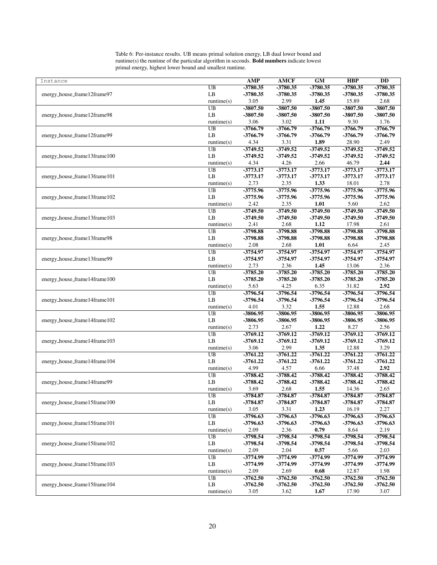Table 6: Per-instance results. UB means primal solution energy, LB dual lower bound and runtime(s) the runtime of the particular algorithm in seconds. **Bold numbers** indicate lowest primal energy, highest lower bound and smallest runtime.

| Instance                     |                            | <b>AMP</b>         | <b>AMCF</b>      | <b>GM</b>                | <b>HBP</b>          | DD                 |
|------------------------------|----------------------------|--------------------|------------------|--------------------------|---------------------|--------------------|
|                              | $\overline{UB}$            | $-3780.35$         | $-3780.35$       | $-3780.35$               | $-3780.35$          | $-3780.35$         |
| energy_house_frame12frame97  | LB                         | -3780.35           | -3780.35         | $-3780.35$               | -3780.35            | $-3780.35$         |
|                              | $\text{ runtime}(s)$       | 3.05               | 2.99             | 1.45                     | 15.89               | 2.68               |
|                              | UB                         | $-3807.50$         | $-3807.50$       | $-3807.50$               | $-3807.50$          | $-3807.50$         |
| energy_house_frame12frame98  | LB                         | $-3807.50$         | $-3807.50$       | -3807.50                 | $-3807.50$          | $-3807.50$         |
|                              | runtime(s)                 | 3.06               | 3.02             | 1.11                     | 9.30                | 1.76               |
|                              | UB                         | $-3766.79$         | $-3766.79$       | $-3766.79$               | $-3766.79$          | -3766.79           |
| energy_house_frame12frame99  | LB                         | $-3766.79$         | $-3766.79$       | $-3766.79$               | $-3766.79$          | $-3766.79$         |
|                              | $\text{ runtime}(s)$       | 4.34               | 3.31             | 1.89                     | 28.90               | 2.49               |
|                              | UB                         | $-3749.52$         | $-3749.52$       | $-3749.52$               | $-3749.52$          | $-3749.52$         |
| energy_house_frame13frame100 | LB                         | $-3749.52$         | $-3749.52$       | $-3749.52$               | $-3749.52$          | $-3749.52$         |
|                              | runtime(s)                 | 4.34               | 4.26             | 2.66                     | 46.79               | 2.44               |
|                              | UB                         | $-3773.17$         | $-3773.17$       | $-3773.17$               | $-3773.17$          | $-3773.17$         |
| energy_house_frame13frame101 | LB                         | $-3773.17$         | $-3773.17$       | $-3773.17$               | $-3773.17$          | $-3773.17$         |
|                              | runtime(s)                 | 2.73               | 2.35             | 1.33                     | 18.01               | 2.78               |
|                              | $\overline{UB}$            | $-3775.96$         | $-3775.96$       | $-3775.96$               | $-3775.96$          | $-3775.96$         |
| energy_house_frame13frame102 | LB                         | $-3775.96$         | $-3775.96$       | $-3775.96$               | -3775.96            | $-3775.96$         |
|                              | $\text{ runtime}(s)$       | 2.42               | 2.35             | 1.01                     | 5.60                | 2.62               |
|                              | UB                         | $-3749.50$         | $-3749.50$       | $-3749.50$               | $-3749.50$          | $-3749.50$         |
| energy_house_frame13frame103 | LB                         | $-3749.50$         | $-3749.50$       | $-3749.50$               | $-3749.50$          | $-3749.50$         |
|                              | runtime(s)                 | 2.41               | 2.68             | 1.12                     | 17.98               | 2.61               |
|                              | UB                         | -3798.88           | -3798.88         | $-3798.88$               | -3798.88            | $-3798.88$         |
| energy_house_frame13frame98  | LB                         | -3798.88           | -3798.88         | $-3798.88$               | -3798.88            | -3798.88           |
|                              | $\text{ runtime}(s)$       | 2.08               | 2.68             | 1.01                     | 6.64                | 2.45               |
|                              | UB                         | $-3754.97$         | $-3754.97$       | $-3754.97$               | $-3754.97$          | $-3754.97$         |
| energy_house_frame13frame99  | LB                         | $-3754.97$         | -3754.97         | -3754.97                 | $-3754.97$          | -3754.97           |
|                              | runtime(s)                 | 2.73               | 2.36             | 1.45                     | 13.06               | 2.36               |
|                              | UB                         | $-3785.20$         | $-3785.20$       | $-3785.20$               | $-3785.20$          | $-3785.20$         |
| energy_house_frame14frame100 | LB                         | $-3785.20$         | $-3785.20$       | $-3785.20$               | $-3785.20$          | $-3785.20$         |
|                              | $\text{ runtime}(s)$       | 5.63               | 4.25             | 6.35                     | 31.82               | 2.92               |
|                              | UB                         | $-3796.54$         | $-3796.54$       | $-3796.54$               | $-3796.54$          | $-3796.54$         |
| energy_house_frame14frame101 | LB                         | $-3796.54$         | -3796.54         | $-3796.54$               | -3796.54            | $-3796.54$         |
|                              | $\text{ runtime}(s)$       | 4.01               | 3.32             | 1.55                     | 12.88               | 2.68               |
|                              | UB                         | -3806.95           | -3806.95         | -3806.95                 | -3806.95            | -3806.95           |
| energy_house_frame14frame102 | LB                         | -3806.95           | -3806.95         | -3806.95                 | -3806.95            | -3806.95           |
|                              | $\text{ runtime}(s)$       | 2.73               | 2.67             | 1.22                     | 8.27                | 2.56               |
|                              | UB                         | $-3769.12$         | $-3769.12$       | $-3769.12$               | $-3769.12$          | $-3769.12$         |
| energy_house_frame14frame103 | LB                         | $-3769.12$         | $-3769.12$       | $-3769.12$               | $-3769.12$          | $-3769.12$         |
|                              | $\text{ runtime}(s)$       | 3.06               | 2.99             | 1.35                     | 12.88               | 3.29               |
|                              | UB                         | $-3761.22$         | $-3761.22$       | $-3761.22$               | $-3761.22$          | $-3761.22$         |
| energy_house_frame14frame104 | LB                         | $-3761.22$         | $-3761.22$       | $-3761.22$               | $-3761.22$          | $-3761.22$         |
|                              | $\text{ runtime}(s)$       | 4.99               | 4.57             | 6.66                     | 37.48               | 2.92               |
|                              | UB                         | $-3788.42$         | $-3788.42$       | $-3788.42$               | $-3788.42$          | $-3788.42$         |
| energy_house_frame14frame99  | LB                         | -3788.42           | $-3788.42$       | $-3788.42$               | $-3788.42$          | $-3788.42$         |
|                              | $\text{ runtime}(s)$       | 3.69               | 2.68             | 1.55                     | 14.36               | 2.65               |
|                              | UB                         | $-3784.87$         | $-3784.87$       | $-3784.87$               | -3784.87            | $-3784.87$         |
| energy_house_frame15frame100 | LB                         | $-3784.87$         | $-3784.87$       | -3784.87                 | $-3784.87$          | $-3784.87$         |
|                              | $r$ untime $(s)$           | 3.05               | 3.31             | 1.23<br>$-3796.63$       | 16.19               | 2.27               |
|                              | UB                         | -3796.63           | -3796.63         |                          | -3796.63            | $-3796.63$         |
| energy_house_frame15frame101 | LB                         | -3796.63<br>2.09   | -3796.63<br>2.36 | $-3796.63$<br>0.79       | -3796.63<br>8.64    | $-3796.63$<br>2.19 |
|                              | $\text{ runtime}(s)$       |                    | $-3798.54$       |                          | $-3798.54$          |                    |
|                              | UB                         | -3798.54           |                  | $-3798.54$<br>$-3798.54$ |                     | $-3798.54$         |
| energy_house_frame15frame102 | LB                         | $-3798.54$         | -3798.54         |                          | -3798.54            | -3798.54           |
|                              | $\text{ runtime}(s)$       | 2.09<br>$-3774.99$ | 2.04             | 0.57                     | 5.66                | 2.03               |
|                              | UB                         |                    | $-3774.99$       | $-3774.99$               | $-3774.99$          | $-3774.99$         |
| energy_house_frame15frame103 | LB                         | -3774.99           | -3774.99<br>2.69 | -3774.99<br>0.68         | -3774.99            | $-3774.99$         |
|                              | $\text{ runtime}(s)$<br>UB | 2.09<br>$-3762.50$ | $-3762.50$       | $-3762.50$               | 12.87<br>$-3762.50$ | 1.98<br>$-3762.50$ |
| energy_house_frame15frame104 | LB                         | $-3762.50$         | $-3762.50$       | -3762.50                 | $-3762.50$          | $-3762.50$         |
|                              | runtime(s)                 | 3.05               | 3.62             | 1.67                     | 17.90               | 3.07               |
|                              |                            |                    |                  |                          |                     |                    |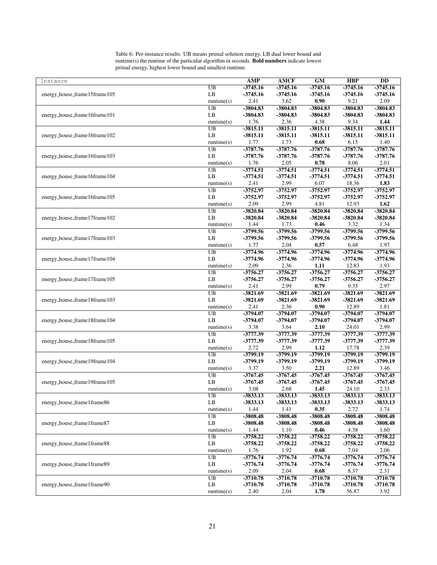| Instance                     |                      | <b>AMP</b> | <b>AMCF</b> | GM         | <b>HBP</b> | $\overline{DD}$ |
|------------------------------|----------------------|------------|-------------|------------|------------|-----------------|
|                              | UB                   | $-3745.16$ | $-3745.16$  | $-3745.16$ | $-3745.16$ | $-3745.16$      |
| energy_house_frame15frame105 | LB                   | $-3745.16$ | $-3745.16$  | $-3745.16$ | $-3745.16$ | $-3745.16$      |
|                              | $\text{ runtime}(s)$ | 2.41       | 3.62        | 0.90       | 9.21       | 2.09            |
|                              | UB                   | -3804.83   | -3804.83    | -3804.83   | -3804.83   | -3804.83        |
| energy_house_frame16frame101 | LB                   | -3804.83   | -3804.83    | -3804.83   | -3804.83   | -3804.83        |
|                              | $\text{ runtime}(s)$ | 1.76       | 2.36        | 4.38       | 9.34       | 1.44            |
|                              | UB                   | $-3815.11$ | $-3815.11$  | $-3815.11$ | $-3815.11$ | $-3815.11$      |
| energy_house_frame16frame102 | LB                   | -3815.11   | $-3815.11$  | $-3815.11$ | $-3815.11$ | $-3815.11$      |
|                              | $\text{ runtime}(s)$ | 1.77       | 1.73        | 0.68       | 6.15       | 1.40            |
|                              | UB                   | $-3787.76$ | $-3787.76$  | $-3787.76$ | $-3787.76$ | $-3787.76$      |
| energy_house_frame16frame103 | LB                   | $-3787.76$ | $-3787.76$  | $-3787.76$ | -3787.76   | $-3787.76$      |
|                              | $\text{ runtime}(s)$ | 1.76       | 2.05        | 0.78       | 8.06       | 2.01            |
|                              | $\overline{UB}$      | $-3774.51$ | $-3774.51$  | $-3774.51$ | $-3774.51$ | $-3774.51$      |
| energy_house_frame16frame104 | LB                   | $-3774.51$ | $-3774.51$  | $-3774.51$ | $-3774.51$ | $-3774.51$      |
|                              | $\text{ runtime}(s)$ | 2.41       | 2.99        | 6.07       | 18.36      | 1.83            |
|                              | UB                   | $-3752.97$ | $-3752.97$  | $-3752.97$ | $-3752.97$ | $-3752.97$      |
| energy_house_frame16frame105 | LB                   | $-3752.97$ | -3752.97    | $-3752.97$ | $-3752.97$ | $-3752.97$      |
|                              | $\text{ runtime}(s)$ | 2.09       | 2.99        | 4.81       | 12.93      | 1.62            |
|                              | UB                   | -3820.84   | $-3820.84$  | -3820.84   | -3820.84   | $-3820.84$      |
| energy_house_frame17frame102 | LB                   | $-3820.84$ | $-3820.84$  | -3820.84   | $-3820.84$ | $-3820.84$      |
|                              | $\text{ runtime}(s)$ | 1.44       | 1.73        | 0.46       | 3.32       | 1.34            |
|                              | UB                   | -3799.56   | -3799.56    | $-3799.56$ | -3799.56   | $-3799.56$      |
| energy_house_frame17frame103 | LB                   | -3799.56   | -3799.56    | -3799.56   | -3799.56   | -3799.56        |
|                              | $\text{ runtime}(s)$ | 1.77       | 2.04        | 0.57       | 6.48       | 1.97            |
|                              | UB                   | $-3774.96$ | $-3774.96$  | $-3774.96$ | $-3774.96$ | $-3774.96$      |
| energy_house_frame17frame104 | LB                   | $-3774.96$ | $-3774.96$  | $-3774.96$ | $-3774.96$ | $-3774.96$      |
|                              | $\text{ runtime}(s)$ | 2.09       | 2.36        | 1.11       | 12.83      | 1.93            |
|                              | $\overline{UB}$      | $-3756.27$ | $-3756.27$  | $-3756.27$ | $-3756.27$ | $-3756.27$      |
| energy_house_frame17frame105 | LB                   | $-3756.27$ | $-3756.27$  | -3756.27   | $-3756.27$ | $-3756.27$      |
|                              | $\text{ runtime}(s)$ | 2.41       | 2.99        | 0.79       | 9.35       | 2.97            |
|                              | UB                   | $-3821.69$ | $-3821.69$  | $-3821.69$ | $-3821.69$ | $-3821.69$      |
| energy_house_frame18frame103 | LB                   | $-3821.69$ | $-3821.69$  | $-3821.69$ | $-3821.69$ | $-3821.69$      |
|                              | $\text{ runtime}(s)$ | 2.41       | 2.36        | 0.90       | 12.89      | 1.81            |
|                              | UB                   | $-3794.07$ | -3794.07    | $-3794.07$ | -3794.07   | -3794.07        |
| energy_house_frame18frame104 | LB                   | $-3794.07$ | -3794.07    | $-3794.07$ | -3794.07   | $-3794.07$      |
|                              | $\text{ runtime}(s)$ | 3.38       | 3.64        | 2.10       | 24.01      | 2.99            |
|                              | UB                   | $-3777.39$ | $-3777.39$  | $-3777.39$ | $-3777.39$ | $-3777.39$      |
| energy_house_frame18frame105 | LB                   | $-3777.39$ | $-3777.39$  | $-3777.39$ | -3777.39   | -3777.39        |
|                              | $\text{ runtime}(s)$ | 2.72       | 2.99        | 1.12       | 17.78      | 2.39            |
|                              | UB                   | $-3799.19$ | $-3799.19$  | $-3799.19$ | $-3799.19$ | -3799.19        |
| energy_house_frame19frame104 | LB                   | $-3799.19$ | $-3799.19$  | $-3799.19$ | $-3799.19$ | $-3799.19$      |
|                              | $\text{ runtime}(s)$ | 3.37       | 3.50        | 2.21       | 12.89      | 3.46            |
|                              | UB                   | $-3767.45$ | $-3767.45$  | $-3767.45$ | $-3767.45$ | $-3767.45$      |
| energy_house_frame19frame105 | LB                   | -3767.45   | -3767.45    | -3767.45   | $-3767.45$ | $-3767.45$      |
|                              | $\text{ runtime}(s)$ | 3.08       | 2.68        | 1.45       | 24.10      | 2.33            |
|                              | UB                   | -3833.13   | -3833.13    | -3833.13   | -3833.13   | -3833.13        |
| energy_house_frame1frame86   | LB                   | -3833.13   | -3833.13    | -3833.13   | $-3833.13$ | -3833.13        |
|                              | $\text{ runtime}(s)$ | 1.44       | 1.41        | 0.35       | 2.72       | 1.74            |
|                              | UB                   | -3808.48   | -3808.48    | -3808.48   | -3808.48   | -3808.48        |
| energy_house_frame1frame87   | $\rm LB$             | -3808.48   | -3808.48    | -3808.48   | -3808.48   | -3808.48        |
|                              | runtime(s)           | 1.44       | 1.10        | 0.46       | 4.38       | 1.60            |
|                              | UB                   | $-3758.22$ | $-3758.22$  | $-3758.22$ | $-3758.22$ | $-3758.22$      |
| energy_house_frame1frame88   | LB                   | $-3758.22$ | $-3758.22$  | $-3758.22$ | $-3758.22$ | $-3758.22$      |
|                              | $\text{ runtime}(s)$ | 1.76       | 1.92        | 0.68       | 7.04       | 2.06            |
|                              | $\overline{UB}$      | $-3776.74$ | $-3776.74$  | $-3776.74$ | $-3776.74$ | -3776.74        |
| energy_house_frame1frame89   | LB                   | -3776.74   | $-3776.74$  | -3776.74   | $-3776.74$ | $-3776.74$      |
|                              | $\text{ runtime}(s)$ | 2.09       | 2.04        | 0.68       | 8.37       | 2.31            |
|                              | UB                   | -3710.78   | $-3710.78$  | $-3710.78$ | $-3710.78$ | -3710.78        |
| energy_house_frame1frame90   | LB                   | $-3710.78$ | $-3710.78$  | $-3710.78$ | $-3710.78$ | $-3710.78$      |
|                              | $\text{ runtime}(s)$ | 2.40       | 2.04        | 1.78       | 56.87      | 3.92            |

Table 6: Per-instance results. UB means primal solution energy, LB dual lower bound and runtime(s) the runtime of the particular algorithm in seconds. **Bold numbers** indicate lowest primal energy, highest lower bound and smallest runtime.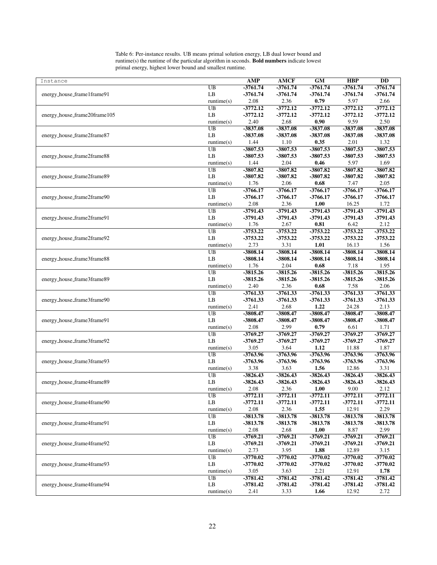| Instance                     |                      | <b>AMP</b> | <b>AMCF</b> | GM         | <b>HBP</b> | $\overline{DD}$ |
|------------------------------|----------------------|------------|-------------|------------|------------|-----------------|
|                              | $\overline{UB}$      | $-3761.74$ | $-3761.74$  | $-3761.74$ | $-3761.74$ | $-3761.74$      |
| energy_house_frame1frame91   | LB                   | $-3761.74$ | $-3761.74$  | $-3761.74$ | $-3761.74$ | $-3761.74$      |
|                              | $\text{ runtime}(s)$ | 2.08       | 2.36        | 0.79       | 5.97       | 2.66            |
|                              | UB                   | $-3772.12$ | $-3772.12$  | $-3772.12$ | $-3772.12$ | $-3772.12$      |
| energy_house_frame20frame105 | LB                   | $-3772.12$ | $-3772.12$  | $-3772.12$ | $-3772.12$ | $-3772.12$      |
|                              | $\text{ runtime}(s)$ | 2.40       | 2.68        | 0.90       | 9.59       | 2.50            |
|                              | UB                   | -3837.08   | -3837.08    | -3837.08   | -3837.08   | -3837.08        |
| energy_house_frame2frame87   | LB                   | -3837.08   | $-3837.08$  | -3837.08   | -3837.08   | -3837.08        |
|                              | $\text{ runtime}(s)$ | 1.44       | 1.10        | 0.35       | 2.01       | 1.32            |
|                              | UB                   | $-3807.53$ | -3807.53    | $-3807.53$ | $-3807.53$ | -3807.53        |
| energy_house_frame2frame88   | LB                   | -3807.53   | -3807.53    | -3807.53   | -3807.53   | -3807.53        |
|                              | $\text{ runtime}(s)$ | 1.44       | 2.04        | 0.46       | 5.97       | 1.69            |
|                              | UB                   | $-3807.82$ | $-3807.82$  | $-3807.82$ | $-3807.82$ | $-3807.82$      |
| energy_house_frame2frame89   | LB                   | -3807.82   | -3807.82    | -3807.82   | -3807.82   | $-3807.82$      |
|                              | $\text{ runtime}(s)$ | 1.76       | 2.06        | 0.68       | 7.47       | 2.05            |
|                              | UB                   | $-3766.17$ | $-3766.17$  | $-3766.17$ | $-3766.17$ | $-3766.17$      |
| energy_house_frame2frame90   | LB                   | $-3766.17$ | $-3766.17$  | $-3766.17$ | $-3766.17$ | $-3766.17$      |
|                              | $\text{ runtime}(s)$ | 2.08       | 2.36        | 1.00       | 16.25      | 1.72            |
|                              | $_{\rm UB}$          | $-3791.43$ | $-3791.43$  | $-3791.43$ | $-3791.43$ | $-3791.43$      |
| energy_house_frame2frame91   | LB                   | $-3791.43$ | $-3791.43$  | $-3791.43$ | $-3791.43$ | $-3791.43$      |
|                              | $\text{ runtime}(s)$ | 1.76       | 2.67        | 0.81       | 6.42       | 2.12            |
|                              | UB                   | $-3753.22$ | $-3753.22$  | $-3753.22$ | $-3753.22$ | $-3753.22$      |
| energy_house_frame2frame92   | LB                   | $-3753.22$ | $-3753.22$  | $-3753.22$ | $-3753.22$ | $-3753.22$      |
|                              | $\text{ runtime}(s)$ | 2.73       | 3.31        | 1.01       | 16.13      | 1.56            |
|                              | UB                   | $-3808.14$ | $-3808.14$  | $-3808.14$ | $-3808.14$ | $-3808.14$      |
| energy_house_frame3frame88   | LB                   | -3808.14   | $-3808.14$  | $-3808.14$ | -3808.14   | $-3808.14$      |
|                              | $\text{ runtime}(s)$ | 1.76       | 2.04        | 0.68       | 7.18       | 1.95            |
|                              | $\overline{UB}$      | $-3815.26$ | $-3815.26$  | $-3815.26$ | $-3815.26$ | $-3815.26$      |
| energy_house_frame3frame89   | LB                   | $-3815.26$ | $-3815.26$  | $-3815.26$ | $-3815.26$ | $-3815.26$      |
|                              | $\text{ runtime}(s)$ | 2.40       | 2.36        | 0.68       | 7.58       | 2.06            |
|                              | UB                   | $-3761.33$ | $-3761.33$  | $-3761.33$ | $-3761.33$ | $-3761.33$      |
| energy_house_frame3frame90   | LB                   | $-3761.33$ | $-3761.33$  | $-3761.33$ | $-3761.33$ | $-3761.33$      |
|                              | $\text{ runtime}(s)$ | 2.41       | 2.68        | 1.22       | 24.28      | 2.13            |
|                              | UB                   | -3808.47   | -3808.47    | $-3808.47$ | $-3808.47$ | $-3808.47$      |
| energy_house_frame3frame91   | LB                   | -3808.47   | -3808.47    | -3808.47   | -3808.47   | -3808.47        |
|                              | $\text{ runtime}(s)$ | 2.08       | 2.99        | 0.79       | 6.61       | 1.71            |
|                              | UB                   | $-3769.27$ | $-3769.27$  | $-3769.27$ | $-3769.27$ | -3769.27        |
| energy_house_frame3frame92   | LB                   | $-3769.27$ | -3769.27    | -3769.27   | $-3769.27$ | -3769.27        |
|                              | $\text{ runtime}(s)$ | 3.05       | 3.64        | 1.12       | 11.88      | 1.87            |
|                              | UB                   | -3763.96   | -3763.96    | $-3763.96$ | -3763.96   | $-3763.96$      |
| energy_house_frame3frame93   | LB                   | -3763.96   | -3763.96    | -3763.96   | -3763.96   | -3763.96        |
|                              | $\text{ runtime}(s)$ | 3.38       | 3.63        | 1.56       | 12.86      | 3.31            |
|                              | $\overline{UB}$      | $-3826.43$ | $-3826.43$  | $-3826.43$ | $-3826.43$ | $-3826.43$      |
| energy_house_frame4frame89   | LB                   | $-3826.43$ | $-3826.43$  | -3826.43   | $-3826.43$ | $-3826.43$      |
|                              | $\text{ runtime}(s)$ | 2.08       | 2.36        | 1.00       | 9.00       | 2.12            |
|                              | UB                   | $-3772.11$ | $-3772.11$  | $-3772.11$ | $-3772.11$ | $-3772.11$      |
| energy_house_frame4frame90   | $\rm LB$             | $-3772.11$ | $-3772.11$  | $-3772.11$ | $-3772.11$ | $-3772.11$      |
|                              | $\text{ runtime}(s)$ | 2.08       | 2.36        | 1.55       | 12.91      | 2.29            |
|                              | $\overline{UB}$      | -3813.78   | -3813.78    | -3813.78   | -3813.78   | -3813.78        |
| energy_house_frame4frame91   | LB                   | $-3813.78$ | -3813.78    | -3813.78   | -3813.78   | -3813.78        |
|                              | runtime(s)           | 2.08       | 2.68        | 1.00       | 8.87       | 2.99            |
|                              | UB                   | $-3769.21$ | $-3769.21$  | $-3769.21$ | $-3769.21$ | $-3769.21$      |
| energy_house_frame4frame92   | LB                   | $-3769.21$ | $-3769.21$  | -3769.21   | $-3769.21$ | $-3769.21$      |
|                              | $\text{ runtime}(s)$ | 2.73       | 3.95        | 1.88       | 12.89      | 3.15            |
|                              | $\overline{UB}$      | $-3770.02$ | $-3770.02$  | $-3770.02$ | $-3770.02$ | -3770.02        |
| energy_house_frame4frame93   | LB                   | $-3770.02$ | $-3770.02$  | $-3770.02$ | $-3770.02$ | $-3770.02$      |
|                              | $\text{ runtime}(s)$ | 3.05       | 3.63        | 2.21       | 12.91      | 1.78            |
|                              | UB                   | $-3781.42$ | $-3781.42$  | $-3781.42$ | $-3781.42$ | $-3781.42$      |
| energy_house_frame4frame94   | LB                   | $-3781.42$ | $-3781.42$  | $-3781.42$ | $-3781.42$ | $-3781.42$      |
|                              | $\text{ runtime}(s)$ | 2.41       | 3.33        | 1.66       | 12.92      | 2.72            |

Table 6: Per-instance results. UB means primal solution energy, LB dual lower bound and runtime(s) the runtime of the particular algorithm in seconds. **Bold numbers** indicate lowest primal energy, highest lower bound and smallest runtime.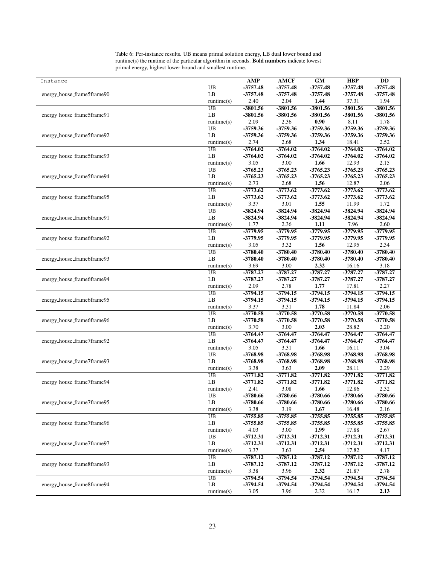Table 6: Per-instance results. UB means primal solution energy, LB dual lower bound and runtime(s) the runtime of the particular algorithm in seconds. **Bold numbers** indicate lowest primal energy, highest lower bound and smallest runtime.

| Instance                   |                      | <b>AMP</b> | <b>AMCF</b> | GM         | <b>HBP</b> | $\overline{DD}$ |
|----------------------------|----------------------|------------|-------------|------------|------------|-----------------|
|                            | UB                   | $-3757.48$ | $-3757.48$  | $-3757.48$ | $-3757.48$ | $-3757.48$      |
| energy_house_frame5frame90 | LB                   | $-3757.48$ | $-3757.48$  | $-3757.48$ | $-3757.48$ | $-3757.48$      |
|                            | $\text{ runtime}(s)$ | 2.40       | 2.04        | 1.44       | 37.31      | 1.94            |
|                            | UB                   | -3801.56   | $-3801.56$  | $-3801.56$ | $-3801.56$ | $-3801.56$      |
| energy_house_frame5frame91 | LB                   | -3801.56   | -3801.56    | -3801.56   | $-3801.56$ | $-3801.56$      |
|                            | $\text{ runtime}(s)$ | 2.09       | 2.36        | 0.90       | 8.11       | 1.78            |
|                            | UB                   | -3759.36   | $-3759.36$  | -3759.36   | $-3759.36$ | $-3759.36$      |
| energy_house_frame5frame92 | LB                   | -3759.36   | -3759.36    | -3759.36   | $-3759.36$ | -3759.36        |
|                            | $\text{ runtime}(s)$ | 2.74       | 2.68        | 1.34       | 18.41      | 2.52            |
|                            | UB                   | $-3764.02$ | $-3764.02$  | $-3764.02$ | $-3764.02$ | $-3764.02$      |
| energy_house_frame5frame93 | LB                   | $-3764.02$ | $-3764.02$  | $-3764.02$ | $-3764.02$ | $-3764.02$      |
|                            | $\text{ runtime}(s)$ | 3.05       | 3.00        | 1.66       | 12.93      | 2.15            |
|                            | UB                   | $-3765.23$ | $-3765.23$  | $-3765.23$ | $-3765.23$ | $-3765.23$      |
| energy_house_frame5frame94 | LB                   | $-3765.23$ | $-3765.23$  | $-3765.23$ | $-3765.23$ | $-3765.23$      |
|                            | runtime(s)           | 2.73       | 2.68        | 1.56       | 12.87      | 2.06            |
|                            | UB                   | $-3773.62$ | $-3773.62$  | $-3773.62$ | $-3773.62$ | $-3773.62$      |
| energy_house_frame5frame95 | LB                   | $-3773.62$ | $-3773.62$  | $-3773.62$ | $-3773.62$ | $-3773.62$      |
|                            | $\text{ runtime}(s)$ | 3.37       | 3.01        | 1.55       | 11.99      | 1.72            |
|                            | UB                   | -3824.94   | $-3824.94$  | $-3824.94$ | -3824.94   | $-3824.94$      |
| energy_house_frame6frame91 | LB                   | -3824.94   | $-3824.94$  | $-3824.94$ | -3824.94   | -3824.94        |
|                            | $\text{ runtime}(s)$ | 1.77       | 2.36        | 1.11       | 7.96       | 2.60            |
|                            | UB                   | $-3779.95$ | $-3779.95$  | $-3779.95$ | $-3779.95$ | $-3779.95$      |
| energy_house_frame6frame92 | LB                   | -3779.95   | -3779.95    | -3779.95   | -3779.95   | -3779.95        |
|                            | $\text{ runtime}(s)$ | 3.05       | 3.32        | 1.56       | 12.95      | 2.34            |
|                            | UB                   | $-3780.40$ | -3780.40    | $-3780.40$ | $-3780.40$ | $-3780.40$      |
| energy_house_frame6frame93 | LB                   | $-3780.40$ | $-3780.40$  | $-3780.40$ | $-3780.40$ | $-3780.40$      |
|                            | $\text{ runtime}(s)$ | 3.69       | 3.00        | 2.32       | 16.16      | 3.18            |
|                            | UB                   | $-3787.27$ | $-3787.27$  | $-3787.27$ | $-3787.27$ | $-3787.27$      |
| energy_house_frame6frame94 | LB                   | $-3787.27$ | $-3787.27$  | $-3787.27$ | $-3787.27$ | $-3787.27$      |
|                            | $\text{ runtime}(s)$ | 2.09       | 2.78        | 1.77       | 17.81      | 2.27            |
|                            | UB                   | $-3794.15$ | $-3794.15$  | $-3794.15$ | $-3794.15$ | $-3794.15$      |
| energy_house_frame6frame95 | LB                   | $-3794.15$ | $-3794.15$  | -3794.15   | $-3794.15$ | $-3794.15$      |
|                            | $\text{ runtime}(s)$ | 3.37       | 3.31        | 1.78       | 11.84      | 2.06            |
|                            | UB                   | $-3770.58$ | $-3770.58$  | $-3770.58$ | $-3770.58$ | $-3770.58$      |
| energy_house_frame6frame96 | LB                   | $-3770.58$ | $-3770.58$  | $-3770.58$ | $-3770.58$ | $-3770.58$      |
|                            | $\text{ runtime}(s)$ | 3.70       | 3.00        | 2.03       | 28.82      | 2.20            |
|                            | UB                   | $-3764.47$ | $-3764.47$  | $-3764.47$ | $-3764.47$ | $-3764.47$      |
| energy_house_frame7frame92 | LB                   | $-3764.47$ | $-3764.47$  | $-3764.47$ | $-3764.47$ | $-3764.47$      |
|                            | $\text{ runtime}(s)$ | 3.05       | 3.31        | 1.66       | 16.11      | 3.04            |
|                            | UB                   | $-3768.98$ | -3768.98    | $-3768.98$ | $-3768.98$ | $-3768.98$      |
| energy_house_frame7frame93 | LB                   | -3768.98   | $-3768.98$  | -3768.98   | $-3768.98$ | $-3768.98$      |
|                            | $\text{ runtime}(s)$ | 3.38       | 3.63        | 2.09       | 28.11      | 2.29            |
|                            | UB                   | $-3771.82$ | $-3771.82$  | $-3771.82$ | $-3771.82$ | $-3771.82$      |
| energy_house_frame7frame94 | LB                   | $-3771.82$ | -3771.82    | $-3771.82$ | $-3771.82$ | $-3771.82$      |
|                            | $\text{ runtime}(s)$ | 2.41       | 3.08        | 1.66       | 12.86      | 2.32            |
|                            | UB                   | -3780.66   | -3780.66    | -3780.66   | -3780.66   | -3780.66        |
| energy_house_frame7frame95 | $\rm LB$             | -3780.66   | -3780.66    | -3780.66   | -3780.66   | $-3780.66$      |
|                            | $\text{ runtime}(s)$ | 3.38       | 3.19        | 1.67       | 16.48      | 2.16            |
|                            | <b>UB</b>            | $-3755.85$ | $-3755.85$  | $-3755.85$ | $-3755.85$ | $-3755.85$      |
| energy_house_frame7frame96 | LB                   | $-3755.85$ | -3755.85    | $-3755.85$ | $-3755.85$ | $-3755.85$      |
|                            | $\text{ runtime}(s)$ | 4.03       | 3.00        | 1.99       | 17.88      | 2.67            |
|                            | UB                   | -3712.31   | $-3712.31$  | $-3712.31$ | $-3712.31$ | $-3712.31$      |
| energy_house_frame7frame97 | LB                   | $-3712.31$ | $-3712.31$  | $-3712.31$ | $-3712.31$ | $-3712.31$      |
|                            | $\text{ runtime}(s)$ | 3.37       | 3.63        | 2.54       | 17.82      | 4.17            |
|                            | $\overline{UB}$      | $-3787.12$ | $-3787.12$  | $-3787.12$ | $-3787.12$ | $-3787.12$      |
| energy_house_frame8frame93 | LB                   | $-3787.12$ | $-3787.12$  | $-3787.12$ | $-3787.12$ | $-3787.12$      |
|                            | $\text{ runtime}(s)$ | 3.38       | 3.96        | 2.32       | 21.87      | 2.78            |
|                            | UB                   | $-3794.54$ | $-3794.54$  | $-3794.54$ | $-3794.54$ | $-3794.54$      |
| energy_house_frame8frame94 | LB                   | -3794.54   | -3794.54    | -3794.54   | -3794.54   | -3794.54        |
|                            | runtime(s)           | 3.05       | 3.96        | 2.32       | 16.17      | 2.13            |
|                            |                      |            |             |            |            |                 |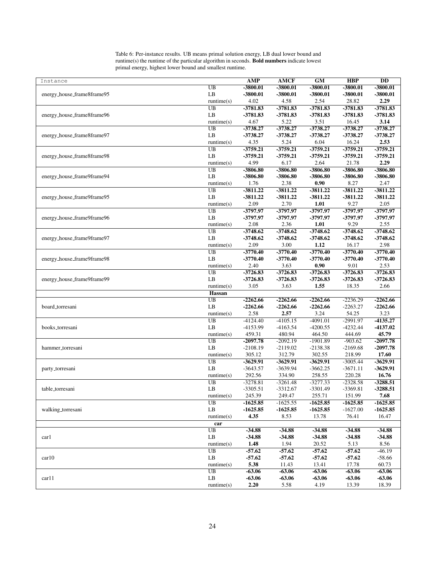| Table 6: Per-instance results. UB means primal solution energy, LB dual lower bound and            |
|----------------------------------------------------------------------------------------------------|
| runtime(s) the runtime of the particular algorithm in seconds. <b>Bold numbers</b> indicate lowest |
| primal energy, highest lower bound and smallest runtime.                                           |

| Instance                   |                      | <b>AMP</b> | <b>AMCF</b> | <b>GM</b>  | <b>HBP</b> | <b>DD</b>  |
|----------------------------|----------------------|------------|-------------|------------|------------|------------|
|                            | UB                   | $-3800.01$ | $-3800.01$  | $-3800.01$ | $-3800.01$ | $-3800.01$ |
| energy_house_frame8frame95 | LB                   | $-3800.01$ | -3800.01    | $-3800.01$ | $-3800.01$ | $-3800.01$ |
|                            | $\text{ runtime}(s)$ | 4.02       | 4.58        | 2.54       | 28.82      | 2.29       |
|                            | UB                   | $-3781.83$ | $-3781.83$  | $-3781.83$ | $-3781.83$ | $-3781.83$ |
| energy_house_frame8frame96 | LB                   | -3781.83   | $-3781.83$  | $-3781.83$ | -3781.83   | $-3781.83$ |
|                            | $\text{ runtime}(s)$ | 4.67       | 5.22        | 3.51       | 16.45      | 3.14       |
|                            | UB                   | $-3738.27$ | $-3738.27$  | $-3738.27$ | $-3738.27$ | $-3738.27$ |
|                            | LB                   | $-3738.27$ | -3738.27    | $-3738.27$ | $-3738.27$ | $-3738.27$ |
| energy_house_frame8frame97 |                      | 4.35       | 5.24        | 6.04       |            | 2.53       |
|                            | $\text{ runtime}(s)$ |            |             |            | 16.24      |            |
|                            | UB                   | $-3759.21$ | $-3759.21$  | $-3759.21$ | $-3759.21$ | $-3759.21$ |
| energy_house_frame8frame98 | LB                   | $-3759.21$ | $-3759.21$  | $-3759.21$ | $-3759.21$ | $-3759.21$ |
|                            | $\text{ runtime}(s)$ | 4.99       | 6.17        | 2.64       | 21.78      | 2.29       |
|                            | UB                   | -3806.80   | $-3806.80$  | $-3806.80$ | $-3806.80$ | $-3806.80$ |
| energy_house_frame9frame94 | LB                   | -3806.80   | -3806.80    | -3806.80   | -3806.80   | $-3806.80$ |
|                            | $\text{ runtime}(s)$ | 1.76       | 2.38        | 0.90       | 8.27       | 2.47       |
|                            | UB                   | $-3811.22$ | $-3811.22$  | $-3811.22$ | $-3811.22$ | $-3811.22$ |
| energy_house_frame9frame95 | LB                   | $-3811.22$ | $-3811.22$  | $-3811.22$ | $-3811.22$ | $-3811.22$ |
|                            | $\text{ runtime}(s)$ | 2.09       | 2.70        | 1.01       | 9.27       | 2.05       |
|                            | UB                   | -3797.97   | $-3797.97$  | $-3797.97$ | $-3797.97$ | $-3797.97$ |
| energy_house_frame9frame96 | LB                   | -3797.97   | -3797.97    | -3797.97   | -3797.97   | -3797.97   |
|                            | $\text{ runtime}(s)$ | 2.08       | 2.36        | 1.01       | 9.29       | 2.55       |
|                            | UB                   | $-3748.62$ | $-3748.62$  | $-3748.62$ | $-3748.62$ | $-3748.62$ |
| energy_house_frame9frame97 | LB                   | $-3748.62$ | $-3748.62$  | $-3748.62$ | $-3748.62$ | $-3748.62$ |
|                            | $\text{ runtime}(s)$ | 2.09       | 3.00        | 1.12       | 16.17      | 2.98       |
|                            | UB                   | $-3770.40$ | $-3770.40$  | $-3770.40$ | $-3770.40$ | $-3770.40$ |
| energy_house_frame9frame98 | LB                   | $-3770.40$ | $-3770.40$  | $-3770.40$ | $-3770.40$ | $-3770.40$ |
|                            | $\text{ runtime}(s)$ | 2.40       | 3.63        | 0.90       | 9.01       | 2.53       |
|                            | $\overline{UB}$      | $-3726.83$ | $-3726.83$  | $-3726.83$ | $-3726.83$ | $-3726.83$ |
| energy_house_frame9frame99 | LB                   | $-3726.83$ | $-3726.83$  | $-3726.83$ | $-3726.83$ | $-3726.83$ |
|                            | $\text{ runtime}(s)$ | 3.05       | 3.63        | 1.55       | 18.35      | 2.66       |
|                            | Hassan               |            |             |            |            |            |
|                            | UB                   | $-2262.66$ | $-2262.66$  | $-2262.66$ | $-2236.29$ | $-2262.66$ |
| board_torresani            | LB                   | $-2262.66$ | $-2262.66$  | $-2262.66$ | $-2263.27$ | $-2262.66$ |
|                            | $\text{ runtime}(s)$ | 2.58       | 2.57        | 3.24       | 54.25      | 3.23       |
|                            | UB                   |            |             |            |            |            |
|                            |                      |            |             |            |            |            |
|                            |                      | $-4124.40$ | $-4105.15$  | $-4091.01$ | $-2991.97$ | $-4135.27$ |
| books_torresani            | LB                   | -4153.99   | $-4163.54$  | $-4200.55$ | $-4232.44$ | -4137.02   |
|                            | $\text{ runtime}(s)$ | 459.31     | 480.94      | 464.50     | 444.69     | 45.79      |
|                            | UB                   | $-2097.78$ | $-2092.19$  | $-1901.89$ | $-903.62$  | $-2097.78$ |
| hammer_torresani           | LB                   | $-2108.19$ | $-2119.02$  | $-2138.38$ | $-2169.68$ | $-2097.78$ |
|                            | $\text{ runtime}(s)$ | 305.12     | 312.79      | 302.55     | 218.99     | 17.60      |
|                            | UB                   | $-3629.91$ | $-3629.91$  | $-3629.91$ | $-3005.44$ | $-3629.91$ |
| party_torresani            | LB                   | $-3643.57$ | $-3639.94$  | $-3662.25$ | $-3671.11$ | $-3629.91$ |
|                            | $\text{ runtime}(s)$ | 292.56     | 334.90      | 258.55     | 220.28     | 16.76      |
|                            | $\overline{UB}$      | $-3278.81$ | $-3261.48$  | $-3277.33$ | $-2328.58$ | $-3288.51$ |
| table_torresani            | LB                   | $-3305.51$ | -3312.67    | $-3301.49$ | $-3369.81$ | $-3288.51$ |
|                            | $\text{ runtime}(s)$ | 245.39     | 249.47      | 255.71     | 151.99     | 7.68       |
|                            | UB                   | $-1625.85$ | $-1625.55$  | $-1625.85$ | $-1625.85$ | $-1625.85$ |
| walking_torresani          | $\rm LB$             | $-1625.85$ | $-1625.85$  | $-1625.85$ | $-1627.00$ | $-1625.85$ |
|                            | runtime(s)           | 4.35       | 8.53        | 13.78      | 76.41      | 16.47      |
|                            | car                  |            |             |            |            |            |
|                            | UB                   | $-34.88$   | -34.88      | $-34.88$   | -34.88     | $-34.88$   |
| car1                       | LB                   | $-34.88$   | $-34.88$    | $-34.88$   | $-34.88$   | $-34.88$   |
|                            | $\text{ runtime}(s)$ | 1.48       | 1.94        | 20.52      | 5.13       | 8.56       |
|                            | UB                   | $-57.62$   | $-57.62$    | $-57.62$   | $-57.62$   | $-46.19$   |
| car10                      | LB                   | $-57.62$   | $-57.62$    | $-57.62$   | $-57.62$   | $-58.66$   |
|                            | $\text{ runtime}(s)$ | 5.38       | 11.43       | 13.41      | 17.78      | 60.73      |
|                            | UB                   | $-63.06$   | $-63.06$    | $-63.06$   | $-63.06$   | $-63.06$   |
| car11                      | LB                   | $-63.06$   | $-63.06$    | $-63.06$   | $-63.06$   | $-63.06$   |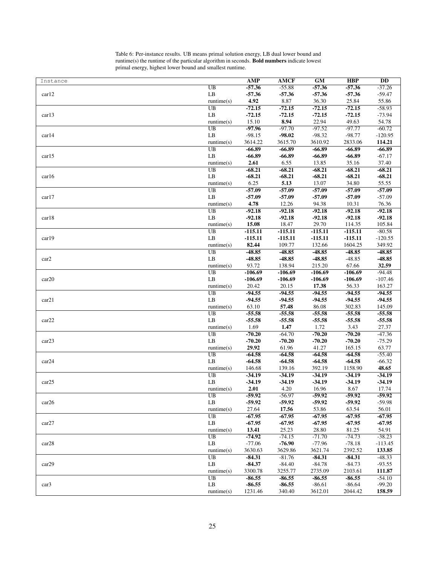| Instance |                            | <b>AMP</b>         | <b>AMCF</b>        | <b>GM</b>          | <b>HBP</b>          | DD                |
|----------|----------------------------|--------------------|--------------------|--------------------|---------------------|-------------------|
|          | UB                         | $-57.36$           | $-55.88$           | $-57.36$           | $-57.36$            | $-37.26$          |
| car12    | LB                         | $-57.36$           | $-57.36$           | $-57.36$           | $-57.36$            | $-59.47$          |
|          | runtime(s)                 | 4.92               | 8.87               | 36.30              | 25.84               | 55.86             |
|          | UB                         | $-72.15$           | $-72.15$           | $-72.15$           | $-72.15$            | $-58.93$          |
| car13    | LB                         | $-72.15$           | $-72.15$           | $-72.15$           | $-72.15$            | $-73.94$          |
|          | runtime(s)                 | 15.10              | 8.94               | 22.94              | 49.63               | 54.78             |
|          | UB                         | $-97.96$           | $-97.70$           | $-97.52$           | $-97.77$            | $-60.72$          |
| car14    | LB                         | $-98.15$           | $-98.02$           | $-98.32$           | $-98.77$            | $-120.95$         |
|          | $\text{ runtime}(s)$       | 3614.22            | 3615.70            | 3610.92            | 2833.06             | 114.21            |
|          | UB                         | $-66.89$           | $-66.89$           | $-66.89$           | $-66.89$            | $-66.89$          |
| car15    | $\rm LB$                   | $-66.89$           | $-66.89$           | $-66.89$           | $-66.89$            | $-67.17$          |
|          | $\text{ runtime}(s)$       | 2.61               | 6.55               | 13.85              | 35.16               | 37.40             |
|          | $\overline{UB}$            | $-68.21$           | $-68.21$           | $-68.21$           | $-68.21$            | $-68.21$          |
| car16    | LB                         | $-68.21$<br>6.25   | $-68.21$<br>5.13   | $-68.21$<br>13.07  | $-68.21$<br>34.80   | $-68.21$<br>55.55 |
|          | runtime(s)<br>UB           | $-57.09$           | $-57.09$           | $-57.09$           | $-57.09$            | $-57.09$          |
| car17    | LB                         | $-57.09$           | $-57.09$           | $-57.09$           | $-57.09$            | $-57.09$          |
|          | $\text{ runtime}(s)$       | 4.78               | 12.26              | 94.38              | 10.31               | 76.36             |
|          | UB                         | $-92.18$           | $-92.18$           | $-92.18$           | $-92.18$            | $-92.18$          |
| car18    | LB                         | $-92.18$           | $-92.18$           | $-92.18$           | $-92.18$            | $-92.18$          |
|          | $\text{ runtime}(s)$       | 15.08              | 18.47              | 29.70              | 114.35              | 105.84            |
|          | UB                         | $-115.11$          | $-115.11$          | $-115.11$          | $-115.11$           | $-80.58$          |
| car19    | LB                         | $-115.11$          | $-115.11$          | $-115.11$          | $-115.11$           | $-120.55$         |
|          | $\text{ runtime}(s)$       | 82.44              | 109.77             | 132.66             | 1604.25             | 349.92            |
|          | UB                         | $-48.85$           | $-48.85$           | $-48.85$           | $-48.85$            | $-48.85$          |
| car2     | LB                         | $-48.85$           | $-48.85$           | $-48.85$           | $-48.85$            | $-48.85$          |
|          | $\text{ runtime}(s)$       | 93.72              | 138.94             | 215.20             | 67.66               | 32.59             |
|          | $\overline{UB}$            | $-106.69$          | $-106.69$          | $-106.69$          | $-106.69$           | $-94.48$          |
| car20    | LB                         | $-106.69$          | $-106.69$          | $-106.69$          | -106.69             | $-107.46$         |
|          | $\text{ runtime}(s)$       | 20.42              | 20.15              | 17.38              | 56.33               | 163.27            |
|          | UB                         | $-94.55$           | $-94.55$           | $-94.55$           | $-94.55$            | $-94.55$          |
| car21    | LB                         | $-94.55$           | $-94.55$           | $-94.55$           | $-94.55$            | $-94.55$          |
|          | $\text{ runtime}(s)$       | 63.10              | 57.48              | 86.08              | 302.83              | 145.09            |
|          | UB                         | $-55.58$           | $-55.58$           | $-55.58$           | $-55.58$            | $-55.58$          |
| car22    | LB                         | $-55.58$           | $-55.58$           | $-55.58$           | $-55.58$            | $-55.58$          |
|          | $\text{ runtime}(s)$       | 1.69               | 1.47               | 1.72               | 3.43                | 27.37             |
|          | UB                         | $-70.20$           | $-64.70$           | $-70.20$           | $-70.20$            | $-47.36$          |
| car23    | LB                         | $-70.20$           | $-70.20$           | $-70.20$           | $-70.20$            | $-75.29$          |
|          | $r$ untime $(s)$           | 29.92              | 61.96              | 41.27              | 165.15              | 63.77             |
|          | UB                         | $-64.58$           | $-64.58$           | $-64.58$           | $-64.58$            | $-55.40$          |
| car24    | LB                         | $-64.58$<br>146.68 | $-64.58$           | $-64.58$<br>392.19 | $-64.58$<br>1158.90 | $-66.32$<br>48.65 |
|          | $\text{ runtime}(s)$<br>UB | $-34.19$           | 139.16<br>$-34.19$ | $-34.19$           | $-34.19$            | $-34.19$          |
| car25    | LB                         | $-34.19$           | $-34.19$           | $-34.19$           | $-34.19$            | $-34.19$          |
|          | $\text{ runtime}(s)$       | 2.01               | 4.20               | 16.96              | 8.67                | 17.74             |
|          | $\overline{UB}$            | $-59.92$           | $-56.97$           | $-59.92$           | $-59.92$            | $-59.92$          |
| car26    | LB                         | $-59.92$           | -59.92             | $-59.92$           | $-59.92$            | $-59.98$          |
|          | runtime(s)                 | 27.64              | 17.56              | 53.86              | 63.54               | 56.01             |
|          | UB                         | $-67.95$           | $-67.95$           | $-67.95$           | $-67.95$            | $-67.95$          |
| car27    | LB                         | $-67.95$           | $-67.95$           | $-67.95$           | $-67.95$            | $-67.95$          |
|          | runtime(s)                 | 13.41              | 25.23              | 28.80              | 81.25               | 54.91             |
|          | UB                         | $-74.92$           | $-74.15$           | $-71.70$           | $-74.73$            | $-38.23$          |
| car28    | LB                         | $-77.06$           | $-76.90$           | $-77.96$           | $-78.18$            | $-113.45$         |
|          | runtime(s)                 | 3630.63            | 3629.86            | 3621.74            | 2392.52             | 133.85            |
|          | UB                         | $-84.31$           | $-81.76$           | $-84.31$           | $-84.31$            | $-48.33$          |
| car29    | LB                         | $-84.37$           | $-84.40$           | $-84.78$           | $-84.73$            | $-93.55$          |
|          | $r$ untime $(s)$           | 3300.78            | 3255.77            | 2735.09            | 2103.61             | 111.87            |
|          | UB                         | $-86.55$           | $-86.55$           | $-86.55$           | $-86.55$            | $-54.10$          |
| car3     | LB                         | $-86.55$           | $-86.55$           | $-86.61$           | $-86.64$            | $-99.20$          |
|          | runtime(s)                 | 1231.46            | 340.40             | 3612.01            | 2044.42             | 158.59            |

Table 6: Per-instance results. UB means primal solution energy, LB dual lower bound and runtime(s) the runtime of the particular algorithm in seconds. **Bold numbers** indicate lowest primal energy, highest lower bound and smallest runtime.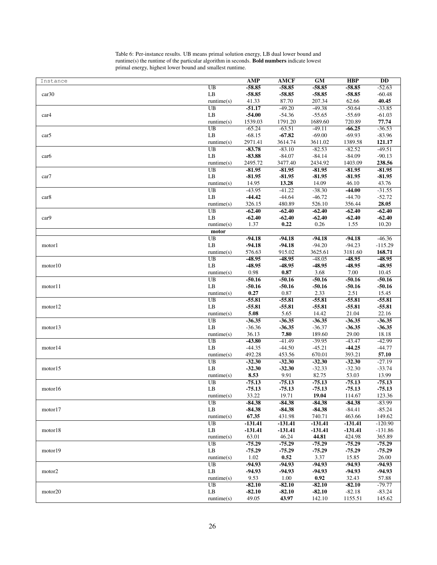| Instance           |                            | <b>AMP</b>         | AMCF                 | <b>GM</b>            | <b>HBP</b>         | DD                   |
|--------------------|----------------------------|--------------------|----------------------|----------------------|--------------------|----------------------|
|                    | $\overline{UB}$            | $-58.85$           | $-58.85$             | $-58.85$             | $-58.85$           | $-52.63$             |
| car30              | LB                         | $-58.85$           | $-58.85$             | $-58.85$             | $-58.85$           | $-60.48$             |
|                    | $\text{ runtime}(s)$       | 41.33              | 87.70                | 207.34               | 62.66              | 40.45                |
|                    | UB                         | $-51.17$           | $-49.20$             | $-49.38$             | $-50.64$           | $-33.85$             |
| car4               | LB                         | $-54.00$           | $-54.36$             | $-55.65$             | $-55.69$           | $-61.03$             |
|                    | $\text{ runtime}(s)$       | 1539.03            | 1791.20              | 1689.60              | 720.89             | 77.74                |
|                    | UB                         | $-65.24$           | $-63.51$             | $-49.11$             | $-66.25$           | $-36.53$             |
| car <sub>5</sub>   | LB                         | $-68.15$           | $-67.82$             | $-69.00$             | $-69.93$           | $-83.96$             |
|                    | $\text{ runtime}(s)$       | 2971.41            | 3614.74              | 3611.02              | 1389.58            | 121.17               |
|                    | UB                         | $-83.78$           | $-83.10$             | $-82.53$             | $-82.52$           | $-49.51$             |
| car <sub>6</sub>   | LB                         | $-83.88$           | $-84.07$             | $-84.14$             | $-84.09$           | $-90.13$             |
|                    | runtime(s)                 | 2495.72            | 3477.40              | 2434.92              | 1403.09            | 238.56               |
|                    | UB                         | $-81.95$           | $-81.95$             | $-81.95$             | $-81.95$           | $-81.95$             |
| car7               | LB                         | $-81.95$           | $-81.95$             | $-81.95$             | $-81.95$           | $-81.95$             |
|                    | $\text{ runtime}(s)$       | 14.95              | 13.28                | 14.09                | 46.10              | 43.76                |
|                    | UB                         | $-43.95$           | $-41.22$             | $-38.30$             | $-44.00$           | $-31.55$             |
| car8               | LB                         | $-44.42$<br>326.15 | $-44.64$<br>480.89   | $-46.72$<br>526.10   | $-44.70$<br>356.44 | $-52.72$<br>28.05    |
|                    | $r$ untime $(s)$           | $-62.40$           |                      |                      |                    |                      |
| car9               | UB<br>LB                   | $-62.40$           | $-62.40$<br>$-62.40$ | $-62.40$<br>$-62.40$ | $-62.40$           | $-62.40$<br>$-62.40$ |
|                    | $r$ untime $(s)$           | 1.37               | 0.22                 | 0.26                 | $-62.40$<br>1.55   | 10.20                |
|                    | motor                      |                    |                      |                      |                    |                      |
|                    | UB                         | $-94.18$           | $-94.18$             | $-94.18$             | $-94.18$           | $-46.36$             |
| motor1             | LB                         | $-94.18$           | $-94.18$             | $-94.20$             | $-94.23$           | $-115.29$            |
|                    | runtime(s)                 | 576.63             | 915.02               | 3625.61              | 3181.60            | 168.71               |
|                    | UB                         | $-48.95$           | $-48.95$             | $-48.05$             | $-48.95$           | $-48.95$             |
| motor10            | LB                         | $-48.95$           | $-48.95$             | $-48.95$             | $-48.95$           | $-48.95$             |
|                    | $\text{ runtime}(s)$       | 0.98               | 0.87                 | 3.68                 | 7.00               | 10.45                |
|                    | UB                         | $-50.16$           | $-50.16$             | $-50.16$             | $-50.16$           | $-50.16$             |
| motor11            | LB                         | $-50.16$           | $-50.16$             | $-50.16$             | $-50.16$           | $-50.16$             |
|                    | $\text{ runtime}(s)$       | 0.27               | 0.87                 | 2.33                 | 2.51               | 15.45                |
|                    | UB                         | $-55.81$           | $-55.81$             | $-55.81$             | $-55.81$           | $-55.81$             |
| motor12            | LB                         | $-55.81$           | $-55.81$             | $-55.81$             | $-55.81$           | $-55.81$             |
|                    | runtime(s)                 | 5.08               | 5.65                 | 14.42                | 21.04              | 22.16                |
|                    | UB                         | $-36.35$           | $-36.35$             | $-36.35$             | $-36.35$           | $-36.35$             |
| motor13            | LB                         | $-36.36$           | $-36.35$             | $-36.37$             | $-36.35$           | $-36.35$             |
|                    | $\text{ runtime}(s)$       | 36.13              | 7.80                 | 189.60               | 29.00              | 18.18                |
|                    | UB                         | $-43.80$           | $-41.49$             | $-39.95$             | $-43.47$           | $-42.99$             |
| motor14            | LB                         | $-44.35$           | $-44.50$             | $-45.21$             | $-44.25$           | $-44.77$             |
|                    | $\text{ runtime}(s)$       | 492.28             | 453.56               | 670.01               | 393.21             | 57.10                |
|                    | $\overline{UB}$            | $-32.30$           | $-32.30$             | $-32.30$             | $-32.30$           | $-27.19$             |
| motor15            | LB                         | $-32.30$<br>8.53   | $-32.30$<br>9.91     | $-32.33$<br>82.75    | $-32.30$<br>53.03  | $-33.74$<br>13.99    |
|                    | $\text{ runtime}(s)$<br>UB | $-75.13$           | $-75.13$             | $-75.13$             | $-75.13$           | $-75.13$             |
| motor16            | LB                         | $-75.13$           | $-75.13$             | $-75.13$             | $-75.13$           | $-75.13$             |
|                    | runtime(s)                 | 33.22              | 19.71                | 19.04                | 114.67             | 123.36               |
|                    | UB                         | $-84.38$           | $-84.38$             | $-84.38$             | $-84.38$           | $-83.99$             |
| motor17            | LB                         | $-84.38$           | $-84.38$             | $-84.38$             | $-84.41$           | $-85.24$             |
|                    | $\text{ runtime}(s)$       | 67.35              | 431.98               | 740.71               | 463.66             | 149.62               |
|                    | UB                         | $-131.41$          | $-131.41$            | $-131.41$            | $-131.41$          | $-120.90$            |
| motor18            | LB                         | $-131.41$          | $-131.41$            | -131.41              | -131.41            | $-131.86$            |
|                    | $\text{ runtime}(s)$       | 63.01              | 46.24                | 44.81                | 424.98             | 365.89               |
|                    | UB                         | $-75.29$           | $-75.29$             | $-75.29$             | $-75.29$           | $-75.29$             |
| motor19            | LB                         | -75.29             | -75.29               | -75.29               | $-75.29$           | $-75.29$             |
|                    | $r$ untime $(s)$           | 1.02               | 0.52                 | 3.37                 | 15.85              | 26.00                |
|                    | UB                         | $-94.93$           | $-94.93$             | $-94.93$             | $-94.93$           | $-94.93$             |
| motor <sub>2</sub> | LB                         | $-94.93$           | -94.93               | -94.93               | $-94.93$           | $-94.93$             |
|                    | $r$ untime $(s)$           | 9.53               | 1.00                 | 0.92                 | 32.43              | 57.88                |
|                    | $\overline{UB}$            | $-82.10$           | $-82.10$             | $-82.10$             | $-82.10$           | $-79.77$             |
| motor20            | LB                         | $-82.10$           | $-82.10$             | $-82.10$             | $-82.18$           | $-83.24$             |
|                    | runtime(s)                 | 49.05              | 43.97                | 142.10               | 1155.51            | 145.62               |

Table 6: Per-instance results. UB means primal solution energy, LB dual lower bound and runtime(s) the runtime of the particular algorithm in seconds. **Bold numbers** indicate lowest primal energy, highest lower bound and smallest runtime.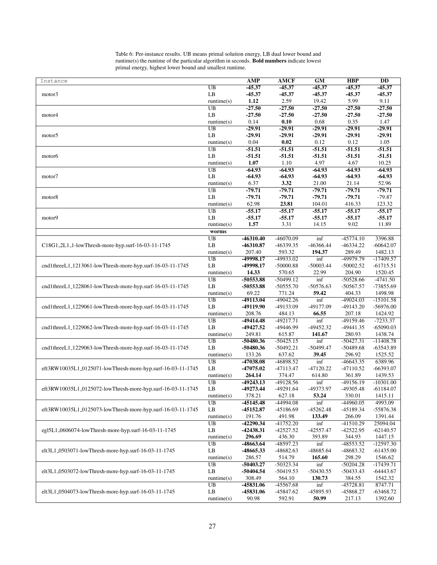Table 6: Per-instance results. UB means primal solution energy, LB dual lower bound and runtime(s) the runtime of the particular algorithm in seconds. **Bold numbers** indicate lowest primal energy, highest lower bound and smallest runtime.

| Instance                                                    |                        | <b>AMP</b>  | <b>AMCF</b> | <b>GM</b>   | <b>HBP</b>  | $\overline{DD}$ |
|-------------------------------------------------------------|------------------------|-------------|-------------|-------------|-------------|-----------------|
|                                                             | $\overline{UB}$        | $-45.37$    | $-45.37$    | $-45.37$    | $-45.37$    | $-45.37$        |
| motor3                                                      | LB                     | $-45.37$    | $-45.37$    | $-45.37$    | $-45.37$    | $-45.37$        |
|                                                             | $\text{ runtime}(s)$   | 1.12        | 2.59        | 19.42       | 5.99        | 9.11            |
|                                                             | UB                     | $-27.50$    | $-27.50$    | $-27.50$    | $-27.50$    | $-27.50$        |
| motor4                                                      | LB                     | $-27.50$    | $-27.50$    | $-27.50$    | $-27.50$    | $-27.50$        |
|                                                             | runtime(s)             | 0.14        | 0.10        | 0.68        | 0.35        | 1.47            |
|                                                             | UB                     | $-29.91$    | $-29.91$    | $-29.91$    | $-29.91$    | $-29.91$        |
| motor <sub>5</sub>                                          | LB                     | $-29.91$    | $-29.91$    | $-29.91$    | $-29.91$    | $-29.91$        |
|                                                             | runtime(s)             | 0.04        | $\bf{0.02}$ | 0.12        | $0.12\,$    | 1.05            |
|                                                             | $\overline{UB}$        | $-51.51$    | $-51.51$    | $-51.51$    | $-51.51$    | $-51.51$        |
| motor <sub>6</sub>                                          | LB                     | $-51.51$    | $-51.51$    | $-51.51$    | $-51.51$    | $-51.51$        |
|                                                             | $\text{ runtime}(s)$   | 1.07        | 1.10        | 4.97        | 4.67        | 10.25           |
|                                                             | $\overline{UB}$        | $-64.93$    | $-64.93$    | $-64.93$    | $-64.93$    | $-64.93$        |
| motor7                                                      | LB                     | $-64.93$    | $-64.93$    | $-64.93$    | $-64.93$    | $-64.93$        |
|                                                             | $\text{ runtime}(s)$   | 6.37        | 3.32        | 21.00       | 21.14       | 52.96           |
|                                                             | $\overline{UB}$        | $-79.71$    | $-79.71$    | $-79.71$    | $-79.71$    | $-79.71$        |
| motor <sub>8</sub>                                          | LB                     | $-79.71$    | $-79.71$    | $-79.71$    | $-79.71$    | $-79.87$        |
|                                                             | $\text{ runtime}(s)$   | 62.98       | 23.81       | 104.01      | 416.33      | 123.32          |
|                                                             | UB                     | $-55.17$    | $-55.17$    | $-55.17$    | $-55.17$    | $-55.17$        |
| motor9                                                      | LB                     | $-55.17$    | $-55.17$    | $-55.17$    | $-55.17$    | $-55.17$        |
|                                                             | $\text{ runtime}(s)$   | 1.57        | 3.31        | 14.15       | 9.02        | 11.89           |
|                                                             | worms                  |             |             |             |             |                 |
|                                                             | UB                     | $-46310.40$ | $-46070.09$ | inf         | $-45774.10$ | 3396.88         |
| C18G1_2L1_1-lowThresh-more-hyp.surf-16-03-11-1745           | $\mathbf{L}\mathbf{B}$ | -46310.87   | -46339.35   | -46366.44   | -46334.22   | $-60642.07$     |
|                                                             | $\text{ runtime}(s)$   | 207.40      | 593.32      | 194.37      | 289.49      | 1482.13         |
|                                                             | $_{\rm UB}$            | -49998.17   | -49933.02   | inf         | -49979.79   | $-17409.57$     |
| cnd1threeL1_1213061-lowThresh-more-hyp.surf-16-03-11-1745   | LB                     | -49998.17   | $-50000.88$ | $-50003.44$ | $-50002.52$ | $-61715.51$     |
|                                                             | $\text{ runtime}(s)$   | 14.33       | 570.65      | 22.99       | 204.90      | 1520.45         |
|                                                             | UB                     | $-50553.88$ | $-50499.12$ | inf         | $-50528.66$ | $-4741.50$      |
| cnd1threeL1_1228061-lowThresh-more-hyp.surf-16-03-11-1745   | $\rm LB$               | -50553.88   | $-50555.70$ | $-50576.63$ | $-50567.57$ | -73855.69       |
|                                                             | $\text{ runtime}(s)$   | 69.22       | 771.24      | 59.42       | 404.33      | 1498.98         |
|                                                             | UB                     | -49113.04   | $-49042.26$ | inf         | $-49024.03$ | $-15101.58$     |
| cnd1threeL1_1229061-lowThresh-more-hyp.surf-16-03-11-1745   | LB                     | -49119.90   | -49133.09   | -49177.09   | -49143.20   | $-56976.00$     |
|                                                             | runtime(s)             | 208.76      | 484.13      | 66.55       | 207.18      | 1424.92         |
|                                                             | UB                     | -49414.48   | $-49217.71$ | inf         | -49159.46   | $-7233.37$      |
| cnd1threeL1_1229062-lowThresh-more-hyp.surf-16-03-11-1745   | LB                     | -49427.52   | -49446.99   | -49452.32   | -49441.35   | $-65090.03$     |
|                                                             | $\text{ runtime}(s)$   | 249.81      | 615.87      | 141.67      | 280.93      | 1438.74         |
|                                                             | UB                     | $-50480.36$ | $-50425.15$ | inf         | $-50427.31$ | $-11408.78$     |
| cnd1threeL1_1229063-lowThresh-more-hyp.surf-16-03-11-1745   | LB                     | -50480.36   | $-50492.21$ | $-50499.47$ | -50489.68   | -63543.89       |
|                                                             | $\text{ runtime}(s)$   | 133.26      | 637.62      | 39.45       | 296.92      | 1525.52         |
|                                                             | UB                     | -47038.08   | -46898.52   | inf         | $-46643.35$ | 6389.96         |
| eft3RW10035L1_0125071-lowThresh-more-hyp.surf-16-03-11-1745 | LB                     | -47075.02   | -47113.47   | $-47120.22$ | $-47110.52$ | $-66393.07$     |
|                                                             | $\text{ runtime}(s)$   | 264.14      | 374.47      | 614.80      | 361.89      | 1439.53         |
|                                                             | $\overline{UB}$        | $-49243.13$ | $-49128.56$ | inf         | $-49156.19$ | $-10301.00$     |
| eft3RW10035L1_0125072-lowThresh-more-hyp.surf-16-03-11-1745 | $\mathbf{L}\mathbf{B}$ | -49273.44   | -49291.64   | -49373.97   | -49305.48   | $-61184.07$     |
|                                                             | $\text{ runtime}(s)$   | 378.21      | 627.18      | 53.24       | 330.01      | 1415.11         |
|                                                             | $\overline{UB}$        | -45145.48   | -44994.08   | inf         | -44960.05   | 4993.09         |
| eft3RW10035L1_0125073-lowThresh-more-hyp.surf-16-03-11-1745 | LB                     | -45152.87   | -45186.69   | $-45262.48$ | -45189.34   | -55876.38       |
|                                                             | $\text{ runtime}(s)$   | 191.76      | 491.98      | 133.49      | 266.09      | 1391.44         |
|                                                             | UB                     | -42290.34   | -41752.20   | inf         | $-41510.29$ | 25094.04        |
| eg15L1_0606074-lowThresh-more-hyp.surf-16-03-11-1745        | LB                     | -42438.31   | -42527.52   | $-42557.47$ | -42522.95   | $-62140.57$     |
|                                                             | $\text{ runtime}(s)$   | 296.69      | 436.30      | 393.89      | 344.93      | 1447.15         |
|                                                             | UB                     | -48663.64   | -48597.23   | inf         | -48553.52   | $-12597.30$     |
| elt3L1_0503071-lowThresh-more-hyp.surf-16-03-11-1745        | LB                     | -48665.33   | -48682.63   | -48685.64   | -48683.32   | $-61435.00$     |
|                                                             | $\text{ runtime}(s)$   | 286.57      | 514.79      | 165.60      | 298.29      | 1546.62         |
|                                                             | UB                     | $-50403.27$ | -50323.34   | inf         | $-50204.28$ | $-17439.71$     |
| elt3L1_0503072-lowThresh-more-hyp.surf-16-03-11-1745        | LB                     | -50404.54   | $-50419.53$ | $-50430.55$ | $-50433.43$ | $-64443.67$     |
|                                                             | $\text{ runtime}(s)$   | 308.49      | 564.10      | 130.73      | 384.55      | 1542.32         |
|                                                             | UB                     | -45831.06   | $-45567.68$ | inf         | $-45728.81$ | 8747.71         |
| elt3L1_0504073-lowThresh-more-hyp.surf-16-03-11-1745        | LB                     | -45831.06   | -45847.62   | -45895.93   | -45868.27   | $-63468.72$     |
|                                                             | runtime(s)             | 90.98       | 592.91      | 50.99       | 217.13      | 1392.60         |